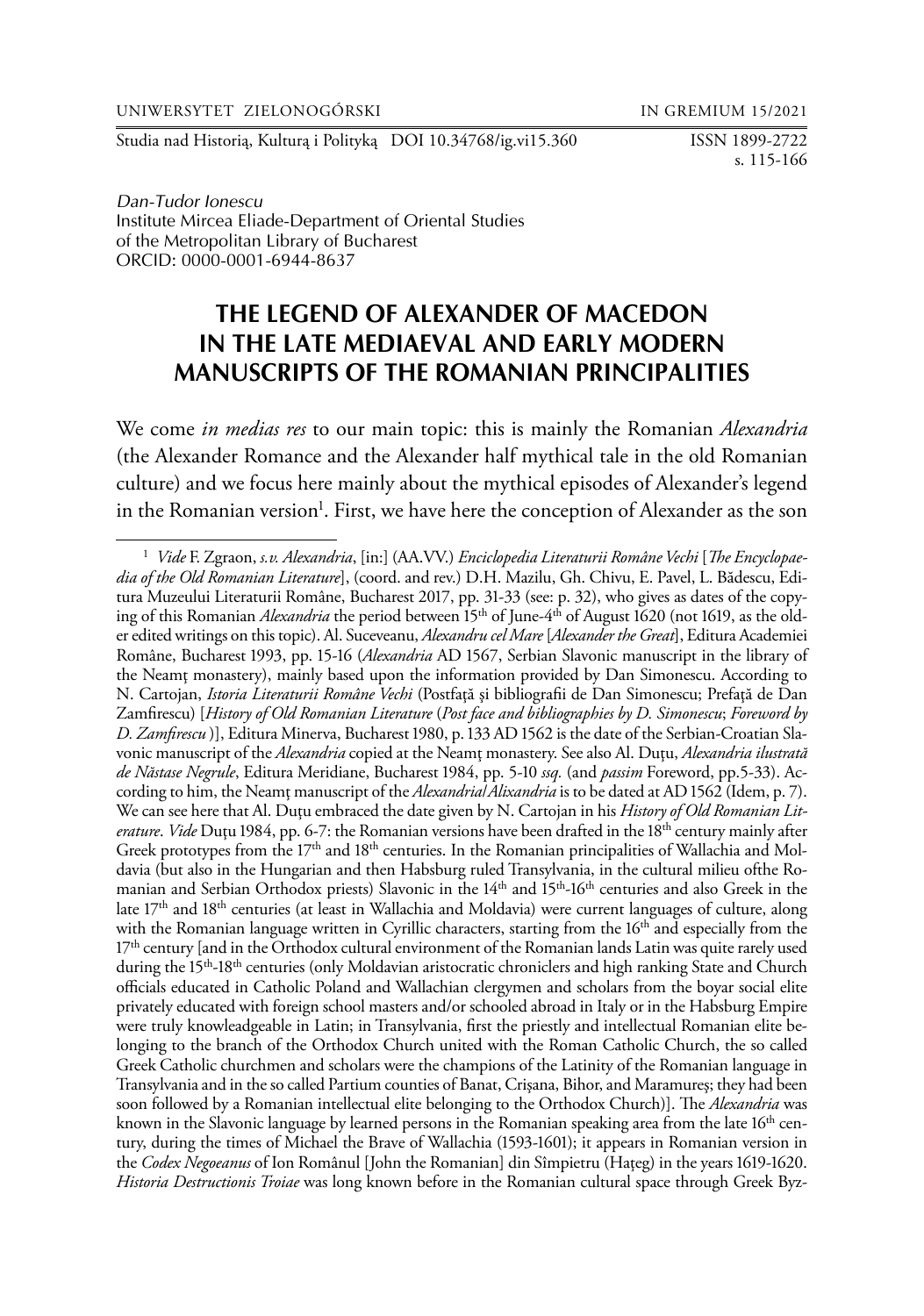Studia nad Historią, Kulturą i Polityką DOI 10.34768/ig.vi15.360 ISSN 1899-2722

s. 115-166

*Dan-Tudor Ionescu* Institute Mircea Eliade-Department of Oriental Studies of the Metropolitan Library of Bucharest ORCID: 0000-0001-6944-8637

# **THE LEGEND OF ALEXANDER OF MACEDON IN THE LATE MEDIAEVAL AND EARLY MODERN MANUSCRIPTS OF THE ROMANIAN PRINCIPALITIES**

We come *in medias res* to our main topic: this is mainly the Romanian *Alexandria*  (the Alexander Romance and the Alexander half mythical tale in the old Romanian culture) and we focus here mainly about the mythical episodes of Alexander's legend in the Romanian version<sup>1</sup>. First, we have here the conception of Alexander as the son

<sup>1</sup> *Vide* F. Zgraon, *s.v. Alexandria*, [in:] (AA.VV.) *Enciclopedia Literaturii Române Vechi* [*The Encyclopaedia of the Old Romanian Literature*], (coord. and rev.) D.H. Mazilu, Gh. Chivu, E. Pavel, L. Bădescu, Editura Muzeului Literaturii Române, Bucharest 2017, pp. 31-33 (see: p. 32), who gives as dates of the copying of this Romanian *Alexandria* the period between 15<sup>th</sup> of June-4<sup>th</sup> of August 1620 (not 1619, as the older edited writings on this topic). Al. Suceveanu, *Alexandru cel Mare* [*Alexander the Great*], Editura Academiei Române, Bucharest 1993, pp. 15-16 (*Alexandria* AD 1567, Serbian Slavonic manuscript in the library of the Neamţ monastery), mainly based upon the information provided by Dan Simonescu. According to N. Cartojan, *Istoria Literaturii Române Vechi* (Postfaţă şi bibliografii de Dan Simonescu; Prefaţă de Dan Zamfirescu) [*History of Old Romanian Literature* (*Post face and bibliographies by D. Simonescu*; *Foreword by D. Zamfirescu* )], Editura Minerva, Bucharest 1980, p. 133 AD 1562 is the date of the Serbian-Croatian Slavonic manuscript of the *Alexandria* copied at the Neamţ monastery. See also Al. Duţu, *Alexandria ilustrată de Năstase Negrule*, Editura Meridiane, Bucharest 1984, pp. 5-10 *ssq.* (and *passim* Foreword, pp.5-33). According to him, the Neamţ manuscript of the *Alexandria*/*Alixandria* is to be dated at AD 1562 (Idem, p. 7). We can see here that Al. Duţu embraced the date given by N. Cartojan in his *History of Old Romanian Literature. Vide* Duțu 1984, pp. 6-7: the Romanian versions have been drafted in the 18<sup>th</sup> century mainly after Greek prototypes from the 17<sup>th</sup> and 18<sup>th</sup> centuries. In the Romanian principalities of Wallachia and Moldavia (but also in the Hungarian and then Habsburg ruled Transylvania, in the cultural milieu ofthe Romanian and Serbian Orthodox priests) Slavonic in the 14<sup>th</sup> and 15<sup>th</sup>-16<sup>th</sup> centuries and also Greek in the late 17th and 18th centuries (at least in Wallachia and Moldavia) were current languages of culture, along with the Romanian language written in Cyrillic characters, starting from the 16<sup>th</sup> and especially from the 17<sup>th</sup> century [and in the Orthodox cultural environment of the Romanian lands Latin was quite rarely used during the 15<sup>th</sup>-18<sup>th</sup> centuries (only Moldavian aristocratic chroniclers and high ranking State and Church officials educated in Catholic Poland and Wallachian clergymen and scholars from the boyar social elite privately educated with foreign school masters and/or schooled abroad in Italy or in the Habsburg Empire were truly knowleadgeable in Latin; in Transylvania, first the priestly and intellectual Romanian elite belonging to the branch of the Orthodox Church united with the Roman Catholic Church, the so called Greek Catholic churchmen and scholars were the champions of the Latinity of the Romanian language in Transylvania and in the so called Partium counties of Banat, Crişana, Bihor, and Maramureş; they had been soon followed by a Romanian intellectual elite belonging to the Orthodox Church)]. The *Alexandria* was known in the Slavonic language by learned persons in the Romanian speaking area from the late  $16<sup>th</sup>$  century, during the times of Michael the Brave of Wallachia (1593-1601); it appears in Romanian version in the *Codex Negoeanus* of Ion Românul [John the Romanian] din Sîmpietru (Haţeg) in the years 1619-1620. *Historia Destructionis Troiae* was long known before in the Romanian cultural space through Greek Byz-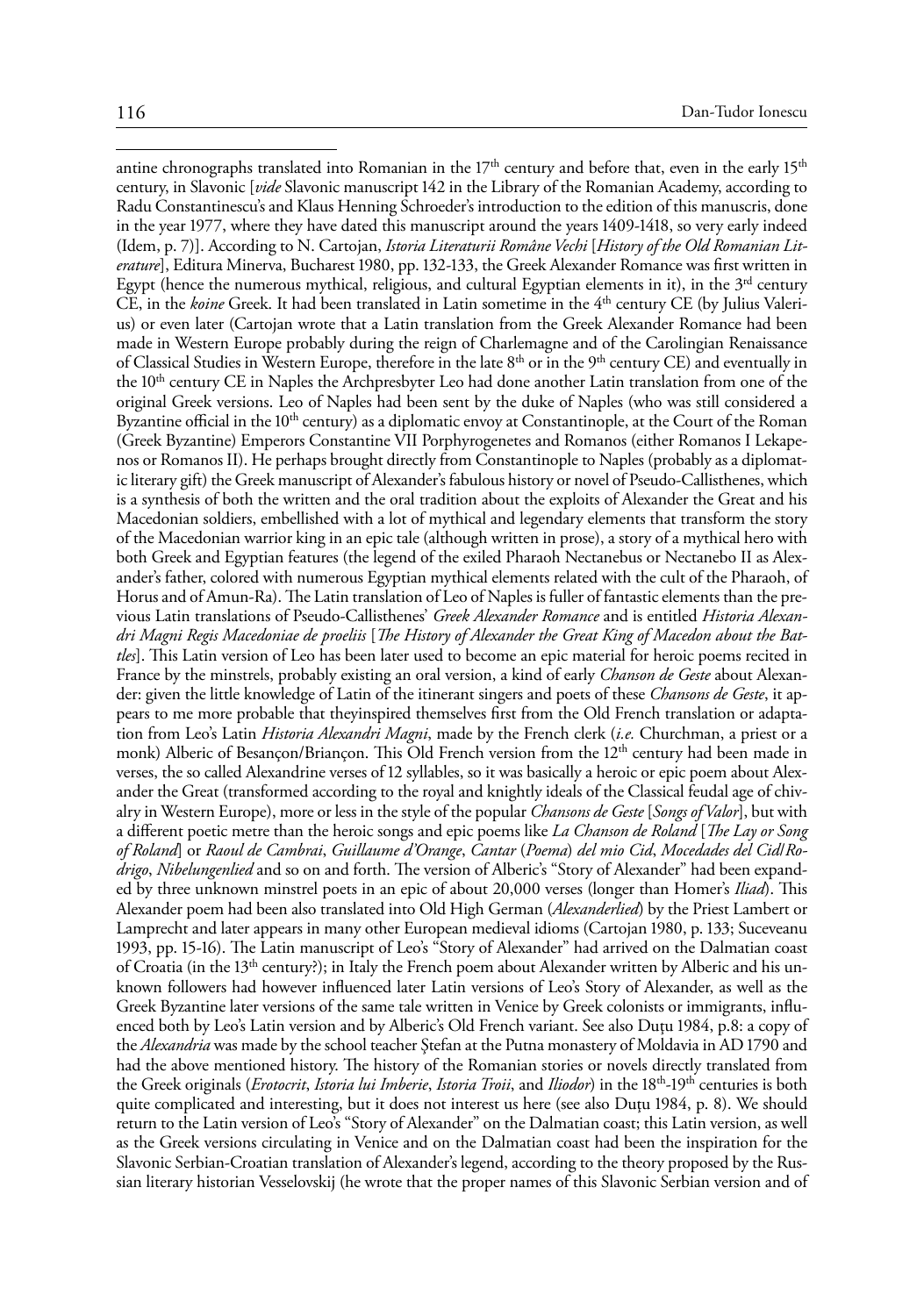antine chronographs translated into Romanian in the  $17<sup>th</sup>$  century and before that, even in the early  $15<sup>th</sup>$ century, in Slavonic [*vide* Slavonic manuscript 142 in the Library of the Romanian Academy, according to Radu Constantinescu's and Klaus Henning Schroeder's introduction to the edition of this manuscris, done in the year 1977, where they have dated this manuscript around the years 1409-1418, so very early indeed (Idem, p. 7)]. According to N. Cartojan, *Istoria Literaturii Române Vechi* [*History of the Old Romanian Literature*], Editura Minerva, Bucharest 1980, pp. 132-133, the Greek Alexander Romance was first written in Egypt (hence the numerous mythical, religious, and cultural Egyptian elements in it), in the  $3<sup>rd</sup>$  century CE, in the *koine* Greek. It had been translated in Latin sometime in the 4th century CE (by Julius Valerius) or even later (Cartojan wrote that a Latin translation from the Greek Alexander Romance had been made in Western Europe probably during the reign of Charlemagne and of the Carolingian Renaissance of Classical Studies in Western Europe, therefore in the late 8th or in the 9th century CE) and eventually in the 10<sup>th</sup> century CE in Naples the Archpresbyter Leo had done another Latin translation from one of the original Greek versions. Leo of Naples had been sent by the duke of Naples (who was still considered a Byzantine official in the 10<sup>th</sup> century) as a diplomatic envoy at Constantinople, at the Court of the Roman (Greek Byzantine) Emperors Constantine VII Porphyrogenetes and Romanos (either Romanos I Lekapenos or Romanos II). He perhaps brought directly from Constantinople to Naples (probably as a diplomatic literary gift) the Greek manuscript of Alexander's fabulous history or novel of Pseudo-Callisthenes, which is a synthesis of both the written and the oral tradition about the exploits of Alexander the Great and his Macedonian soldiers, embellished with a lot of mythical and legendary elements that transform the story of the Macedonian warrior king in an epic tale (although written in prose), a story of a mythical hero with both Greek and Egyptian features (the legend of the exiled Pharaoh Nectanebus or Nectanebo II as Alexander's father, colored with numerous Egyptian mythical elements related with the cult of the Pharaoh, of Horus and of Amun-Ra). The Latin translation of Leo of Naples is fuller of fantastic elements than the previous Latin translations of Pseudo-Callisthenes' *Greek Alexander Romance* and is entitled *Historia Alexandri Magni Regis Macedoniae de proeliis* [*The History of Alexander the Great King of Macedon about the Battles*]. This Latin version of Leo has been later used to become an epic material for heroic poems recited in France by the minstrels, probably existing an oral version, a kind of early *Chanson de Geste* about Alexander: given the little knowledge of Latin of the itinerant singers and poets of these *Chansons de Geste*, it appears to me more probable that theyinspired themselves first from the Old French translation or adaptation from Leo's Latin *Historia Alexandri Magni*, made by the French clerk (*i.e.* Churchman, a priest or a monk) Alberic of Besançon/Briançon. This Old French version from the 12<sup>th</sup> century had been made in verses, the so called Alexandrine verses of 12 syllables, so it was basically a heroic or epic poem about Alexander the Great (transformed according to the royal and knightly ideals of the Classical feudal age of chivalry in Western Europe), more or less in the style of the popular *Chansons de Geste* [*Songs of Valor*], but with a different poetic metre than the heroic songs and epic poems like *La Chanson de Roland* [*The Lay or Song of Roland*] or *Raoul de Cambrai*, *Guillaume d'Orange*, *Cantar* (*Poema*) *del mio Cid*, *Mocedades del Cid*/*Rodrigo*, *Nibelungenlied* and so on and forth. The version of Alberic's "Story of Alexander" had been expanded by three unknown minstrel poets in an epic of about 20,000 verses (longer than Homer's *Iliad*). This Alexander poem had been also translated into Old High German (*Alexanderlied*) by the Priest Lambert or Lamprecht and later appears in many other European medieval idioms (Cartojan 1980, p. 133; Suceveanu 1993, pp. 15-16). The Latin manuscript of Leo's "Story of Alexander" had arrived on the Dalmatian coast of Croatia (in the 13<sup>th</sup> century?); in Italy the French poem about Alexander written by Alberic and his unknown followers had however influenced later Latin versions of Leo's Story of Alexander, as well as the Greek Byzantine later versions of the same tale written in Venice by Greek colonists or immigrants, influenced both by Leo's Latin version and by Alberic's Old French variant. See also Duţu 1984, p.8: a copy of the *Alexandria* was made by the school teacher Ştefan at the Putna monastery of Moldavia in AD 1790 and had the above mentioned history. The history of the Romanian stories or novels directly translated from the Greek originals (*Erotocrit*, *Istoria lui Imberie*, *Istoria Troii*, and *Iliodor*) in the 18th-19th centuries is both quite complicated and interesting, but it does not interest us here (see also Duţu 1984, p. 8). We should return to the Latin version of Leo's "Story of Alexander" on the Dalmatian coast; this Latin version, as well as the Greek versions circulating in Venice and on the Dalmatian coast had been the inspiration for the Slavonic Serbian-Croatian translation of Alexander's legend, according to the theory proposed by the Russian literary historian Vesselovskij (he wrote that the proper names of this Slavonic Serbian version and of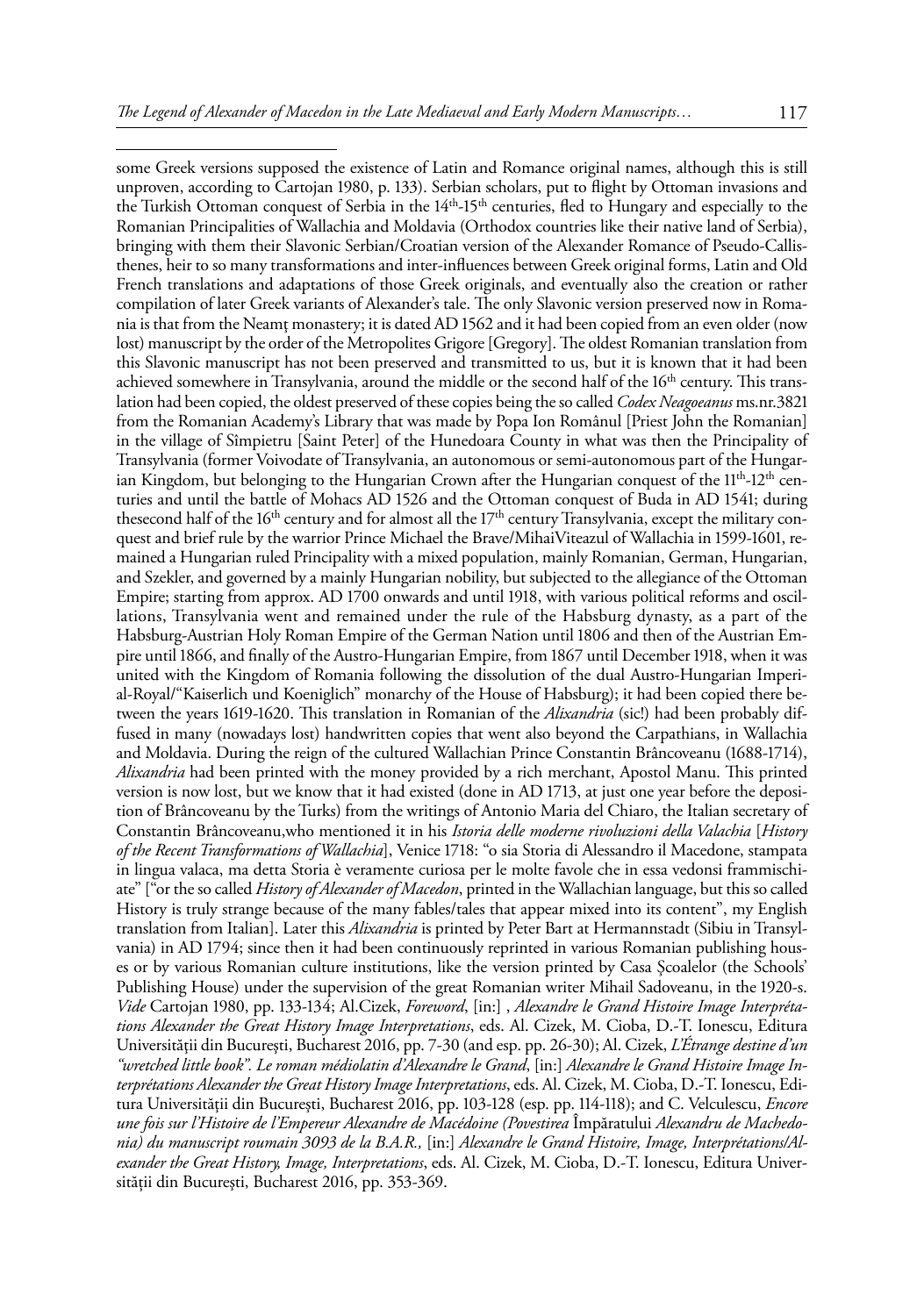some Greek versions supposed the existence of Latin and Romance original names, although this is still unproven, according to Cartojan 1980, p. 133). Serbian scholars, put to flight by Ottoman invasions and the Turkish Ottoman conquest of Serbia in the 14<sup>th</sup>-15<sup>th</sup> centuries, fled to Hungary and especially to the Romanian Principalities of Wallachia and Moldavia (Orthodox countries like their native land of Serbia), bringing with them their Slavonic Serbian/Croatian version of the Alexander Romance of Pseudo-Callisthenes, heir to so many transformations and inter-influences between Greek original forms, Latin and Old French translations and adaptations of those Greek originals, and eventually also the creation or rather compilation of later Greek variants of Alexander's tale. The only Slavonic version preserved now in Romania is that from the Neamţ monastery; it is dated AD 1562 and it had been copied from an even older (now lost) manuscript by the order of the Metropolites Grigore [Gregory]. The oldest Romanian translation from this Slavonic manuscript has not been preserved and transmitted to us, but it is known that it had been achieved somewhere in Transylvania, around the middle or the second half of the 16<sup>th</sup> century. This translation had been copied, the oldest preserved of these copies being the so called *Codex Neagoeanus* ms.nr.3821 from the Romanian Academy's Library that was made by Popa Ion Românul [Priest John the Romanian] in the village of Sîmpietru [Saint Peter] of the Hunedoara County in what was then the Principality of Transylvania (former Voivodate of Transylvania, an autonomous or semi-autonomous part of the Hungarian Kingdom, but belonging to the Hungarian Crown after the Hungarian conquest of the  $11<sup>th</sup>$ -12<sup>th</sup> centuries and until the battle of Mohacs AD 1526 and the Ottoman conquest of Buda in AD 1541; during thesecond half of the 16<sup>th</sup> century and for almost all the  $17<sup>th</sup>$  century Transylvania, except the military conquest and brief rule by the warrior Prince Michael the Brave/MihaiViteazul of Wallachia in 1599-1601, remained a Hungarian ruled Principality with a mixed population, mainly Romanian, German, Hungarian, and Szekler, and governed by a mainly Hungarian nobility, but subjected to the allegiance of the Ottoman Empire; starting from approx. AD 1700 onwards and until 1918, with various political reforms and oscillations, Transylvania went and remained under the rule of the Habsburg dynasty, as a part of the Habsburg-Austrian Holy Roman Empire of the German Nation until 1806 and then of the Austrian Empire until 1866, and finally of the Austro-Hungarian Empire, from 1867 until December 1918, when it was united with the Kingdom of Romania following the dissolution of the dual Austro-Hungarian Imperial-Royal/"Kaiserlich und Koeniglich" monarchy of the House of Habsburg); it had been copied there between the years 1619-1620. This translation in Romanian of the *Alixandria* (sic!) had been probably diffused in many (nowadays lost) handwritten copies that went also beyond the Carpathians, in Wallachia and Moldavia. During the reign of the cultured Wallachian Prince Constantin Brâncoveanu (1688-1714), *Alixandria* had been printed with the money provided by a rich merchant, Apostol Manu. This printed version is now lost, but we know that it had existed (done in AD 1713, at just one year before the deposition of Brâncoveanu by the Turks) from the writings of Antonio Maria del Chiaro, the Italian secretary of Constantin Brâncoveanu,who mentioned it in his *Istoria delle moderne rivoluzioni della Valachia* [*History of the Recent Transformations of Wallachia*], Venice 1718: "o sia Storia di Alessandro il Macedone, stampata in lingua valaca, ma detta Storia è veramente curiosa per le molte favole che in essa vedonsi frammischiate" ["or the so called *History of Alexander of Macedon*, printed in the Wallachian language, but this so called History is truly strange because of the many fables/tales that appear mixed into its content", my English translation from Italian]. Later this *Alixandria* is printed by Peter Bart at Hermannstadt (Sibiu in Transylvania) in AD 1794; since then it had been continuously reprinted in various Romanian publishing houses or by various Romanian culture institutions, like the version printed by Casa Şcoalelor (the Schools' Publishing House) under the supervision of the great Romanian writer Mihail Sadoveanu, in the 1920-s. *Vide* Cartojan 1980, pp. 133-134; Al.Cizek, *Foreword*, [in:] , *Alexandre le Grand Histoire Image Interprétations Alexander the Great History Image Interpretations*, eds. Al. Cizek, M. Cioba, D.-T. Ionescu, Editura Universităţii din Bucureşti, Bucharest 2016, pp. 7-30 (and esp. pp. 26-30); Al. Cizek, *L'Étrange destine d'un "wretched little book". Le roman médiolatin d'Alexandre le Grand*, [in:] *Alexandre le Grand Histoire Image Interprétations Alexander the Great History Image Interpretations*, eds. Al. Cizek, M. Cioba, D.-T. Ionescu, Editura Universităţii din Bucureşti, Bucharest 2016, pp. 103-128 (esp. pp. 114-118); and C. Velculescu, *Encore*  une fois sur l'Histoire de l'Empereur Alexandre de Macédoine (Povestirea Împăratului Alexandru de Machedo*nia) du manuscript roumain 3093 de la B.A.R.,* [in:] *Alexandre le Grand Histoire, Image, Interprétations/Alexander the Great History, Image, Interpretations*, eds. Al. Cizek, M. Cioba, D.-T. Ionescu, Editura Universității din Bucureşti, Bucharest 2016, pp. 353-369.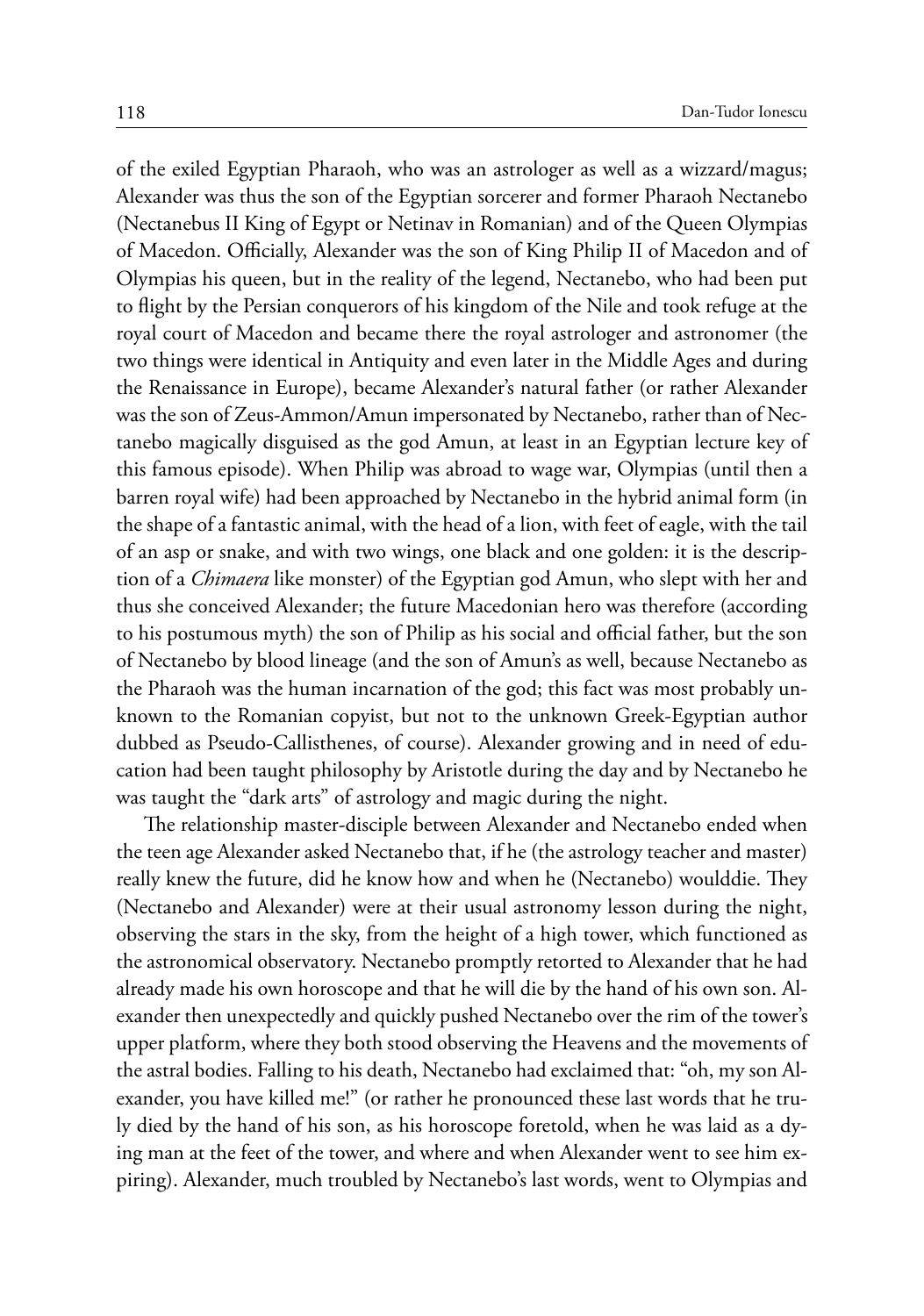of the exiled Egyptian Pharaoh, who was an astrologer as well as a wizzard/magus; Alexander was thus the son of the Egyptian sorcerer and former Pharaoh Nectanebo (Nectanebus II King of Egypt or Netinav in Romanian) and of the Queen Olympias of Macedon. Officially, Alexander was the son of King Philip II of Macedon and of Olympias his queen, but in the reality of the legend, Nectanebo, who had been put to flight by the Persian conquerors of his kingdom of the Nile and took refuge at the royal court of Macedon and became there the royal astrologer and astronomer (the two things were identical in Antiquity and even later in the Middle Ages and during the Renaissance in Europe), became Alexander's natural father (or rather Alexander was the son of Zeus-Ammon/Amun impersonated by Nectanebo, rather than of Nectanebo magically disguised as the god Amun, at least in an Egyptian lecture key of this famous episode). When Philip was abroad to wage war, Olympias (until then a barren royal wife) had been approached by Nectanebo in the hybrid animal form (in the shape of a fantastic animal, with the head of a lion, with feet of eagle, with the tail of an asp or snake, and with two wings, one black and one golden: it is the description of a *Chimaera* like monster) of the Egyptian god Amun, who slept with her and thus she conceived Alexander; the future Macedonian hero was therefore (according to his postumous myth) the son of Philip as his social and official father, but the son of Nectanebo by blood lineage (and the son of Amun's as well, because Nectanebo as the Pharaoh was the human incarnation of the god; this fact was most probably unknown to the Romanian copyist, but not to the unknown Greek-Egyptian author dubbed as Pseudo-Callisthenes, of course). Alexander growing and in need of education had been taught philosophy by Aristotle during the day and by Nectanebo he was taught the "dark arts" of astrology and magic during the night.

The relationship master-disciple between Alexander and Nectanebo ended when the teen age Alexander asked Nectanebo that, if he (the astrology teacher and master) really knew the future, did he know how and when he (Nectanebo) woulddie. They (Nectanebo and Alexander) were at their usual astronomy lesson during the night, observing the stars in the sky, from the height of a high tower, which functioned as the astronomical observatory. Nectanebo promptly retorted to Alexander that he had already made his own horoscope and that he will die by the hand of his own son. Alexander then unexpectedly and quickly pushed Nectanebo over the rim of the tower's upper platform, where they both stood observing the Heavens and the movements of the astral bodies. Falling to his death, Nectanebo had exclaimed that: "oh, my son Alexander, you have killed me!" (or rather he pronounced these last words that he truly died by the hand of his son, as his horoscope foretold, when he was laid as a dying man at the feet of the tower, and where and when Alexander went to see him expiring). Alexander, much troubled by Nectanebo's last words, went to Olympias and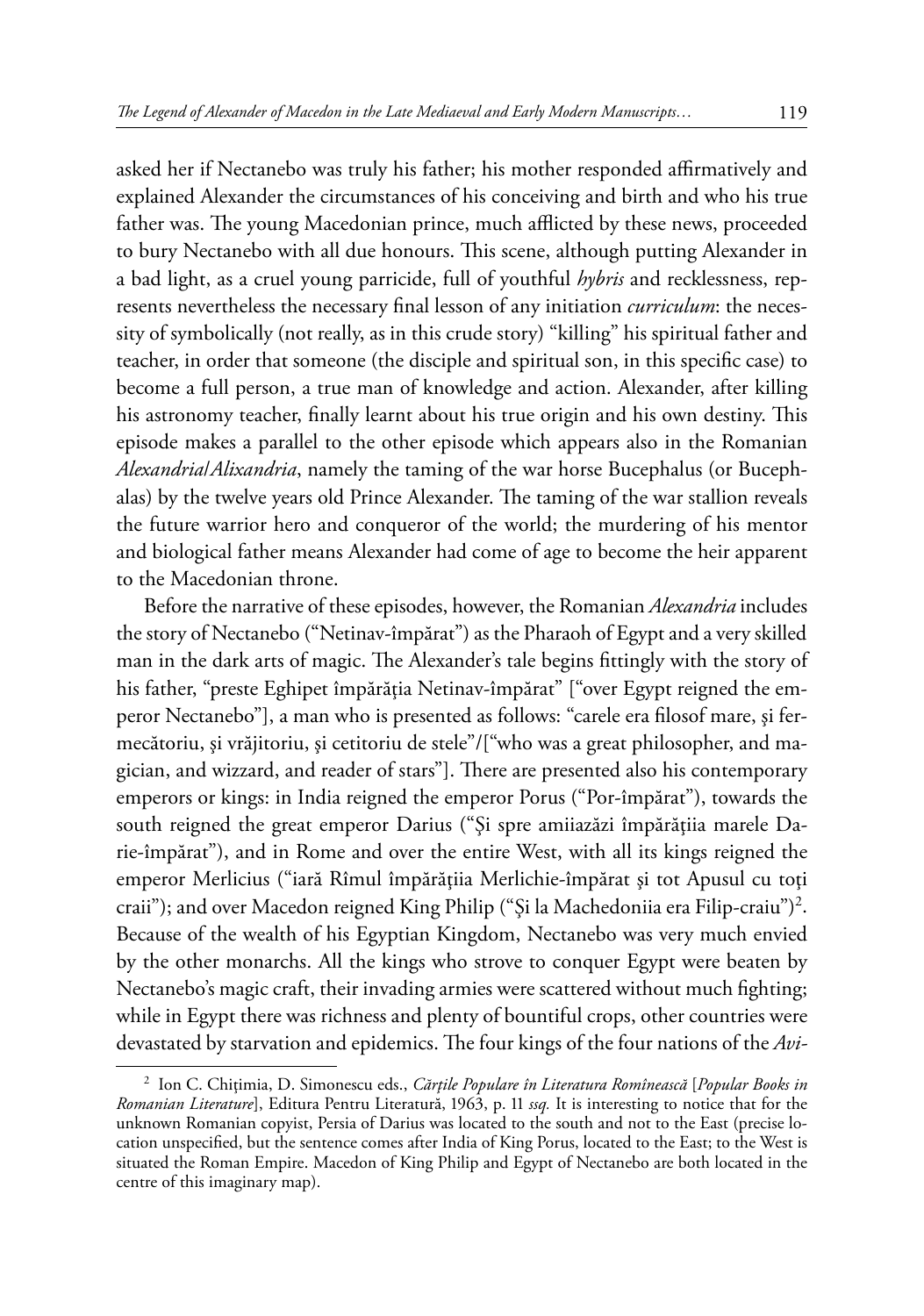asked her if Nectanebo was truly his father; his mother responded affirmatively and explained Alexander the circumstances of his conceiving and birth and who his true father was. The young Macedonian prince, much afflicted by these news, proceeded to bury Nectanebo with all due honours. This scene, although putting Alexander in a bad light, as a cruel young parricide, full of youthful *hybris* and recklessness, represents nevertheless the necessary final lesson of any initiation *curriculum*: the necessity of symbolically (not really, as in this crude story) "killing" his spiritual father and teacher, in order that someone (the disciple and spiritual son, in this specific case) to become a full person, a true man of knowledge and action. Alexander, after killing his astronomy teacher, finally learnt about his true origin and his own destiny. This episode makes a parallel to the other episode which appears also in the Romanian *Alexandria*/*Alixandria*, namely the taming of the war horse Bucephalus (or Bucephalas) by the twelve years old Prince Alexander. The taming of the war stallion reveals the future warrior hero and conqueror of the world; the murdering of his mentor and biological father means Alexander had come of age to become the heir apparent to the Macedonian throne.

Before the narrative of these episodes, however, the Romanian *Alexandria* includes the story of Nectanebo ("Netinav-împărat") as the Pharaoh of Egypt and a very skilled man in the dark arts of magic. The Alexander's tale begins fittingly with the story of his father, "preste Eghipet împărăția Netinav-împărat" ["over Egypt reigned the emperor Nectanebo"], a man who is presented as follows: "carele era filosof mare, şi fermecătoriu, şi vrăjitoriu, şi cetitoriu de stele"/["who was a great philosopher, and magician, and wizzard, and reader of stars"]. There are presented also his contemporary emperors or kings: in India reigned the emperor Porus ("Por-împărat"), towards the south reigned the great emperor Darius ("Şi spre amiiazăzi împărăţiia marele Darie-împărat"), and in Rome and over the entire West, with all its kings reigned the emperor Merlicius ("iară Rîmul împărăţiia Merlichie-împărat şi tot Apusul cu toţi craii"); and over Macedon reigned King Philip ("Şi la Machedoniia era Filip-craiu")<sup>2</sup>. Because of the wealth of his Egyptian Kingdom, Nectanebo was very much envied by the other monarchs. All the kings who strove to conquer Egypt were beaten by Nectanebo's magic craft, their invading armies were scattered without much fighting; while in Egypt there was richness and plenty of bountiful crops, other countries were devastated by starvation and epidemics. The four kings of the four nations of the *Avi-*

<sup>2</sup> Ion C. Chiţimia, D. Simonescu eds., *Cărţile Populare în Literatura Romînească* [*Popular Books in Romanian Literature*], Editura Pentru Literatură, 1963, p. 11 *ssq.* It is interesting to notice that for the unknown Romanian copyist, Persia of Darius was located to the south and not to the East (precise location unspecified, but the sentence comes after India of King Porus, located to the East; to the West is situated the Roman Empire. Macedon of King Philip and Egypt of Nectanebo are both located in the centre of this imaginary map).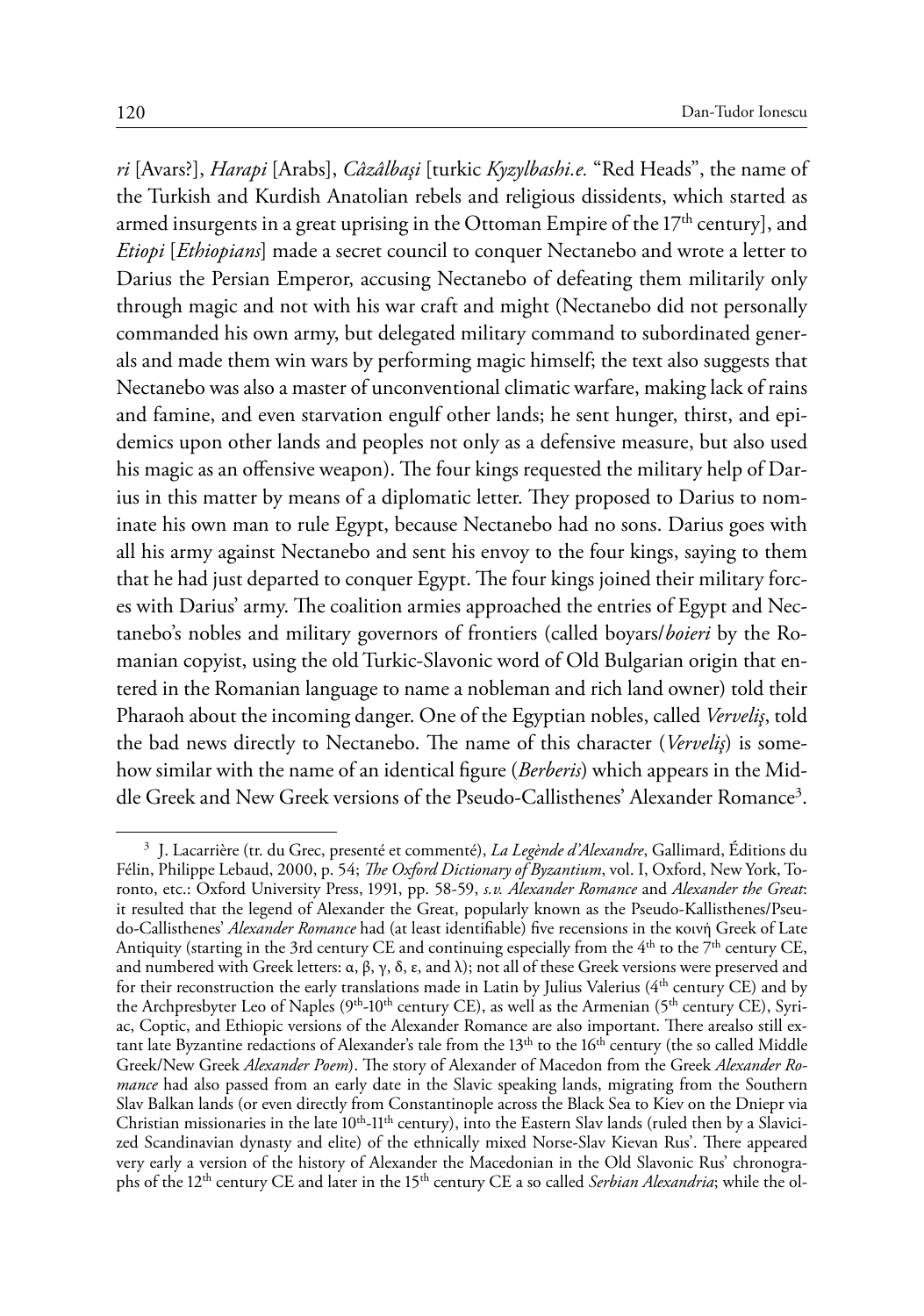*ri* [Avars?], *Harapi* [Arabs], *Câzâlbaşi* [turkic *Kyzylbashi.e.* "Red Heads", the name of the Turkish and Kurdish Anatolian rebels and religious dissidents, which started as armed insurgents in a great uprising in the Ottoman Empire of the 17<sup>th</sup> century], and *Etiopi* [*Ethiopians*] made a secret council to conquer Nectanebo and wrote a letter to Darius the Persian Emperor, accusing Nectanebo of defeating them militarily only through magic and not with his war craft and might (Nectanebo did not personally commanded his own army, but delegated military command to subordinated generals and made them win wars by performing magic himself; the text also suggests that Nectanebo was also a master of unconventional climatic warfare, making lack of rains and famine, and even starvation engulf other lands; he sent hunger, thirst, and epidemics upon other lands and peoples not only as a defensive measure, but also used his magic as an offensive weapon). The four kings requested the military help of Darius in this matter by means of a diplomatic letter. They proposed to Darius to nominate his own man to rule Egypt, because Nectanebo had no sons. Darius goes with all his army against Nectanebo and sent his envoy to the four kings, saying to them that he had just departed to conquer Egypt. The four kings joined their military forces with Darius' army. The coalition armies approached the entries of Egypt and Nectanebo's nobles and military governors of frontiers (called boyars/*boieri* by the Romanian copyist, using the old Turkic-Slavonic word of Old Bulgarian origin that entered in the Romanian language to name a nobleman and rich land owner) told their Pharaoh about the incoming danger. One of the Egyptian nobles, called *Verveliş*, told the bad news directly to Nectanebo. The name of this character (*Verveliş*) is somehow similar with the name of an identical figure (*Berberis*) which appears in the Middle Greek and New Greek versions of the Pseudo-Callisthenes' Alexander Romance<sup>3</sup>.

<sup>3</sup> J. Lacarrière (tr. du Grec, presenté et commenté), *La Legènde d'Alexandre*, Gallimard, Éditions du Félin, Philippe Lebaud, 2000, p. 54; *The Oxford Dictionary of Byzantium*, vol. I, Oxford, New York, Toronto, etc.: Oxford University Press, 1991, pp. 58-59, *s.v. Alexander Romance* and *Alexander the Great*: it resulted that the legend of Alexander the Great, popularly known as the Pseudo-Kallisthenes/Pseudo-Callisthenes' *Alexander Romance* had (at least identifiable) five recensions in the κοινή Greek of Late Antiquity (starting in the 3rd century CE and continuing especially from the  $4<sup>th</sup>$  to the 7<sup>th</sup> century CE, and numbered with Greek letters: α, β, γ, δ, ε, and λ); not all of these Greek versions were preserved and for their reconstruction the early translations made in Latin by Julius Valerius (4<sup>th</sup> century CE) and by the Archpresbyter Leo of Naples  $(9<sup>th</sup>-10<sup>th</sup>$  century CE), as well as the Armenian (5<sup>th</sup> century CE), Syriac, Coptic, and Ethiopic versions of the Alexander Romance are also important. There arealso still extant late Byzantine redactions of Alexander's tale from the  $13<sup>th</sup>$  to the  $16<sup>th</sup>$  century (the so called Middle Greek/New Greek *Alexander Poem*). The story of Alexander of Macedon from the Greek *Alexander Romance* had also passed from an early date in the Slavic speaking lands, migrating from the Southern Slav Balkan lands (or even directly from Constantinople across the Black Sea to Kiev on the Dniepr via Christian missionaries in the late  $10^{th}$ -11<sup>th</sup> century), into the Eastern Slav lands (ruled then by a Slavicized Scandinavian dynasty and elite) of the ethnically mixed Norse-Slav Kievan Rus'. There appeared very early a version of the history of Alexander the Macedonian in the Old Slavonic Rus' chronographs of the 12th century CE and later in the 15th century CE a so called *Serbian Alexandria*; while the ol-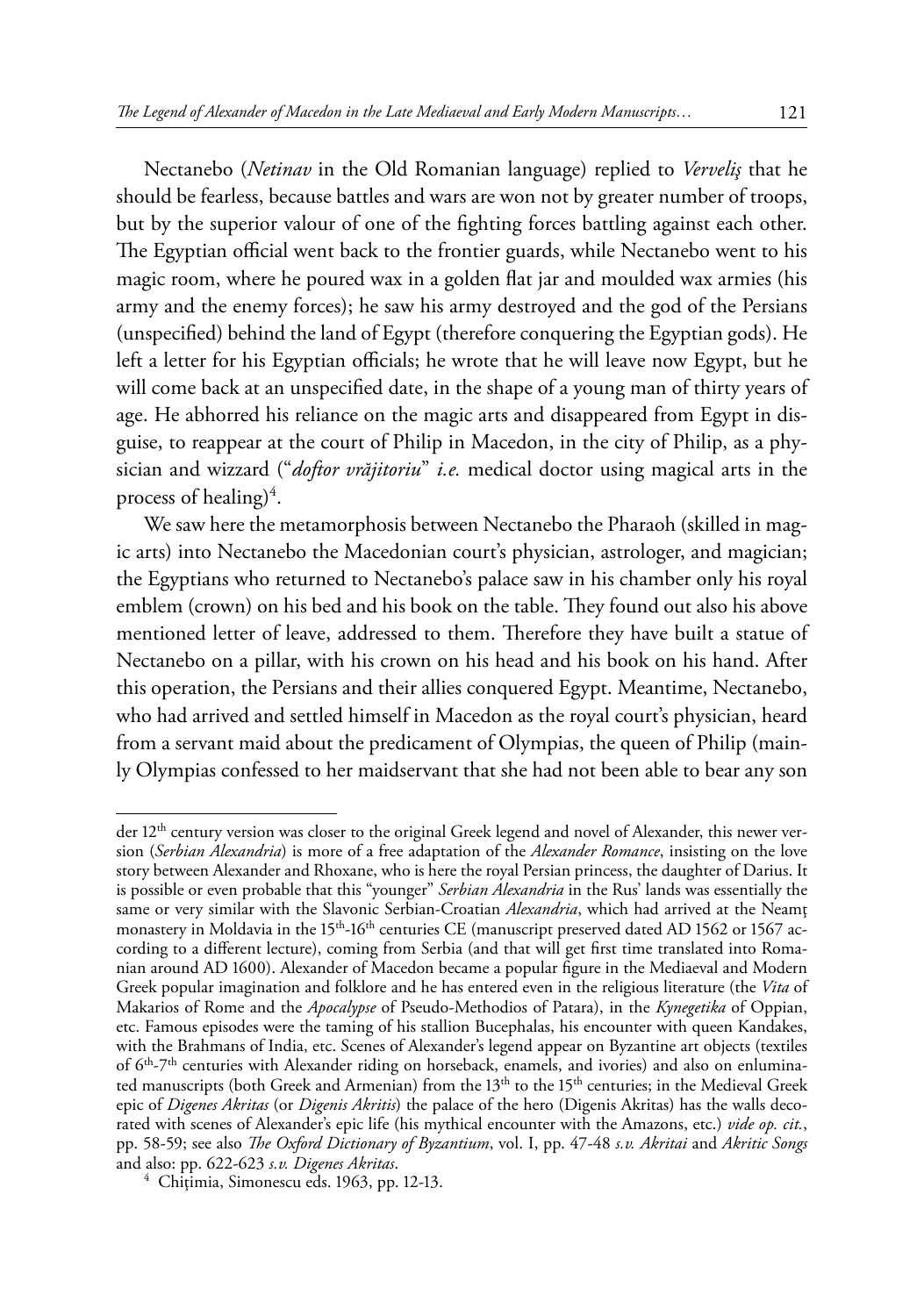Nectanebo (*Netinav* in the Old Romanian language) replied to *Verveliş* that he should be fearless, because battles and wars are won not by greater number of troops, but by the superior valour of one of the fighting forces battling against each other. The Egyptian official went back to the frontier guards, while Nectanebo went to his magic room, where he poured wax in a golden flat jar and moulded wax armies (his army and the enemy forces); he saw his army destroyed and the god of the Persians (unspecified) behind the land of Egypt (therefore conquering the Egyptian gods). He left a letter for his Egyptian officials; he wrote that he will leave now Egypt, but he will come back at an unspecified date, in the shape of a young man of thirty years of age. He abhorred his reliance on the magic arts and disappeared from Egypt in disguise, to reappear at the court of Philip in Macedon, in the city of Philip, as a physician and wizzard ("*doftor vrăjitoriu*" *i.e.* medical doctor using magical arts in the process of healing)<sup>4</sup>.

We saw here the metamorphosis between Nectanebo the Pharaoh (skilled in magic arts) into Nectanebo the Macedonian court's physician, astrologer, and magician; the Egyptians who returned to Nectanebo's palace saw in his chamber only his royal emblem (crown) on his bed and his book on the table. They found out also his above mentioned letter of leave, addressed to them. Therefore they have built a statue of Nectanebo on a pillar, with his crown on his head and his book on his hand. After this operation, the Persians and their allies conquered Egypt. Meantime, Nectanebo, who had arrived and settled himself in Macedon as the royal court's physician, heard from a servant maid about the predicament of Olympias, the queen of Philip (mainly Olympias confessed to her maidservant that she had not been able to bear any son

der 12<sup>th</sup> century version was closer to the original Greek legend and novel of Alexander, this newer version (*Serbian Alexandria*) is more of a free adaptation of the *Alexander Romance*, insisting on the love story between Alexander and Rhoxane, who is here the royal Persian princess, the daughter of Darius. It is possible or even probable that this "younger" *Serbian Alexandria* in the Rus' lands was essentially the same or very similar with the Slavonic Serbian-Croatian *Alexandria*, which had arrived at the Neamţ monastery in Moldavia in the 15<sup>th</sup>-16<sup>th</sup> centuries CE (manuscript preserved dated AD 1562 or 1567 according to a different lecture), coming from Serbia (and that will get first time translated into Romanian around AD 1600). Alexander of Macedon became a popular figure in the Mediaeval and Modern Greek popular imagination and folklore and he has entered even in the religious literature (the *Vita* of Makarios of Rome and the *Apocalypse* of Pseudo-Methodios of Patara), in the *Kynegetika* of Oppian, etc. Famous episodes were the taming of his stallion Bucephalas, his encounter with queen Kandakes, with the Brahmans of India, etc. Scenes of Alexander's legend appear on Byzantine art objects (textiles of 6<sup>th</sup>-7<sup>th</sup> centuries with Alexander riding on horseback, enamels, and ivories) and also on enluminated manuscripts (both Greek and Armenian) from the 13<sup>th</sup> to the 15<sup>th</sup> centuries; in the Medieval Greek epic of *Digenes Akritas* (or *Digenis Akritis*) the palace of the hero (Digenis Akritas) has the walls decorated with scenes of Alexander's epic life (his mythical encounter with the Amazons, etc.) *vide op. cit.*, pp. 58-59; see also *The Oxford Dictionary of Byzantium*, vol. I, pp. 47-48 *s.v. Akritai* and *Akritic Songs*

<sup>&</sup>lt;sup>4</sup> Chițimia, Simonescu eds. 1963, pp. 12-13.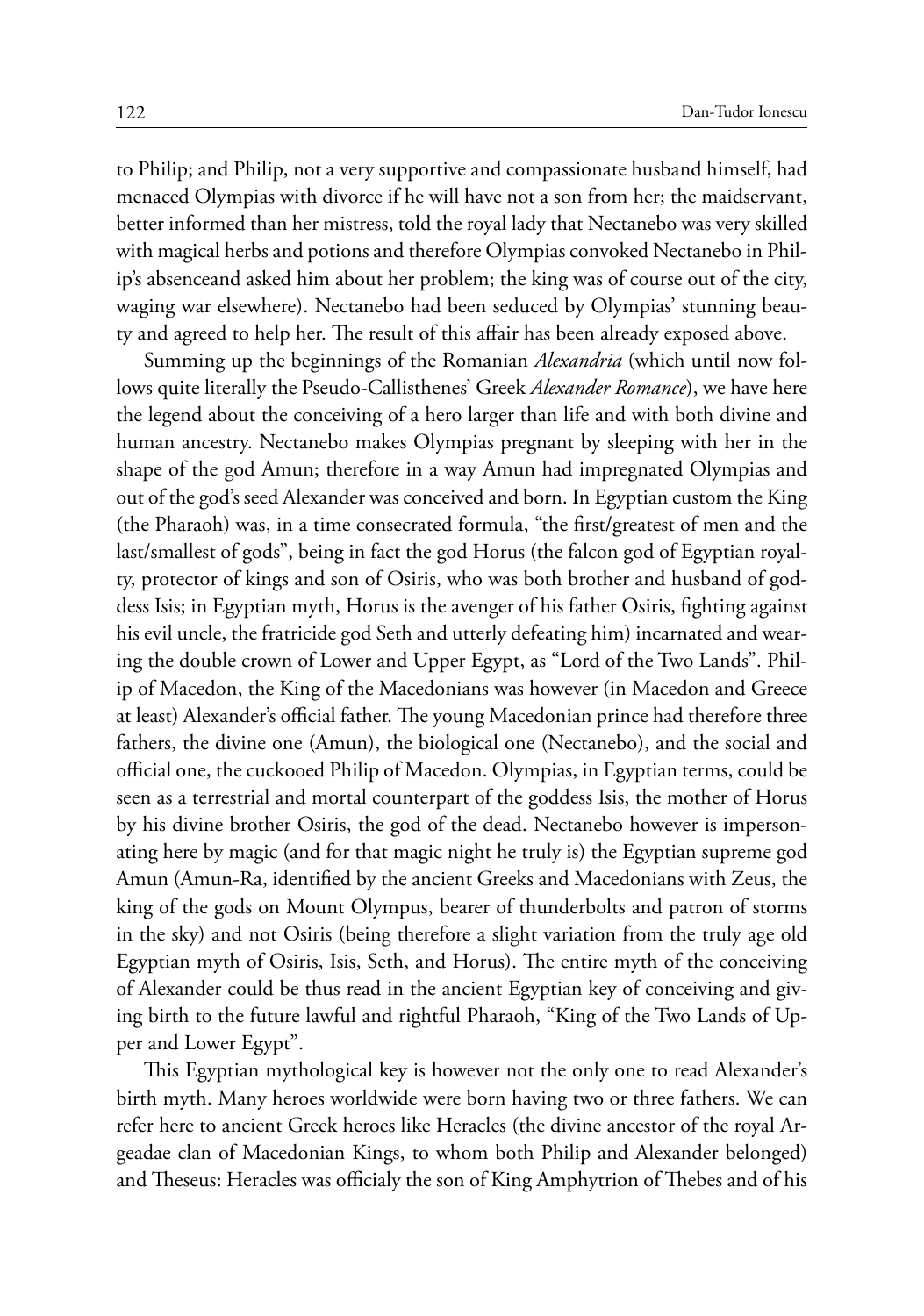to Philip; and Philip, not a very supportive and compassionate husband himself, had menaced Olympias with divorce if he will have not a son from her; the maidservant, better informed than her mistress, told the royal lady that Nectanebo was very skilled with magical herbs and potions and therefore Olympias convoked Nectanebo in Philip's absenceand asked him about her problem; the king was of course out of the city, waging war elsewhere). Nectanebo had been seduced by Olympias' stunning beauty and agreed to help her. The result of this affair has been already exposed above.

Summing up the beginnings of the Romanian *Alexandria* (which until now follows quite literally the Pseudo-Callisthenes' Greek *Alexander Romance*), we have here the legend about the conceiving of a hero larger than life and with both divine and human ancestry. Nectanebo makes Olympias pregnant by sleeping with her in the shape of the god Amun; therefore in a way Amun had impregnated Olympias and out of the god's seed Alexander was conceived and born. In Egyptian custom the King (the Pharaoh) was, in a time consecrated formula, "the first/greatest of men and the last/smallest of gods", being in fact the god Horus (the falcon god of Egyptian royalty, protector of kings and son of Osiris, who was both brother and husband of goddess Isis; in Egyptian myth, Horus is the avenger of his father Osiris, fighting against his evil uncle, the fratricide god Seth and utterly defeating him) incarnated and wearing the double crown of Lower and Upper Egypt, as "Lord of the Two Lands". Philip of Macedon, the King of the Macedonians was however (in Macedon and Greece at least) Alexander's official father. The young Macedonian prince had therefore three fathers, the divine one (Amun), the biological one (Nectanebo), and the social and official one, the cuckooed Philip of Macedon. Olympias, in Egyptian terms, could be seen as a terrestrial and mortal counterpart of the goddess Isis, the mother of Horus by his divine brother Osiris, the god of the dead. Nectanebo however is impersonating here by magic (and for that magic night he truly is) the Egyptian supreme god Amun (Amun-Ra, identified by the ancient Greeks and Macedonians with Zeus, the king of the gods on Mount Olympus, bearer of thunderbolts and patron of storms in the sky) and not Osiris (being therefore a slight variation from the truly age old Egyptian myth of Osiris, Isis, Seth, and Horus). The entire myth of the conceiving of Alexander could be thus read in the ancient Egyptian key of conceiving and giving birth to the future lawful and rightful Pharaoh, "King of the Two Lands of Upper and Lower Egypt".

This Egyptian mythological key is however not the only one to read Alexander's birth myth. Many heroes worldwide were born having two or three fathers. We can refer here to ancient Greek heroes like Heracles (the divine ancestor of the royal Argeadae clan of Macedonian Kings, to whom both Philip and Alexander belonged) and Theseus: Heracles was officialy the son of King Amphytrion of Thebes and of his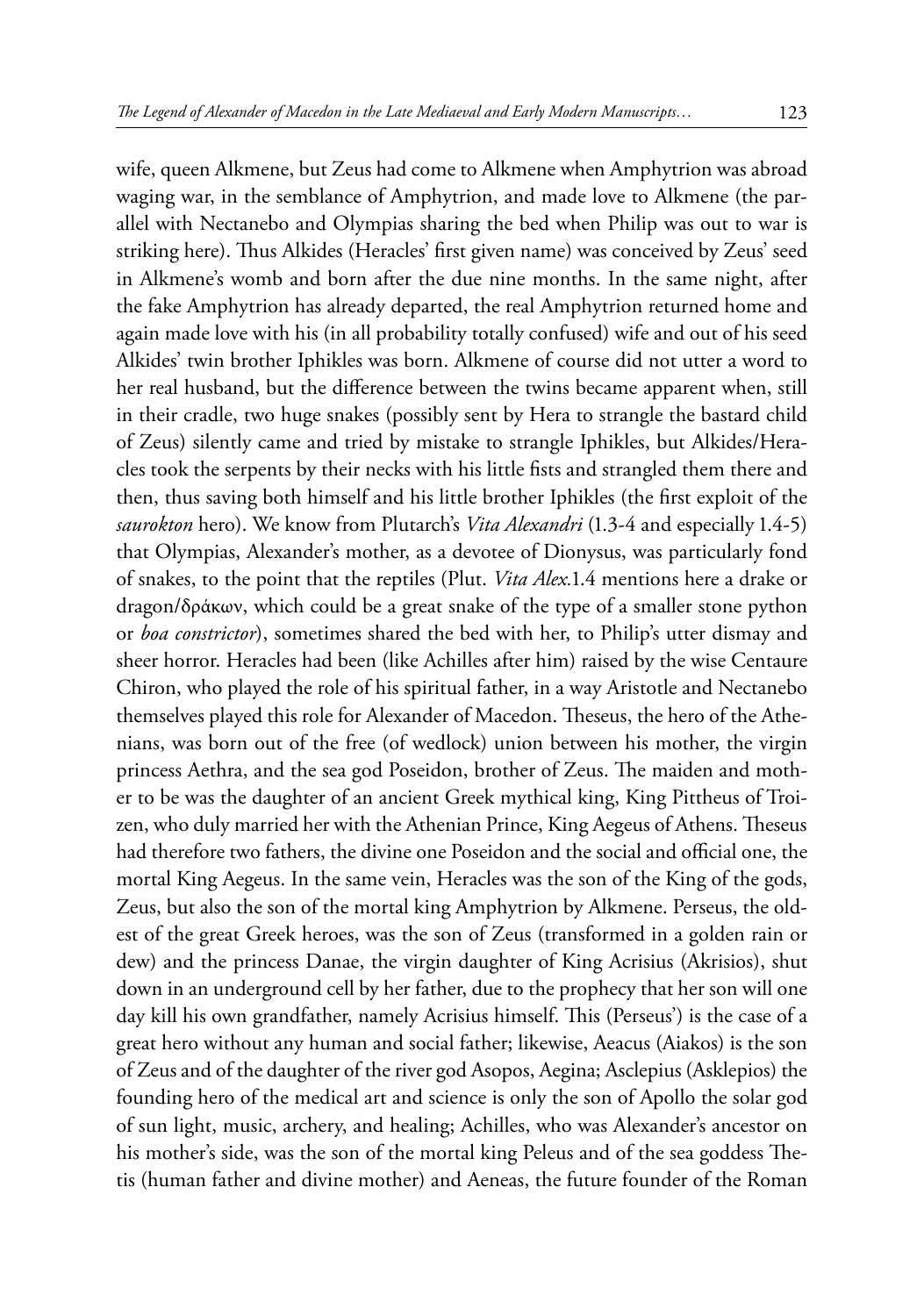wife, queen Alkmene, but Zeus had come to Alkmene when Amphytrion was abroad waging war, in the semblance of Amphytrion, and made love to Alkmene (the parallel with Nectanebo and Olympias sharing the bed when Philip was out to war is striking here). Thus Alkides (Heracles' first given name) was conceived by Zeus' seed in Alkmene's womb and born after the due nine months. In the same night, after the fake Amphytrion has already departed, the real Amphytrion returned home and again made love with his (in all probability totally confused) wife and out of his seed Alkides' twin brother Iphikles was born. Alkmene of course did not utter a word to her real husband, but the difference between the twins became apparent when, still in their cradle, two huge snakes (possibly sent by Hera to strangle the bastard child of Zeus) silently came and tried by mistake to strangle Iphikles, but Alkides/Heracles took the serpents by their necks with his little fists and strangled them there and then, thus saving both himself and his little brother Iphikles (the first exploit of the *saurokton* hero). We know from Plutarch's *Vita Alexandri* (1.3-4 and especially 1.4-5) that Olympias, Alexander's mother, as a devotee of Dionysus, was particularly fond of snakes, to the point that the reptiles (Plut. *Vita Alex.*1.4 mentions here a drake or dragon/δράκων, which could be a great snake of the type of a smaller stone python or *boa constrictor*), sometimes shared the bed with her, to Philip's utter dismay and sheer horror. Heracles had been (like Achilles after him) raised by the wise Centaure Chiron, who played the role of his spiritual father, in a way Aristotle and Nectanebo themselves played this role for Alexander of Macedon. Theseus, the hero of the Athenians, was born out of the free (of wedlock) union between his mother, the virgin princess Aethra, and the sea god Poseidon, brother of Zeus. The maiden and mother to be was the daughter of an ancient Greek mythical king, King Pittheus of Troizen, who duly married her with the Athenian Prince, King Aegeus of Athens. Theseus had therefore two fathers, the divine one Poseidon and the social and official one, the mortal King Aegeus. In the same vein, Heracles was the son of the King of the gods, Zeus, but also the son of the mortal king Amphytrion by Alkmene. Perseus, the oldest of the great Greek heroes, was the son of Zeus (transformed in a golden rain or dew) and the princess Danae, the virgin daughter of King Acrisius (Akrisios), shut down in an underground cell by her father, due to the prophecy that her son will one day kill his own grandfather, namely Acrisius himself. This (Perseus') is the case of a great hero without any human and social father; likewise, Aeacus (Aiakos) is the son of Zeus and of the daughter of the river god Asopos, Aegina; Asclepius (Asklepios) the founding hero of the medical art and science is only the son of Apollo the solar god of sun light, music, archery, and healing; Achilles, who was Alexander's ancestor on his mother's side, was the son of the mortal king Peleus and of the sea goddess Thetis (human father and divine mother) and Aeneas, the future founder of the Roman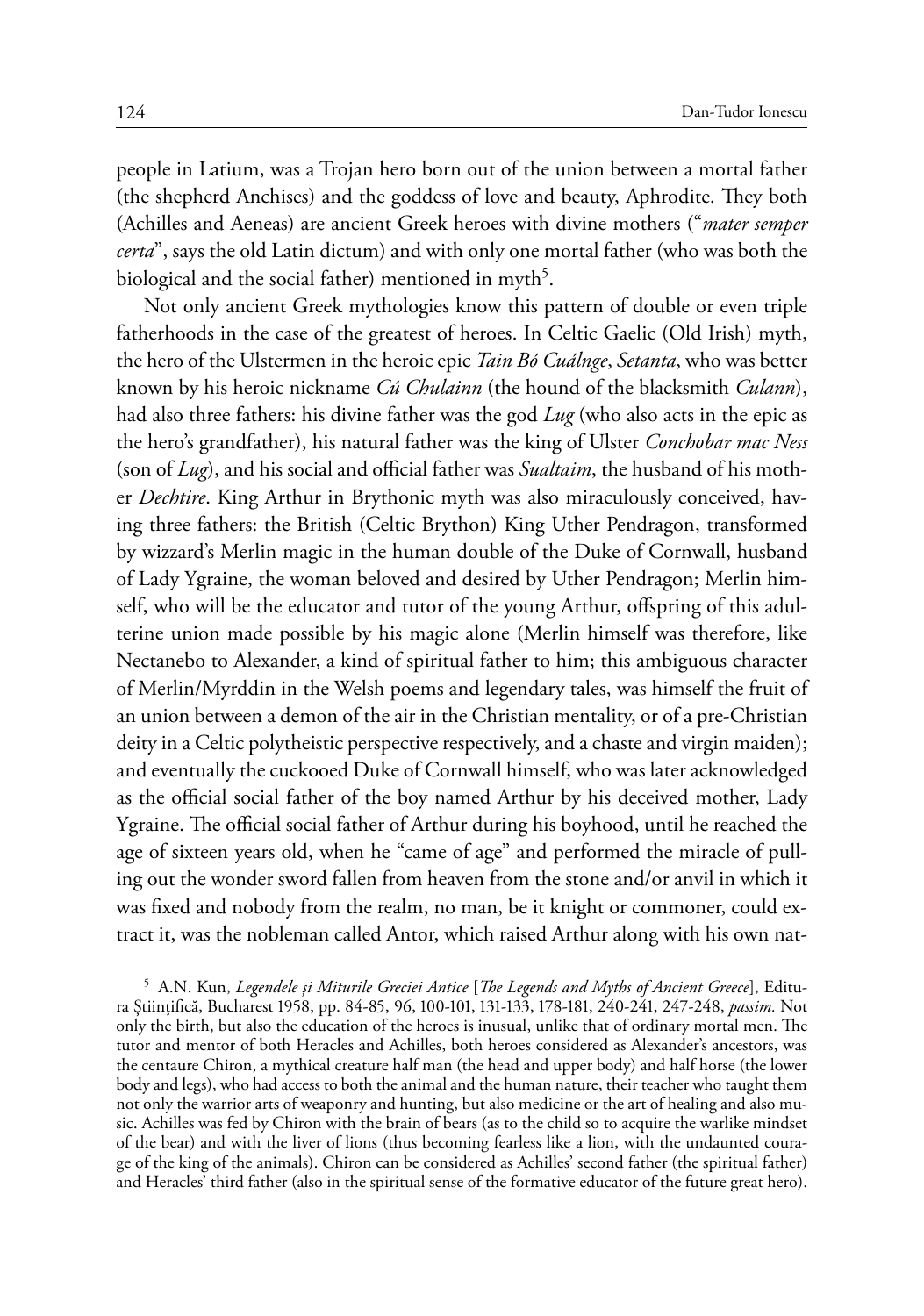people in Latium, was a Trojan hero born out of the union between a mortal father (the shepherd Anchises) and the goddess of love and beauty, Aphrodite. They both (Achilles and Aeneas) are ancient Greek heroes with divine mothers ("*mater semper certa*", says the old Latin dictum) and with only one mortal father (who was both the biological and the social father) mentioned in myth $^5\!$ .

Not only ancient Greek mythologies know this pattern of double or even triple fatherhoods in the case of the greatest of heroes. In Celtic Gaelic (Old Irish) myth, the hero of the Ulstermen in the heroic epic *Tain Bó Cuálnge*, *Setanta*, who was better known by his heroic nickname *Cú Chulainn* (the hound of the blacksmith *Culann*), had also three fathers: his divine father was the god *Lug* (who also acts in the epic as the hero's grandfather), his natural father was the king of Ulster *Conchobar mac Ness* (son of *Lug*), and his social and official father was *Sualtaim*, the husband of his mother *Dechtire*. King Arthur in Brythonic myth was also miraculously conceived, having three fathers: the British (Celtic Brython) King Uther Pendragon, transformed by wizzard's Merlin magic in the human double of the Duke of Cornwall, husband of Lady Ygraine, the woman beloved and desired by Uther Pendragon; Merlin himself, who will be the educator and tutor of the young Arthur, offspring of this adulterine union made possible by his magic alone (Merlin himself was therefore, like Nectanebo to Alexander, a kind of spiritual father to him; this ambiguous character of Merlin/Myrddin in the Welsh poems and legendary tales, was himself the fruit of an union between a demon of the air in the Christian mentality, or of a pre-Christian deity in a Celtic polytheistic perspective respectively, and a chaste and virgin maiden); and eventually the cuckooed Duke of Cornwall himself, who was later acknowledged as the official social father of the boy named Arthur by his deceived mother, Lady Ygraine. The official social father of Arthur during his boyhood, until he reached the age of sixteen years old, when he "came of age" and performed the miracle of pulling out the wonder sword fallen from heaven from the stone and/or anvil in which it was fixed and nobody from the realm, no man, be it knight or commoner, could extract it, was the nobleman called Antor, which raised Arthur along with his own nat-

<sup>5</sup> A.N. Kun, *Legendele şi Miturile Greciei Antice* [*The Legends and Myths of Ancient Greece*], Editura Ştiinţifică, Bucharest 1958, pp. 84-85, 96, 100-101, 131-133, 178-181, 240-241, 247-248, *passim.* Not only the birth, but also the education of the heroes is inusual, unlike that of ordinary mortal men. The tutor and mentor of both Heracles and Achilles, both heroes considered as Alexander's ancestors, was the centaure Chiron, a mythical creature half man (the head and upper body) and half horse (the lower body and legs), who had access to both the animal and the human nature, their teacher who taught them not only the warrior arts of weaponry and hunting, but also medicine or the art of healing and also music. Achilles was fed by Chiron with the brain of bears (as to the child so to acquire the warlike mindset of the bear) and with the liver of lions (thus becoming fearless like a lion, with the undaunted courage of the king of the animals). Chiron can be considered as Achilles' second father (the spiritual father) and Heracles' third father (also in the spiritual sense of the formative educator of the future great hero).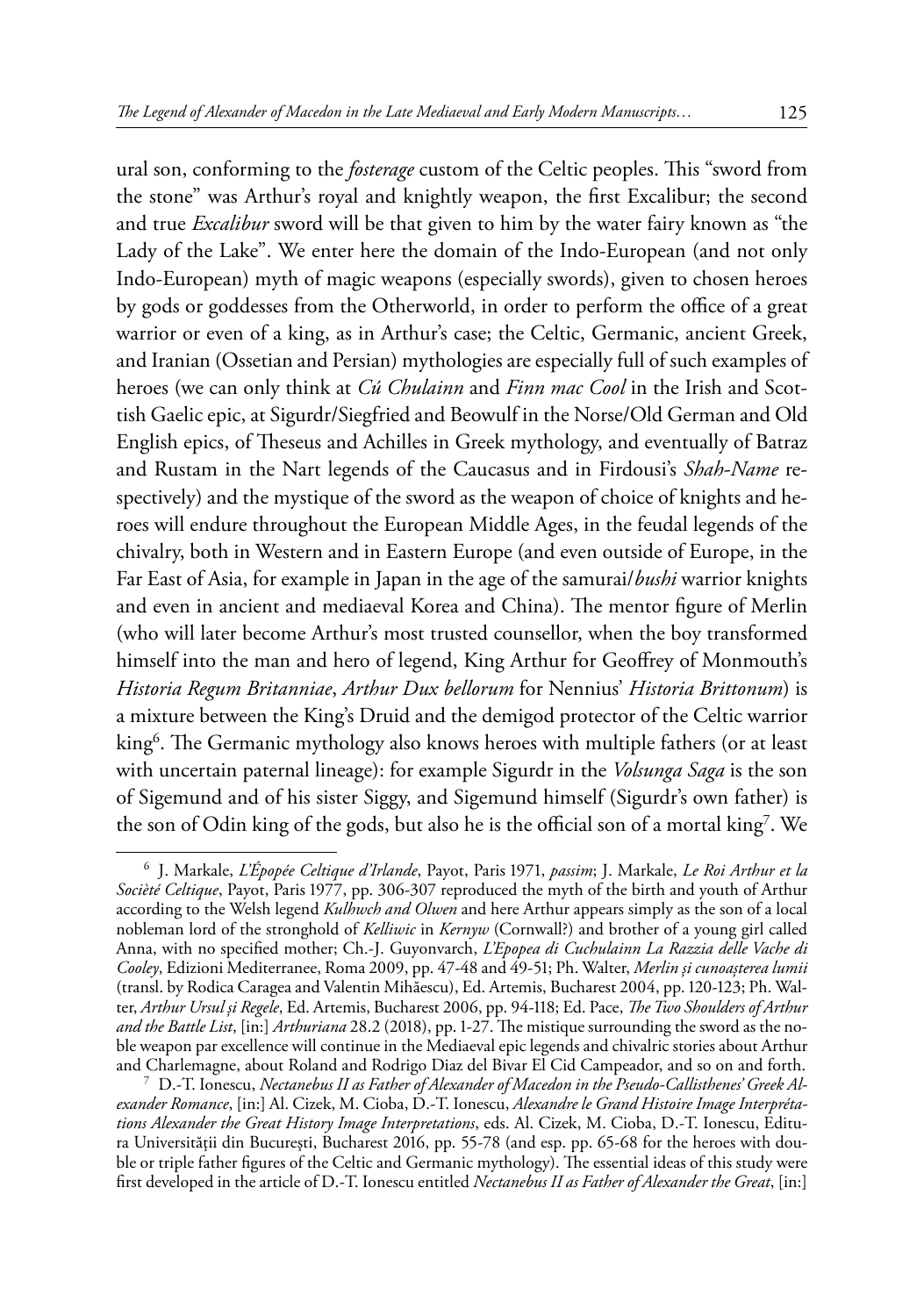ural son, conforming to the *fosterage* custom of the Celtic peoples. This "sword from the stone" was Arthur's royal and knightly weapon, the first Excalibur; the second and true *Excalibur* sword will be that given to him by the water fairy known as "the Lady of the Lake". We enter here the domain of the Indo-European (and not only Indo-European) myth of magic weapons (especially swords), given to chosen heroes by gods or goddesses from the Otherworld, in order to perform the office of a great warrior or even of a king, as in Arthur's case; the Celtic, Germanic, ancient Greek, and Iranian (Ossetian and Persian) mythologies are especially full of such examples of heroes (we can only think at *Cú Chulainn* and *Finn mac Cool* in the Irish and Scottish Gaelic epic, at Sigurdr/Siegfried and Beowulf in the Norse/Old German and Old English epics, of Theseus and Achilles in Greek mythology, and eventually of Batraz and Rustam in the Nart legends of the Caucasus and in Firdousi's *Shah-Name* respectively) and the mystique of the sword as the weapon of choice of knights and heroes will endure throughout the European Middle Ages, in the feudal legends of the chivalry, both in Western and in Eastern Europe (and even outside of Europe, in the Far East of Asia, for example in Japan in the age of the samurai/*bushi* warrior knights and even in ancient and mediaeval Korea and China). The mentor figure of Merlin (who will later become Arthur's most trusted counsellor, when the boy transformed himself into the man and hero of legend, King Arthur for Geoffrey of Monmouth's *Historia Regum Britanniae*, *Arthur Dux bellorum* for Nennius' *Historia Brittonum*) is a mixture between the King's Druid and the demigod protector of the Celtic warrior king<sup>6</sup>. The Germanic mythology also knows heroes with multiple fathers (or at least with uncertain paternal lineage): for example Sigurdr in the *Volsunga Saga* is the son of Sigemund and of his sister Siggy, and Sigemund himself (Sigurdr's own father) is the son of Odin king of the gods, but also he is the official son of a mortal king7 . We

<sup>6</sup> J. Markale, *L'Épopée Celtique d'Irlande*, Payot, Paris 1971, *passim*; J. Markale, *Le Roi Arthur et la Socièté Celtique*, Payot, Paris 1977, pp. 306-307 reproduced the myth of the birth and youth of Arthur according to the Welsh legend *Kulhwch and Olwen* and here Arthur appears simply as the son of a local nobleman lord of the stronghold of *Kelliwic* in *Kernyw* (Cornwall?) and brother of a young girl called Anna, with no specified mother; Ch.-J. Guyonvarch, *L'Epopea di Cuchulainn La Razzia delle Vache di Cooley*, Edizioni Mediterranee, Roma 2009, pp. 47-48 and 49-51; Ph. Walter, *Merlin şi cunoaşterea lumii*  (transl. by Rodica Caragea and Valentin Mihăescu), Ed. Artemis, Bucharest 2004, pp. 120-123; Ph. Walter, *Arthur Ursul şi Regele*, Ed. Artemis, Bucharest 2006, pp. 94-118; Ed. Pace, *The Two Shoulders of Arthur and the Battle List*, [in:] *Arthuriana* 28.2 (2018), pp. 1-27. The mistique surrounding the sword as the noble weapon par excellence will continue in the Mediaeval epic legends and chivalric stories about Arthur and Charlemagne, about Roland and Rodrigo Diaz del Bivar El Cid Campeador, and so on and forth. <sup>7</sup> D.-T. Ionescu, *Nectanebus II as Father of Alexander of Macedon in the Pseudo-Callisthenes' Greek Al-*

*exander Romance*, [in:] Al. Cizek, M. Cioba, D.-T. Ionescu, *Alexandre le Grand Histoire Image Interprétations Alexander the Great History Image Interpretations*, eds. Al. Cizek, M. Cioba, D.-T. Ionescu, Editura Universității din București, Bucharest 2016, pp. 55-78 (and esp. pp. 65-68 for the heroes with double or triple father figures of the Celtic and Germanic mythology). The essential ideas of this study were first developed in the article of D.-T. Ionescu entitled *Nectanebus II as Father of Alexander the Great*, [in:]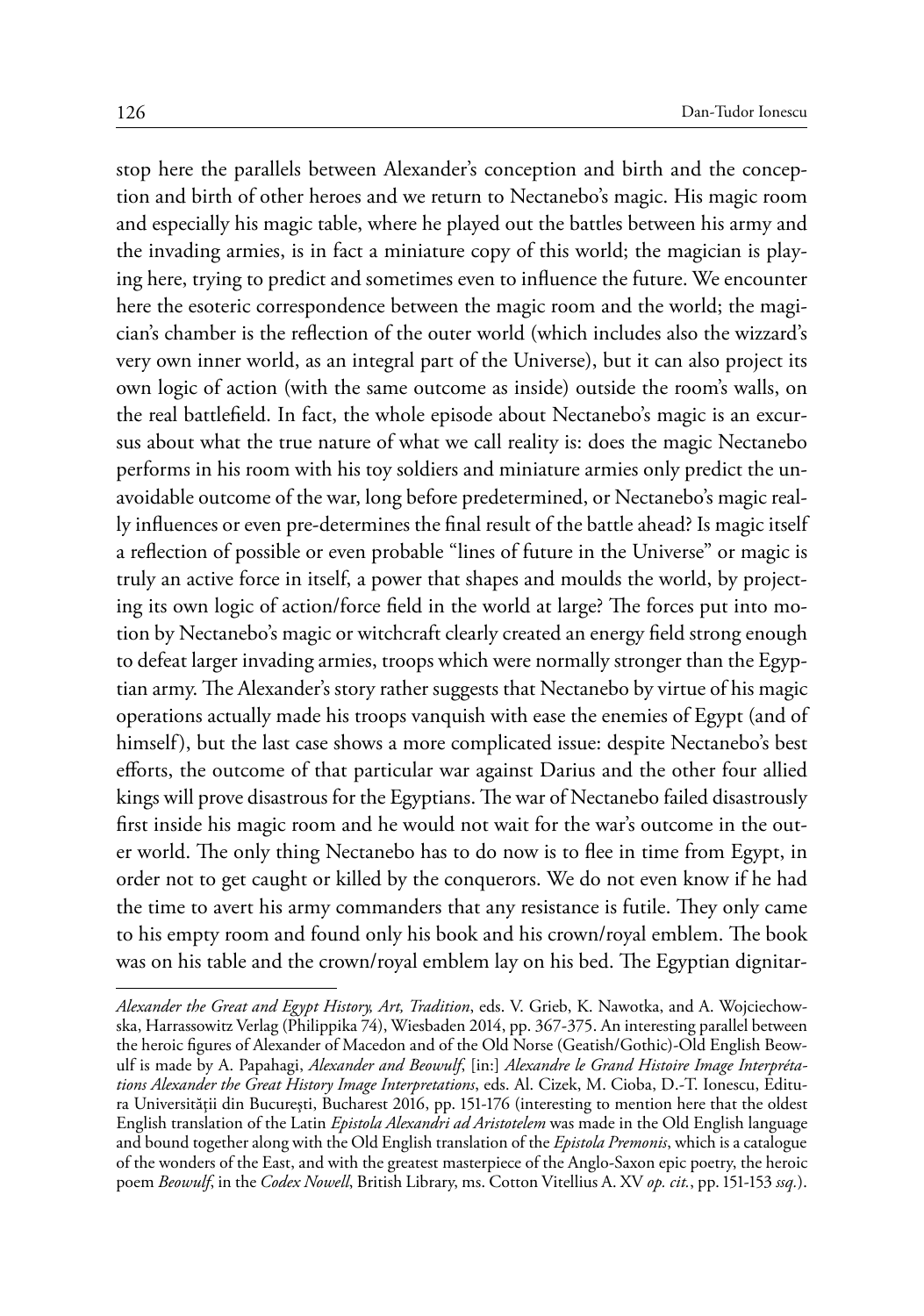stop here the parallels between Alexander's conception and birth and the conception and birth of other heroes and we return to Nectanebo's magic. His magic room and especially his magic table, where he played out the battles between his army and the invading armies, is in fact a miniature copy of this world; the magician is playing here, trying to predict and sometimes even to influence the future. We encounter here the esoteric correspondence between the magic room and the world; the magician's chamber is the reflection of the outer world (which includes also the wizzard's very own inner world, as an integral part of the Universe), but it can also project its own logic of action (with the same outcome as inside) outside the room's walls, on the real battlefield. In fact, the whole episode about Nectanebo's magic is an excursus about what the true nature of what we call reality is: does the magic Nectanebo performs in his room with his toy soldiers and miniature armies only predict the unavoidable outcome of the war, long before predetermined, or Nectanebo's magic really influences or even pre-determines the final result of the battle ahead? Is magic itself a reflection of possible or even probable "lines of future in the Universe" or magic is truly an active force in itself, a power that shapes and moulds the world, by projecting its own logic of action/force field in the world at large? The forces put into motion by Nectanebo's magic or witchcraft clearly created an energy field strong enough to defeat larger invading armies, troops which were normally stronger than the Egyptian army. The Alexander's story rather suggests that Nectanebo by virtue of his magic operations actually made his troops vanquish with ease the enemies of Egypt (and of himself), but the last case shows a more complicated issue: despite Nectanebo's best efforts, the outcome of that particular war against Darius and the other four allied kings will prove disastrous for the Egyptians. The war of Nectanebo failed disastrously first inside his magic room and he would not wait for the war's outcome in the outer world. The only thing Nectanebo has to do now is to flee in time from Egypt, in order not to get caught or killed by the conquerors. We do not even know if he had the time to avert his army commanders that any resistance is futile. They only came to his empty room and found only his book and his crown/royal emblem. The book was on his table and the crown/royal emblem lay on his bed. The Egyptian dignitar-

*Alexander the Great and Egypt History, Art, Tradition*, eds. V. Grieb, K. Nawotka, and A. Wojciechowska, Harrassowitz Verlag (Philippika 74), Wiesbaden 2014, pp. 367-375. An interesting parallel between the heroic figures of Alexander of Macedon and of the Old Norse (Geatish/Gothic)-Old English Beowulf is made by A. Papahagi, *Alexander and Beowulf*, [in:] *Alexandre le Grand Histoire Image Interprétations Alexander the Great History Image Interpretations*, eds. Al. Cizek, M. Cioba, D.-T. Ionescu, Editura Universităţii din Bucureşti, Bucharest 2016, pp. 151-176 (interesting to mention here that the oldest English translation of the Latin *Epistola Alexandri ad Aristotelem* was made in the Old English language and bound together along with the Old English translation of the *Epistola Premonis*, which is a catalogue of the wonders of the East, and with the greatest masterpiece of the Anglo-Saxon epic poetry, the heroic poem *Beowulf*, in the *Codex Nowell*, British Library, ms. Cotton Vitellius A. XV *op. cit.*, pp. 151-153 *ssq.*).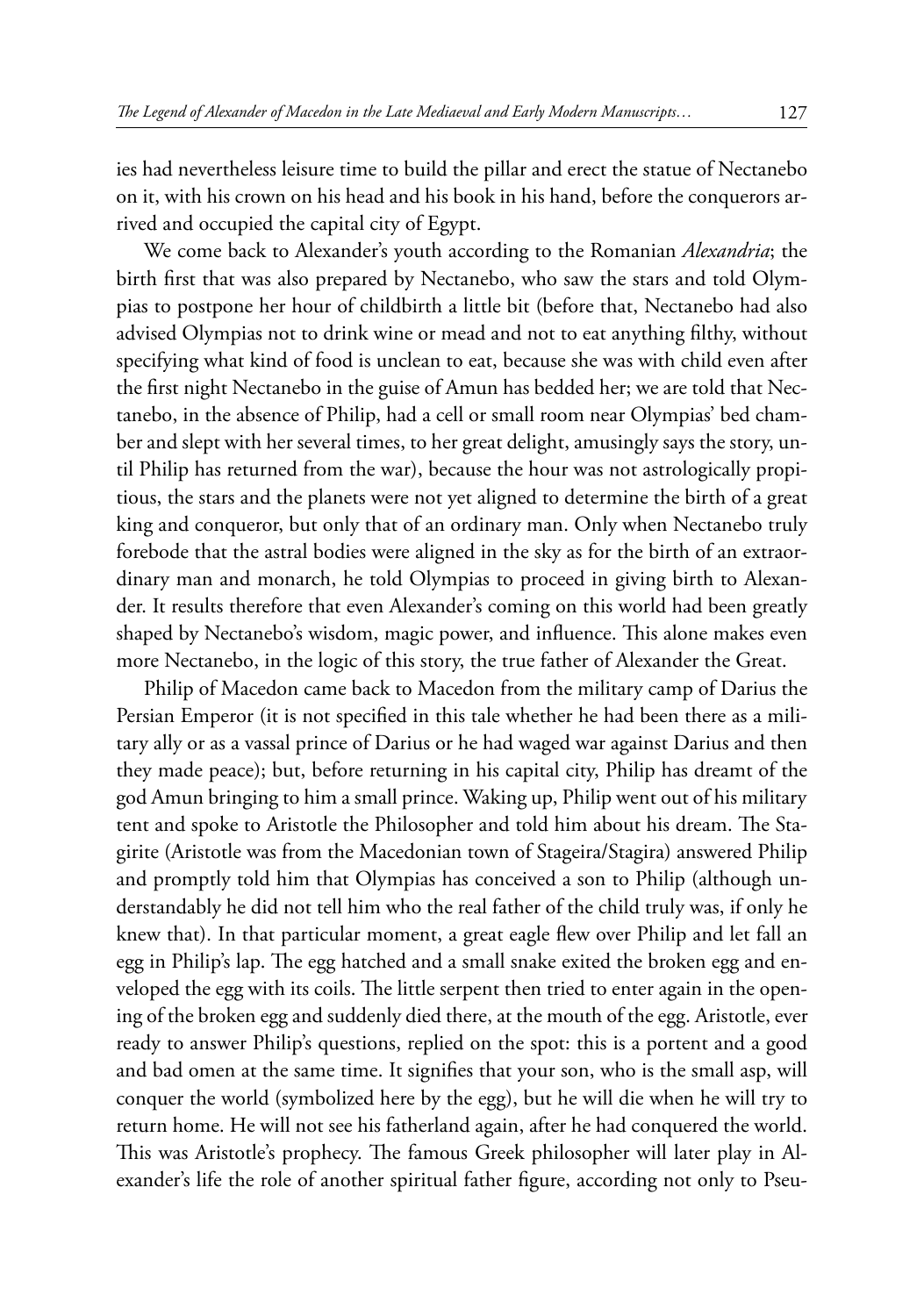ies had nevertheless leisure time to build the pillar and erect the statue of Nectanebo on it, with his crown on his head and his book in his hand, before the conquerors arrived and occupied the capital city of Egypt.

We come back to Alexander's youth according to the Romanian *Alexandria*; the birth first that was also prepared by Nectanebo, who saw the stars and told Olympias to postpone her hour of childbirth a little bit (before that, Nectanebo had also advised Olympias not to drink wine or mead and not to eat anything filthy, without specifying what kind of food is unclean to eat, because she was with child even after the first night Nectanebo in the guise of Amun has bedded her; we are told that Nectanebo, in the absence of Philip, had a cell or small room near Olympias' bed chamber and slept with her several times, to her great delight, amusingly says the story, until Philip has returned from the war), because the hour was not astrologically propitious, the stars and the planets were not yet aligned to determine the birth of a great king and conqueror, but only that of an ordinary man. Only when Nectanebo truly forebode that the astral bodies were aligned in the sky as for the birth of an extraordinary man and monarch, he told Olympias to proceed in giving birth to Alexander. It results therefore that even Alexander's coming on this world had been greatly shaped by Nectanebo's wisdom, magic power, and influence. This alone makes even more Nectanebo, in the logic of this story, the true father of Alexander the Great.

Philip of Macedon came back to Macedon from the military camp of Darius the Persian Emperor (it is not specified in this tale whether he had been there as a military ally or as a vassal prince of Darius or he had waged war against Darius and then they made peace); but, before returning in his capital city, Philip has dreamt of the god Amun bringing to him a small prince. Waking up, Philip went out of his military tent and spoke to Aristotle the Philosopher and told him about his dream. The Stagirite (Aristotle was from the Macedonian town of Stageira/Stagira) answered Philip and promptly told him that Olympias has conceived a son to Philip (although understandably he did not tell him who the real father of the child truly was, if only he knew that). In that particular moment, a great eagle flew over Philip and let fall an egg in Philip's lap. The egg hatched and a small snake exited the broken egg and enveloped the egg with its coils. The little serpent then tried to enter again in the opening of the broken egg and suddenly died there, at the mouth of the egg. Aristotle, ever ready to answer Philip's questions, replied on the spot: this is a portent and a good and bad omen at the same time. It signifies that your son, who is the small asp, will conquer the world (symbolized here by the egg), but he will die when he will try to return home. He will not see his fatherland again, after he had conquered the world. This was Aristotle's prophecy. The famous Greek philosopher will later play in Alexander's life the role of another spiritual father figure, according not only to Pseu-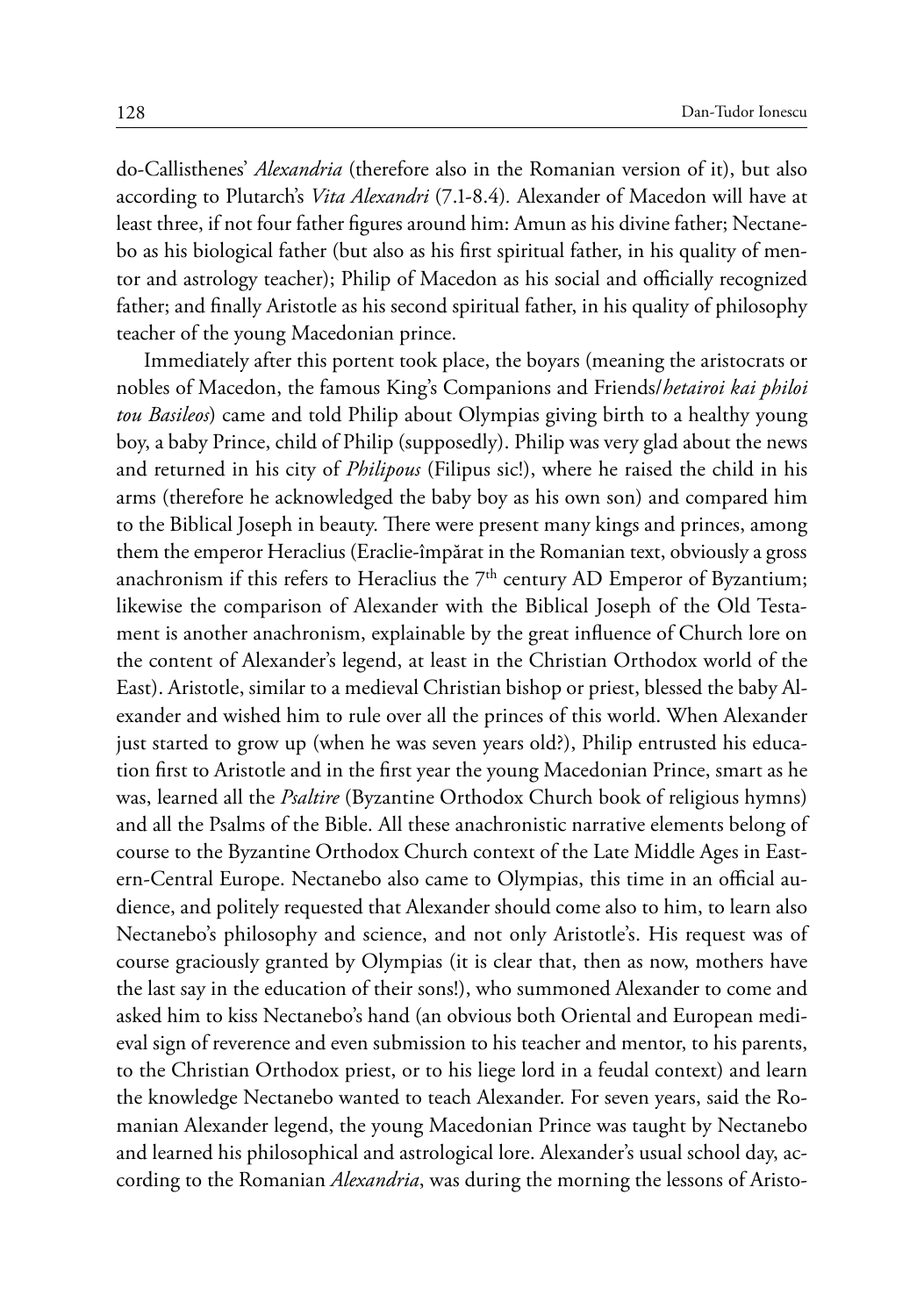do-Callisthenes' *Alexandria* (therefore also in the Romanian version of it), but also according to Plutarch's *Vita Alexandri* (7.1-8.4)*.* Alexander of Macedon will have at least three, if not four father figures around him: Amun as his divine father; Nectanebo as his biological father (but also as his first spiritual father, in his quality of mentor and astrology teacher); Philip of Macedon as his social and officially recognized father; and finally Aristotle as his second spiritual father, in his quality of philosophy teacher of the young Macedonian prince.

Immediately after this portent took place, the boyars (meaning the aristocrats or nobles of Macedon, the famous King's Companions and Friends/*hetairoi kai philoi tou Basileos*) came and told Philip about Olympias giving birth to a healthy young boy, a baby Prince, child of Philip (supposedly). Philip was very glad about the news and returned in his city of *Philipous* (Filipus sic!), where he raised the child in his arms (therefore he acknowledged the baby boy as his own son) and compared him to the Biblical Joseph in beauty. There were present many kings and princes, among them the emperor Heraclius (Eraclie-împărat in the Romanian text, obviously a gross anachronism if this refers to Heraclius the  $7<sup>th</sup>$  century AD Emperor of Byzantium; likewise the comparison of Alexander with the Biblical Joseph of the Old Testament is another anachronism, explainable by the great influence of Church lore on the content of Alexander's legend, at least in the Christian Orthodox world of the East). Aristotle, similar to a medieval Christian bishop or priest, blessed the baby Alexander and wished him to rule over all the princes of this world. When Alexander just started to grow up (when he was seven years old?), Philip entrusted his education first to Aristotle and in the first year the young Macedonian Prince, smart as he was, learned all the *Psaltire* (Byzantine Orthodox Church book of religious hymns) and all the Psalms of the Bible. All these anachronistic narrative elements belong of course to the Byzantine Orthodox Church context of the Late Middle Ages in Eastern-Central Europe. Nectanebo also came to Olympias, this time in an official audience, and politely requested that Alexander should come also to him, to learn also Nectanebo's philosophy and science, and not only Aristotle's. His request was of course graciously granted by Olympias (it is clear that, then as now, mothers have the last say in the education of their sons!), who summoned Alexander to come and asked him to kiss Nectanebo's hand (an obvious both Oriental and European medieval sign of reverence and even submission to his teacher and mentor, to his parents, to the Christian Orthodox priest, or to his liege lord in a feudal context) and learn the knowledge Nectanebo wanted to teach Alexander. For seven years, said the Romanian Alexander legend, the young Macedonian Prince was taught by Nectanebo and learned his philosophical and astrological lore. Alexander's usual school day, according to the Romanian *Alexandria*, was during the morning the lessons of Aristo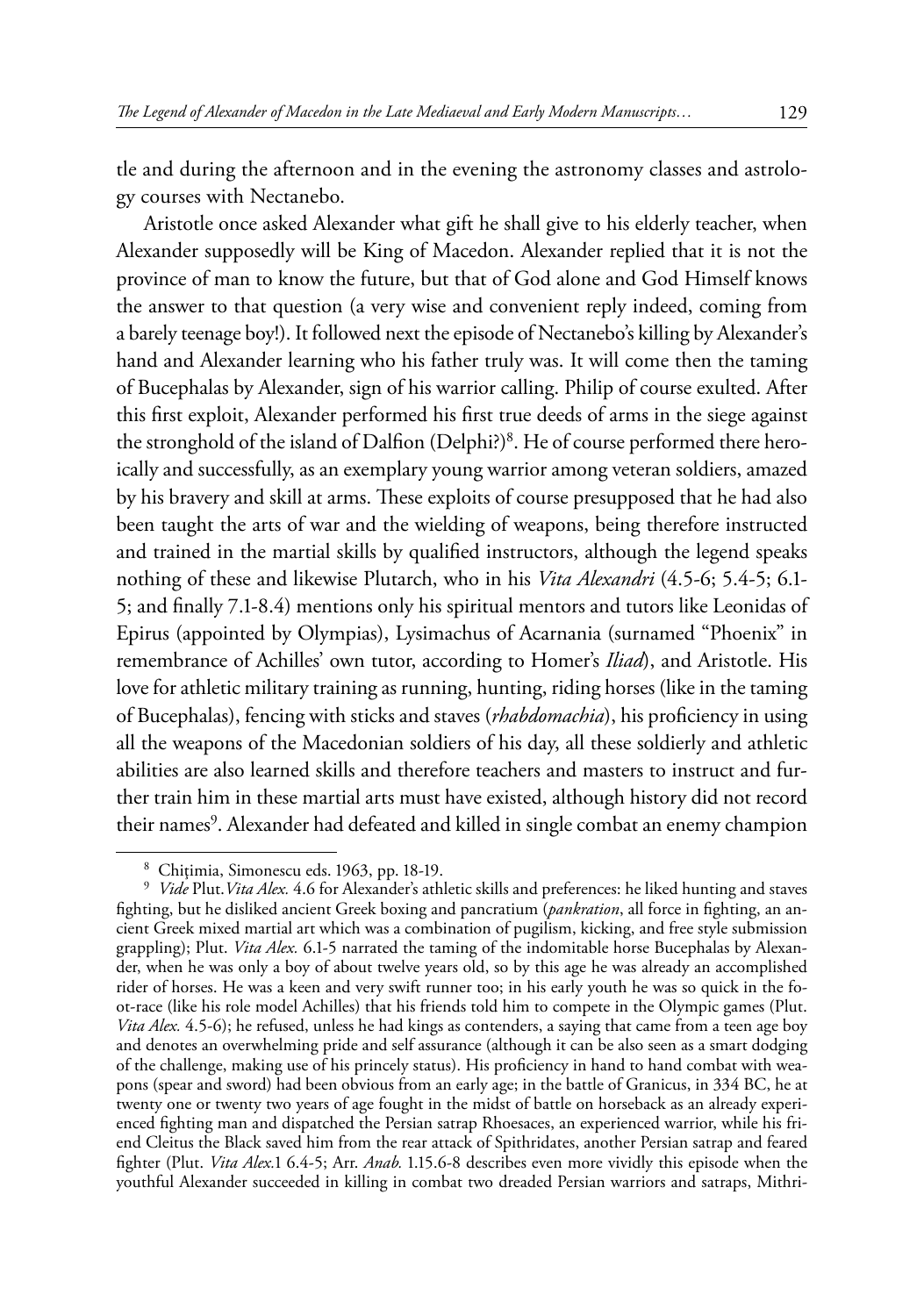tle and during the afternoon and in the evening the astronomy classes and astrology courses with Nectanebo.

Aristotle once asked Alexander what gift he shall give to his elderly teacher, when Alexander supposedly will be King of Macedon. Alexander replied that it is not the province of man to know the future, but that of God alone and God Himself knows the answer to that question (a very wise and convenient reply indeed, coming from a barely teenage boy!). It followed next the episode of Nectanebo's killing by Alexander's hand and Alexander learning who his father truly was. It will come then the taming of Bucephalas by Alexander, sign of his warrior calling. Philip of course exulted. After this first exploit, Alexander performed his first true deeds of arms in the siege against the stronghold of the island of Dalfion (Delphi?)<sup>8</sup>. He of course performed there heroically and successfully, as an exemplary young warrior among veteran soldiers, amazed by his bravery and skill at arms. These exploits of course presupposed that he had also been taught the arts of war and the wielding of weapons, being therefore instructed and trained in the martial skills by qualified instructors, although the legend speaks nothing of these and likewise Plutarch, who in his *Vita Alexandri* (4.5-6; 5.4-5; 6.1- 5; and finally 7.1-8.4) mentions only his spiritual mentors and tutors like Leonidas of Epirus (appointed by Olympias), Lysimachus of Acarnania (surnamed "Phoenix" in remembrance of Achilles' own tutor, according to Homer's *Iliad*), and Aristotle. His love for athletic military training as running, hunting, riding horses (like in the taming of Bucephalas), fencing with sticks and staves (*rhabdomachia*), his proficiency in using all the weapons of the Macedonian soldiers of his day, all these soldierly and athletic abilities are also learned skills and therefore teachers and masters to instruct and further train him in these martial arts must have existed, although history did not record their names<sup>9</sup>. Alexander had defeated and killed in single combat an enemy champion

<sup>8</sup> Chiţimia, Simonescu eds. 1963, pp. 18-19. <sup>9</sup> *Vide* Plut.*Vita Alex.* 4.6 for Alexander's athletic skills and preferences: he liked hunting and staves fighting, but he disliked ancient Greek boxing and pancratium (*pankration*, all force in fighting, an ancient Greek mixed martial art which was a combination of pugilism, kicking, and free style submission grappling); Plut. *Vita Alex.* 6.1-5 narrated the taming of the indomitable horse Bucephalas by Alexander, when he was only a boy of about twelve years old, so by this age he was already an accomplished rider of horses. He was a keen and very swift runner too; in his early youth he was so quick in the foot-race (like his role model Achilles) that his friends told him to compete in the Olympic games (Plut. *Vita Alex.* 4.5-6); he refused, unless he had kings as contenders, a saying that came from a teen age boy and denotes an overwhelming pride and self assurance (although it can be also seen as a smart dodging of the challenge, making use of his princely status). His proficiency in hand to hand combat with weapons (spear and sword) had been obvious from an early age; in the battle of Granicus, in 334 BC, he at twenty one or twenty two years of age fought in the midst of battle on horseback as an already experienced fighting man and dispatched the Persian satrap Rhoesaces, an experienced warrior, while his friend Cleitus the Black saved him from the rear attack of Spithridates, another Persian satrap and feared fighter (Plut. *Vita Alex.*1 6.4-5; Arr. *Anab.* 1.15.6-8 describes even more vividly this episode when the youthful Alexander succeeded in killing in combat two dreaded Persian warriors and satraps, Mithri-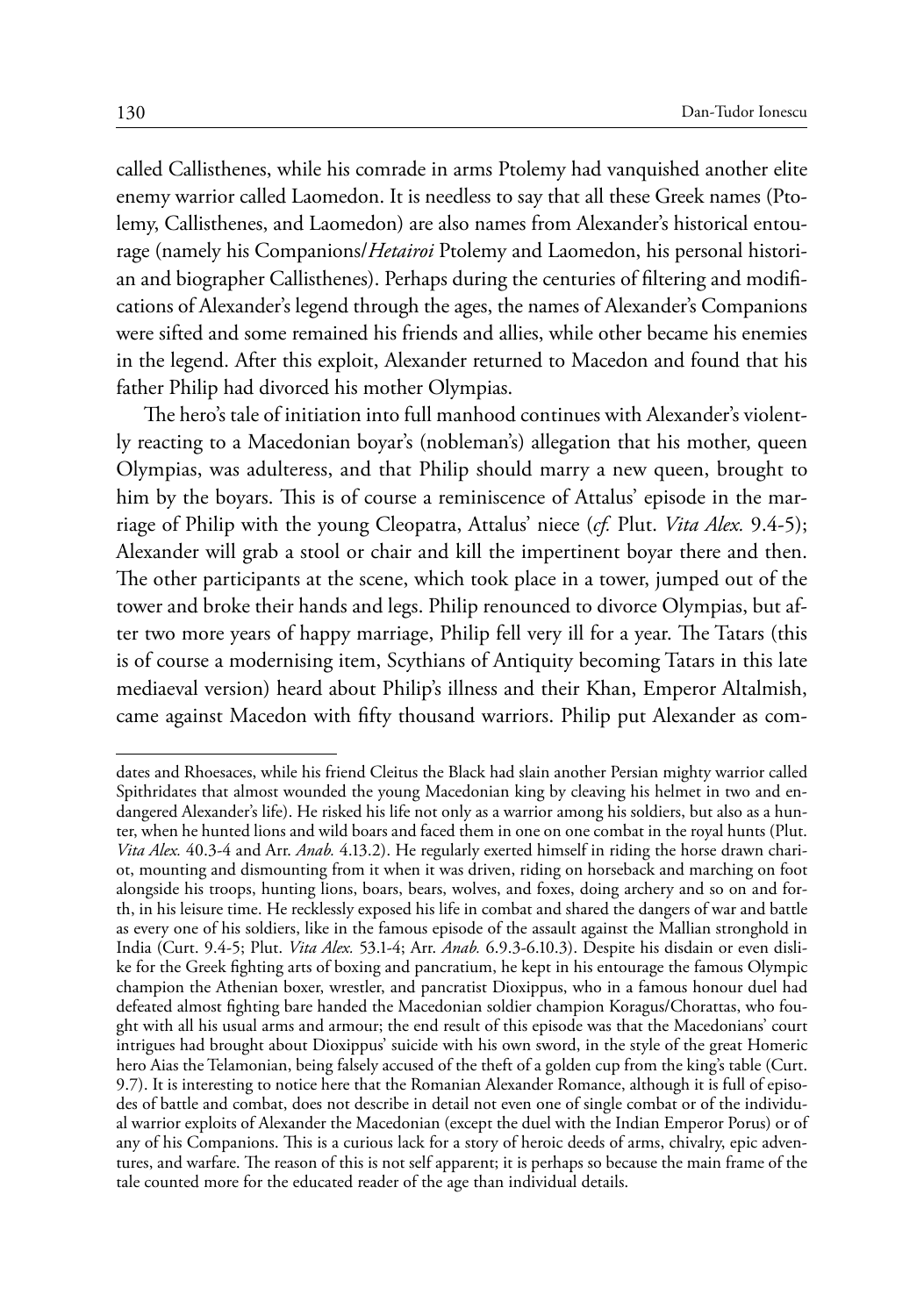called Callisthenes, while his comrade in arms Ptolemy had vanquished another elite enemy warrior called Laomedon. It is needless to say that all these Greek names (Ptolemy, Callisthenes, and Laomedon) are also names from Alexander's historical entourage (namely his Companions/*Hetairoi* Ptolemy and Laomedon, his personal historian and biographer Callisthenes). Perhaps during the centuries of filtering and modifications of Alexander's legend through the ages, the names of Alexander's Companions were sifted and some remained his friends and allies, while other became his enemies in the legend. After this exploit, Alexander returned to Macedon and found that his father Philip had divorced his mother Olympias.

The hero's tale of initiation into full manhood continues with Alexander's violently reacting to a Macedonian boyar's (nobleman's) allegation that his mother, queen Olympias, was adulteress, and that Philip should marry a new queen, brought to him by the boyars. This is of course a reminiscence of Attalus' episode in the marriage of Philip with the young Cleopatra, Attalus' niece (*cf.* Plut. *Vita Alex.* 9.4-5); Alexander will grab a stool or chair and kill the impertinent boyar there and then. The other participants at the scene, which took place in a tower, jumped out of the tower and broke their hands and legs. Philip renounced to divorce Olympias, but after two more years of happy marriage, Philip fell very ill for a year. The Tatars (this is of course a modernising item, Scythians of Antiquity becoming Tatars in this late mediaeval version) heard about Philip's illness and their Khan, Emperor Altalmish, came against Macedon with fifty thousand warriors. Philip put Alexander as com-

dates and Rhoesaces, while his friend Cleitus the Black had slain another Persian mighty warrior called Spithridates that almost wounded the young Macedonian king by cleaving his helmet in two and endangered Alexander's life). He risked his life not only as a warrior among his soldiers, but also as a hunter, when he hunted lions and wild boars and faced them in one on one combat in the royal hunts (Plut. *Vita Alex.* 40.3-4 and Arr. *Anab.* 4.13.2). He regularly exerted himself in riding the horse drawn chariot, mounting and dismounting from it when it was driven, riding on horseback and marching on foot alongside his troops, hunting lions, boars, bears, wolves, and foxes, doing archery and so on and forth, in his leisure time. He recklessly exposed his life in combat and shared the dangers of war and battle as every one of his soldiers, like in the famous episode of the assault against the Mallian stronghold in India (Curt. 9.4-5; Plut. *Vita Alex.* 53.1-4; Arr. *Anab.* 6.9.3-6.10.3). Despite his disdain or even dislike for the Greek fighting arts of boxing and pancratium, he kept in his entourage the famous Olympic champion the Athenian boxer, wrestler, and pancratist Dioxippus, who in a famous honour duel had defeated almost fighting bare handed the Macedonian soldier champion Koragus/Chorattas, who fought with all his usual arms and armour; the end result of this episode was that the Macedonians' court intrigues had brought about Dioxippus' suicide with his own sword, in the style of the great Homeric hero Aias the Telamonian, being falsely accused of the theft of a golden cup from the king's table (Curt. 9.7). It is interesting to notice here that the Romanian Alexander Romance, although it is full of episodes of battle and combat, does not describe in detail not even one of single combat or of the individual warrior exploits of Alexander the Macedonian (except the duel with the Indian Emperor Porus) or of any of his Companions. This is a curious lack for a story of heroic deeds of arms, chivalry, epic adventures, and warfare. The reason of this is not self apparent; it is perhaps so because the main frame of the tale counted more for the educated reader of the age than individual details.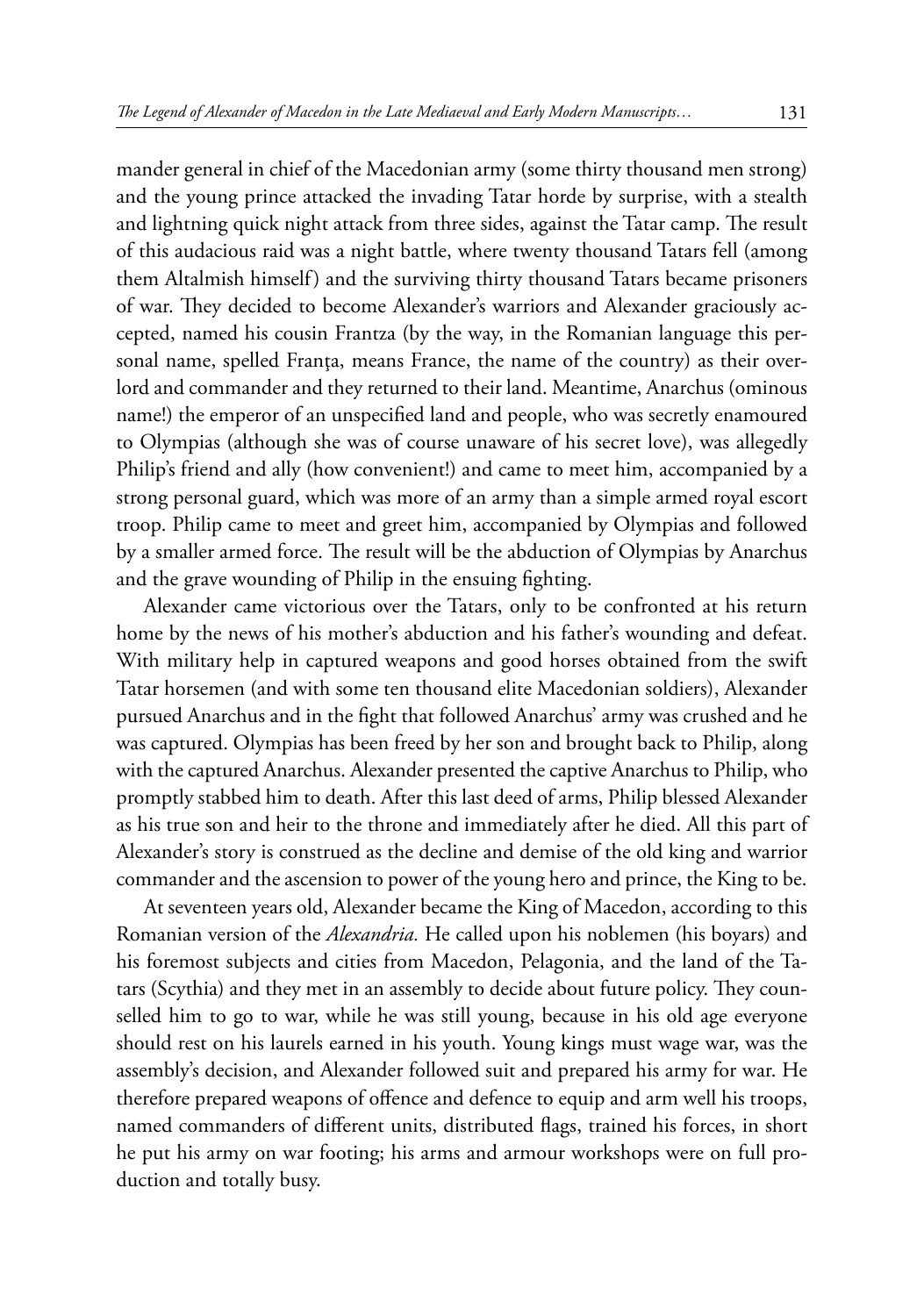mander general in chief of the Macedonian army (some thirty thousand men strong) and the young prince attacked the invading Tatar horde by surprise, with a stealth and lightning quick night attack from three sides, against the Tatar camp. The result of this audacious raid was a night battle, where twenty thousand Tatars fell (among them Altalmish himself) and the surviving thirty thousand Tatars became prisoners of war. They decided to become Alexander's warriors and Alexander graciously accepted, named his cousin Frantza (by the way, in the Romanian language this personal name, spelled Franța, means France, the name of the country) as their overlord and commander and they returned to their land. Meantime, Anarchus (ominous name!) the emperor of an unspecified land and people, who was secretly enamoured to Olympias (although she was of course unaware of his secret love), was allegedly Philip's friend and ally (how convenient!) and came to meet him, accompanied by a strong personal guard, which was more of an army than a simple armed royal escort troop. Philip came to meet and greet him, accompanied by Olympias and followed by a smaller armed force. The result will be the abduction of Olympias by Anarchus and the grave wounding of Philip in the ensuing fighting.

Alexander came victorious over the Tatars, only to be confronted at his return home by the news of his mother's abduction and his father's wounding and defeat. With military help in captured weapons and good horses obtained from the swift Tatar horsemen (and with some ten thousand elite Macedonian soldiers), Alexander pursued Anarchus and in the fight that followed Anarchus' army was crushed and he was captured. Olympias has been freed by her son and brought back to Philip, along with the captured Anarchus. Alexander presented the captive Anarchus to Philip, who promptly stabbed him to death. After this last deed of arms, Philip blessed Alexander as his true son and heir to the throne and immediately after he died. All this part of Alexander's story is construed as the decline and demise of the old king and warrior commander and the ascension to power of the young hero and prince, the King to be.

At seventeen years old, Alexander became the King of Macedon, according to this Romanian version of the *Alexandria.* He called upon his noblemen (his boyars) and his foremost subjects and cities from Macedon, Pelagonia, and the land of the Tatars (Scythia) and they met in an assembly to decide about future policy. They counselled him to go to war, while he was still young, because in his old age everyone should rest on his laurels earned in his youth. Young kings must wage war, was the assembly's decision, and Alexander followed suit and prepared his army for war. He therefore prepared weapons of offence and defence to equip and arm well his troops, named commanders of different units, distributed flags, trained his forces, in short he put his army on war footing; his arms and armour workshops were on full production and totally busy.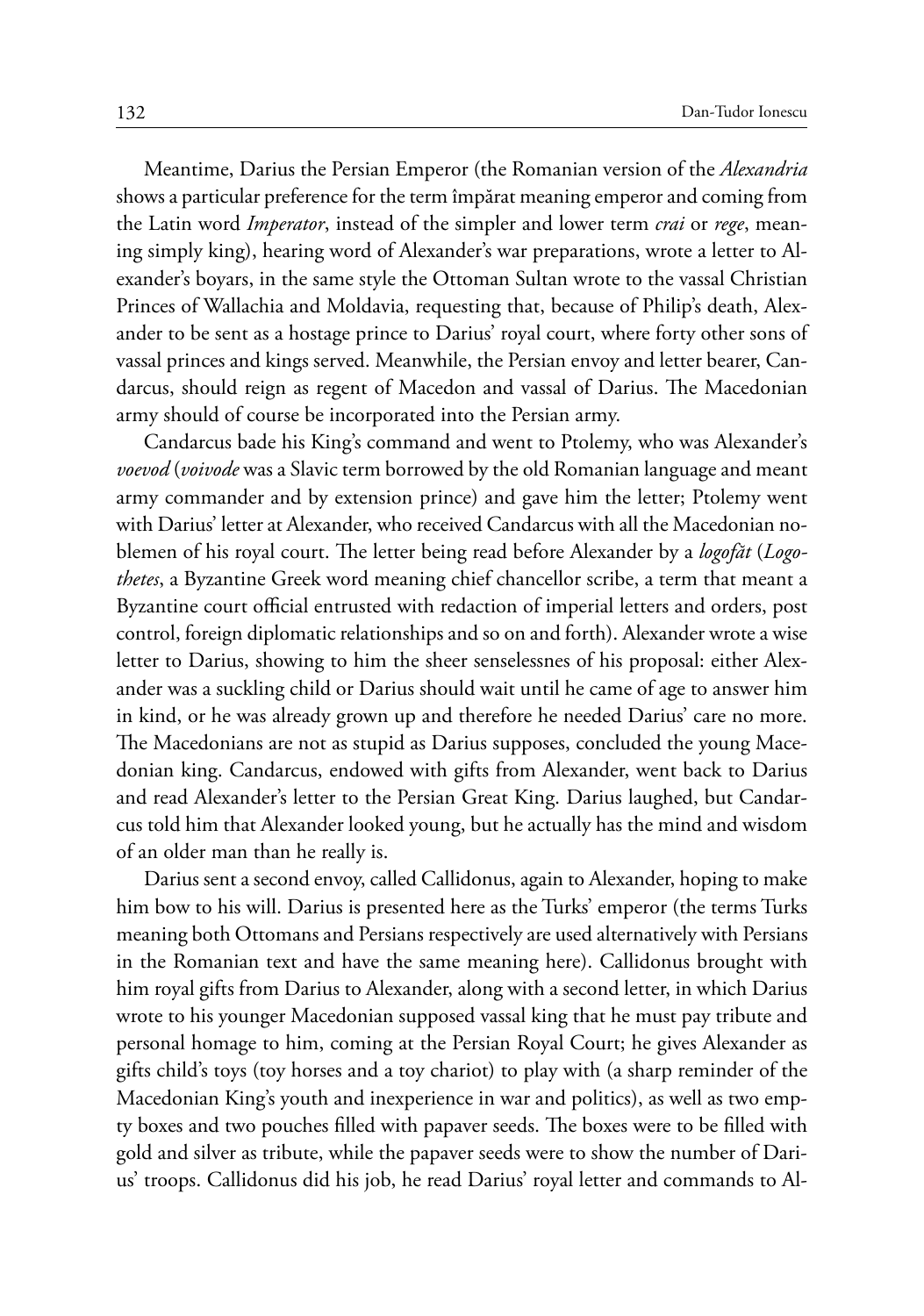Meantime, Darius the Persian Emperor (the Romanian version of the *Alexandria*  shows a particular preference for the term împărat meaning emperor and coming from the Latin word *Imperator*, instead of the simpler and lower term *crai* or *rege*, meaning simply king), hearing word of Alexander's war preparations, wrote a letter to Alexander's boyars, in the same style the Ottoman Sultan wrote to the vassal Christian Princes of Wallachia and Moldavia, requesting that, because of Philip's death, Alexander to be sent as a hostage prince to Darius' royal court, where forty other sons of vassal princes and kings served. Meanwhile, the Persian envoy and letter bearer, Candarcus, should reign as regent of Macedon and vassal of Darius. The Macedonian army should of course be incorporated into the Persian army.

Candarcus bade his King's command and went to Ptolemy, who was Alexander's *voevod* (*voivode* was a Slavic term borrowed by the old Romanian language and meant army commander and by extension prince) and gave him the letter; Ptolemy went with Darius' letter at Alexander, who received Candarcus with all the Macedonian noblemen of his royal court. The letter being read before Alexander by a *logofăt* (*Logothetes*, a Byzantine Greek word meaning chief chancellor scribe, a term that meant a Byzantine court official entrusted with redaction of imperial letters and orders, post control, foreign diplomatic relationships and so on and forth). Alexander wrote a wise letter to Darius, showing to him the sheer senselessnes of his proposal: either Alexander was a suckling child or Darius should wait until he came of age to answer him in kind, or he was already grown up and therefore he needed Darius' care no more. The Macedonians are not as stupid as Darius supposes, concluded the young Macedonian king. Candarcus, endowed with gifts from Alexander, went back to Darius and read Alexander's letter to the Persian Great King. Darius laughed, but Candarcus told him that Alexander looked young, but he actually has the mind and wisdom of an older man than he really is.

Darius sent a second envoy, called Callidonus, again to Alexander, hoping to make him bow to his will. Darius is presented here as the Turks' emperor (the terms Turks meaning both Ottomans and Persians respectively are used alternatively with Persians in the Romanian text and have the same meaning here). Callidonus brought with him royal gifts from Darius to Alexander, along with a second letter, in which Darius wrote to his younger Macedonian supposed vassal king that he must pay tribute and personal homage to him, coming at the Persian Royal Court; he gives Alexander as gifts child's toys (toy horses and a toy chariot) to play with (a sharp reminder of the Macedonian King's youth and inexperience in war and politics), as well as two empty boxes and two pouches filled with papaver seeds. The boxes were to be filled with gold and silver as tribute, while the papaver seeds were to show the number of Darius' troops. Callidonus did his job, he read Darius' royal letter and commands to Al-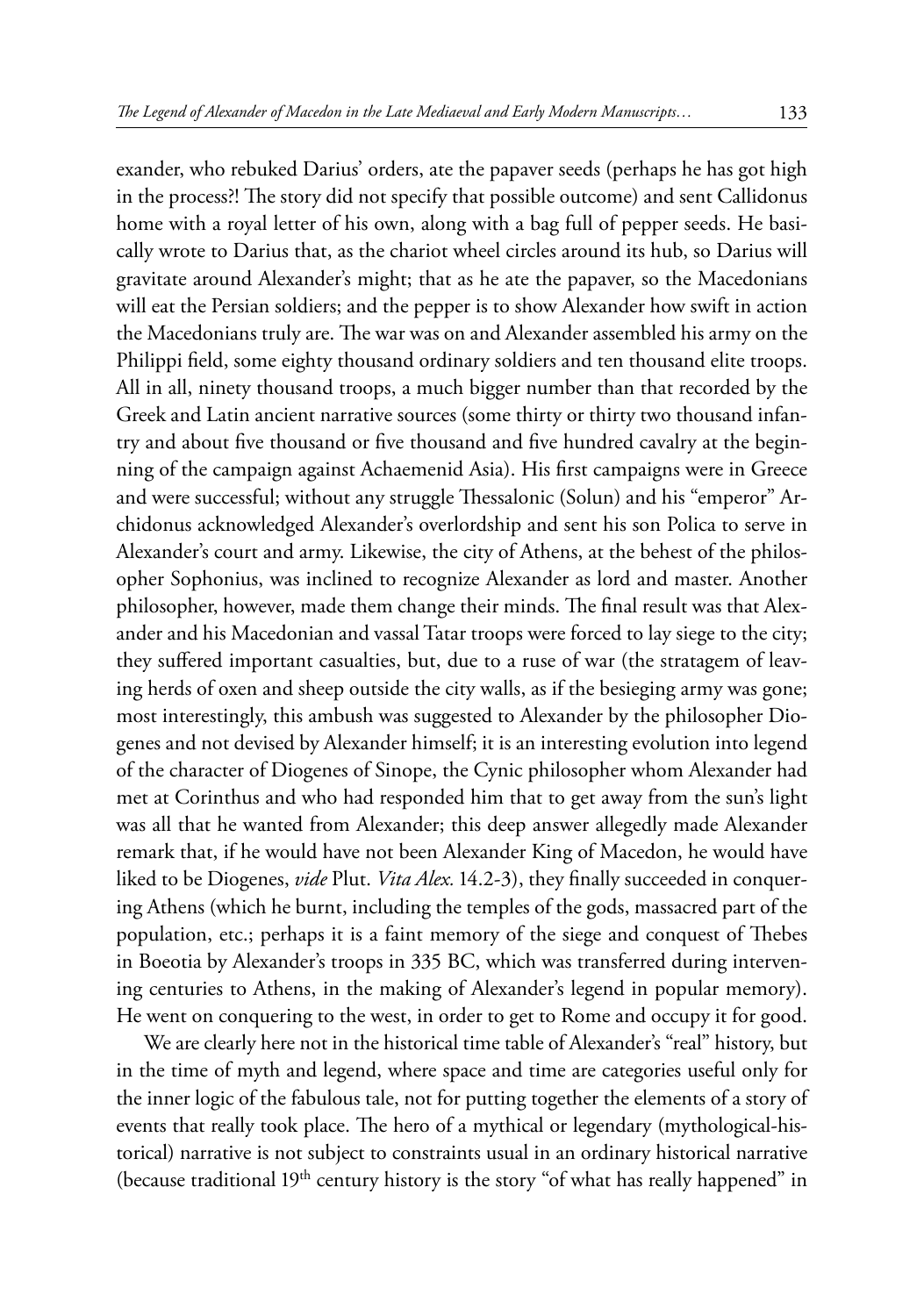exander, who rebuked Darius' orders, ate the papaver seeds (perhaps he has got high in the process?! The story did not specify that possible outcome) and sent Callidonus home with a royal letter of his own, along with a bag full of pepper seeds. He basically wrote to Darius that, as the chariot wheel circles around its hub, so Darius will gravitate around Alexander's might; that as he ate the papaver, so the Macedonians will eat the Persian soldiers; and the pepper is to show Alexander how swift in action the Macedonians truly are. The war was on and Alexander assembled his army on the Philippi field, some eighty thousand ordinary soldiers and ten thousand elite troops. All in all, ninety thousand troops, a much bigger number than that recorded by the Greek and Latin ancient narrative sources (some thirty or thirty two thousand infantry and about five thousand or five thousand and five hundred cavalry at the beginning of the campaign against Achaemenid Asia). His first campaigns were in Greece and were successful; without any struggle Thessalonic (Solun) and his "emperor" Archidonus acknowledged Alexander's overlordship and sent his son Polica to serve in Alexander's court and army. Likewise, the city of Athens, at the behest of the philosopher Sophonius, was inclined to recognize Alexander as lord and master. Another philosopher, however, made them change their minds. The final result was that Alexander and his Macedonian and vassal Tatar troops were forced to lay siege to the city; they suffered important casualties, but, due to a ruse of war (the stratagem of leaving herds of oxen and sheep outside the city walls, as if the besieging army was gone; most interestingly, this ambush was suggested to Alexander by the philosopher Diogenes and not devised by Alexander himself; it is an interesting evolution into legend of the character of Diogenes of Sinope, the Cynic philosopher whom Alexander had met at Corinthus and who had responded him that to get away from the sun's light was all that he wanted from Alexander; this deep answer allegedly made Alexander remark that, if he would have not been Alexander King of Macedon, he would have liked to be Diogenes, *vide* Plut. *Vita Alex.* 14.2-3), they finally succeeded in conquering Athens (which he burnt, including the temples of the gods, massacred part of the population, etc.; perhaps it is a faint memory of the siege and conquest of Thebes in Boeotia by Alexander's troops in 335 BC, which was transferred during intervening centuries to Athens, in the making of Alexander's legend in popular memory). He went on conquering to the west, in order to get to Rome and occupy it for good.

We are clearly here not in the historical time table of Alexander's "real" history, but in the time of myth and legend, where space and time are categories useful only for the inner logic of the fabulous tale, not for putting together the elements of a story of events that really took place. The hero of a mythical or legendary (mythological-historical) narrative is not subject to constraints usual in an ordinary historical narrative (because traditional 19<sup>th</sup> century history is the story "of what has really happened" in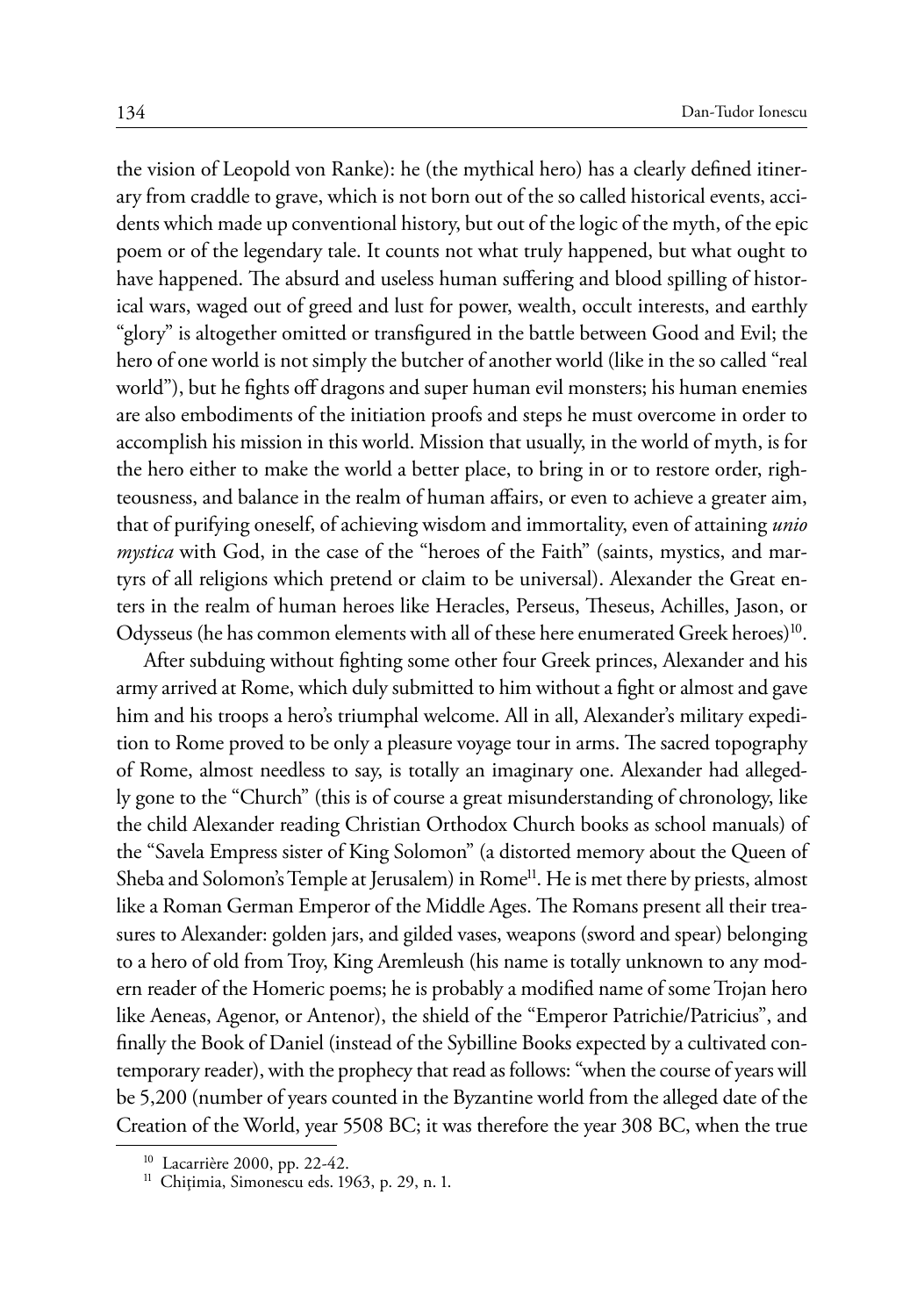the vision of Leopold von Ranke): he (the mythical hero) has a clearly defined itinerary from craddle to grave, which is not born out of the so called historical events, accidents which made up conventional history, but out of the logic of the myth, of the epic poem or of the legendary tale. It counts not what truly happened, but what ought to have happened. The absurd and useless human suffering and blood spilling of historical wars, waged out of greed and lust for power, wealth, occult interests, and earthly "glory" is altogether omitted or transfigured in the battle between Good and Evil; the hero of one world is not simply the butcher of another world (like in the so called "real world"), but he fights off dragons and super human evil monsters; his human enemies are also embodiments of the initiation proofs and steps he must overcome in order to accomplish his mission in this world. Mission that usually, in the world of myth, is for the hero either to make the world a better place, to bring in or to restore order, righteousness, and balance in the realm of human affairs, or even to achieve a greater aim, that of purifying oneself, of achieving wisdom and immortality, even of attaining *unio mystica* with God, in the case of the "heroes of the Faith" (saints, mystics, and martyrs of all religions which pretend or claim to be universal). Alexander the Great enters in the realm of human heroes like Heracles, Perseus, Theseus, Achilles, Jason, or Odysseus (he has common elements with all of these here enumerated Greek heroes)10.

After subduing without fighting some other four Greek princes, Alexander and his army arrived at Rome, which duly submitted to him without a fight or almost and gave him and his troops a hero's triumphal welcome. All in all, Alexander's military expedition to Rome proved to be only a pleasure voyage tour in arms. The sacred topography of Rome, almost needless to say, is totally an imaginary one. Alexander had allegedly gone to the "Church" (this is of course a great misunderstanding of chronology, like the child Alexander reading Christian Orthodox Church books as school manuals) of the "Savela Empress sister of King Solomon" (a distorted memory about the Queen of Sheba and Solomon's Temple at Jerusalem) in Rome<sup>11</sup>. He is met there by priests, almost like a Roman German Emperor of the Middle Ages. The Romans present all their treasures to Alexander: golden jars, and gilded vases, weapons (sword and spear) belonging to a hero of old from Troy, King Aremleush (his name is totally unknown to any modern reader of the Homeric poems; he is probably a modified name of some Trojan hero like Aeneas, Agenor, or Antenor), the shield of the "Emperor Patrichie/Patricius", and finally the Book of Daniel (instead of the Sybilline Books expected by a cultivated contemporary reader), with the prophecy that read as follows: "when the course of years will be 5,200 (number of years counted in the Byzantine world from the alleged date of the Creation of the World, year 5508 BC; it was therefore the year 308 BC, when the true

<sup>&</sup>lt;sup>10</sup> Lacarrière 2000, pp. 22-42.<br><sup>11</sup> Chițimia, Simonescu eds. 1963, p. 29, n. 1.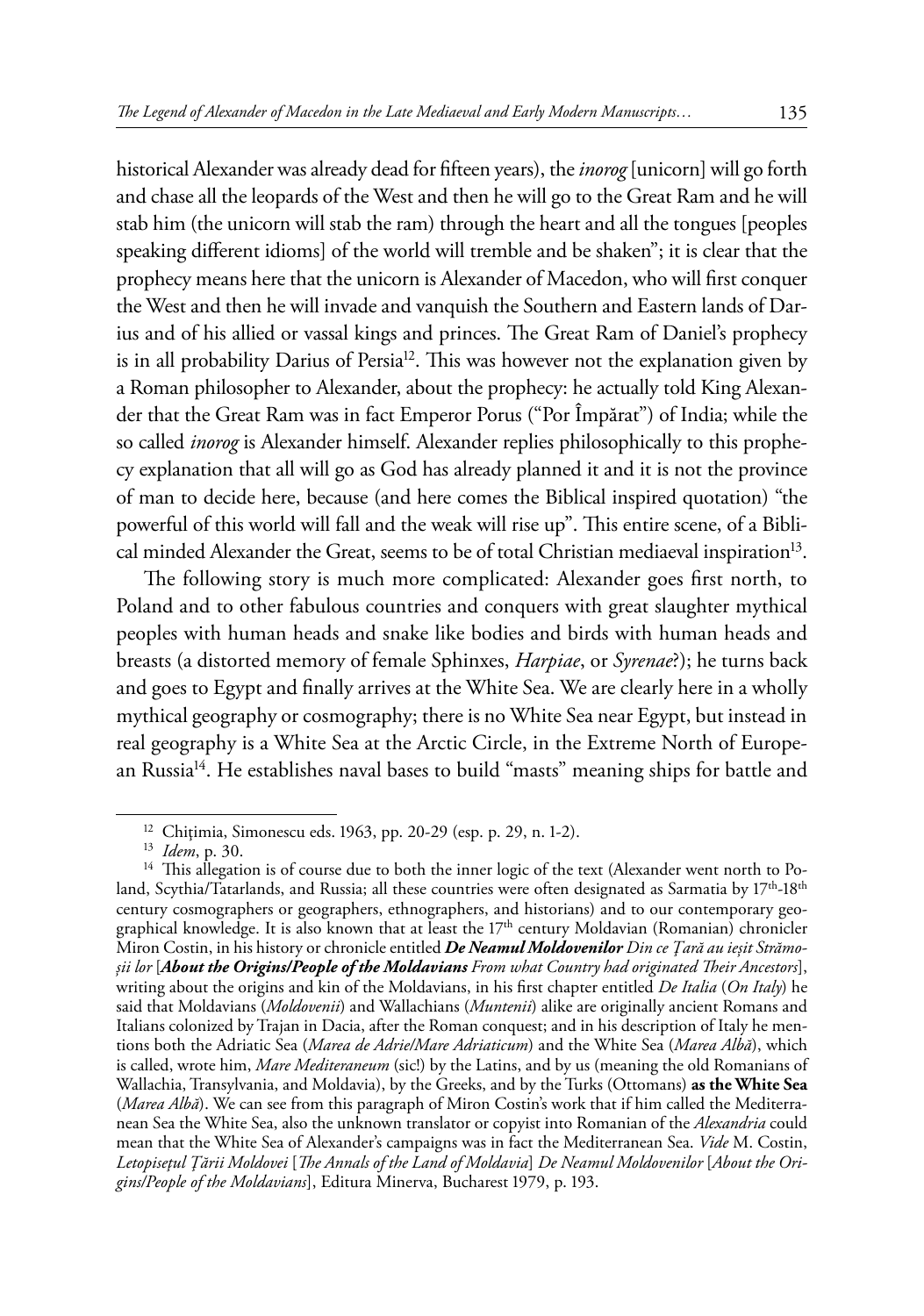historical Alexander was already dead for fifteen years), the *inorog* [unicorn] will go forth and chase all the leopards of the West and then he will go to the Great Ram and he will stab him (the unicorn will stab the ram) through the heart and all the tongues [peoples speaking different idioms] of the world will tremble and be shaken"; it is clear that the prophecy means here that the unicorn is Alexander of Macedon, who will first conquer the West and then he will invade and vanquish the Southern and Eastern lands of Darius and of his allied or vassal kings and princes. The Great Ram of Daniel's prophecy is in all probability Darius of Persia<sup>12</sup>. This was however not the explanation given by a Roman philosopher to Alexander, about the prophecy: he actually told King Alexander that the Great Ram was in fact Emperor Porus ("Por Împărat") of India; while the so called *inorog* is Alexander himself. Alexander replies philosophically to this prophecy explanation that all will go as God has already planned it and it is not the province of man to decide here, because (and here comes the Biblical inspired quotation) "the powerful of this world will fall and the weak will rise up". This entire scene, of a Biblical minded Alexander the Great, seems to be of total Christian mediaeval inspiration<sup>13</sup>.

The following story is much more complicated: Alexander goes first north, to Poland and to other fabulous countries and conquers with great slaughter mythical peoples with human heads and snake like bodies and birds with human heads and breasts (a distorted memory of female Sphinxes, *Harpiae*, or *Syrenae*?); he turns back and goes to Egypt and finally arrives at the White Sea. We are clearly here in a wholly mythical geography or cosmography; there is no White Sea near Egypt, but instead in real geography is a White Sea at the Arctic Circle, in the Extreme North of European Russia<sup>14</sup>. He establishes naval bases to build "masts" meaning ships for battle and

<sup>&</sup>lt;sup>12</sup> Chițimia, Simonescu eds. 1963, pp. 20-29 (esp. p. 29, n. 1-2).<br><sup>13</sup> *Idem*, p. 30.<br><sup>14</sup> This allegation is of course due to both the inner logic of the text (Alexander went north to Poland, Scythia/Tatarlands, and Russia; all these countries were often designated as Sarmatia by  $17^{th}$ -18<sup>th</sup> century cosmographers or geographers, ethnographers, and historians) and to our contemporary geographical knowledge. It is also known that at least the 17th century Moldavian (Romanian) chronicler Miron Costin, in his history or chronicle entitled *De Neamul Moldovenilor Din ce Ţară au ieşit Strămoşii lor* [*About the Origins/People of the Moldavians From what Country had originated Their Ancestors*], writing about the origins and kin of the Moldavians, in his first chapter entitled *De Italia* (*On Italy*) he said that Moldavians (*Moldovenii*) and Wallachians (*Muntenii*) alike are originally ancient Romans and Italians colonized by Trajan in Dacia, after the Roman conquest; and in his description of Italy he mentions both the Adriatic Sea (*Marea de Adrie/Mare Adriaticum*) and the White Sea (*Marea Albă*), which is called, wrote him, *Mare Mediteraneum* (sic!) by the Latins, and by us (meaning the old Romanians of Wallachia, Transylvania, and Moldavia), by the Greeks, and by the Turks (Ottomans) **as the White Sea**  (*Marea Albă*). We can see from this paragraph of Miron Costin's work that if him called the Mediterranean Sea the White Sea, also the unknown translator or copyist into Romanian of the *Alexandria* could mean that the White Sea of Alexander's campaigns was in fact the Mediterranean Sea. *Vide* M. Costin, *Letopiseţul Ţării Moldovei* [*The Annals of the Land of Moldavia*] *De Neamul Moldovenilor* [*About the Origins/People of the Moldavians*], Editura Minerva, Bucharest 1979, p. 193.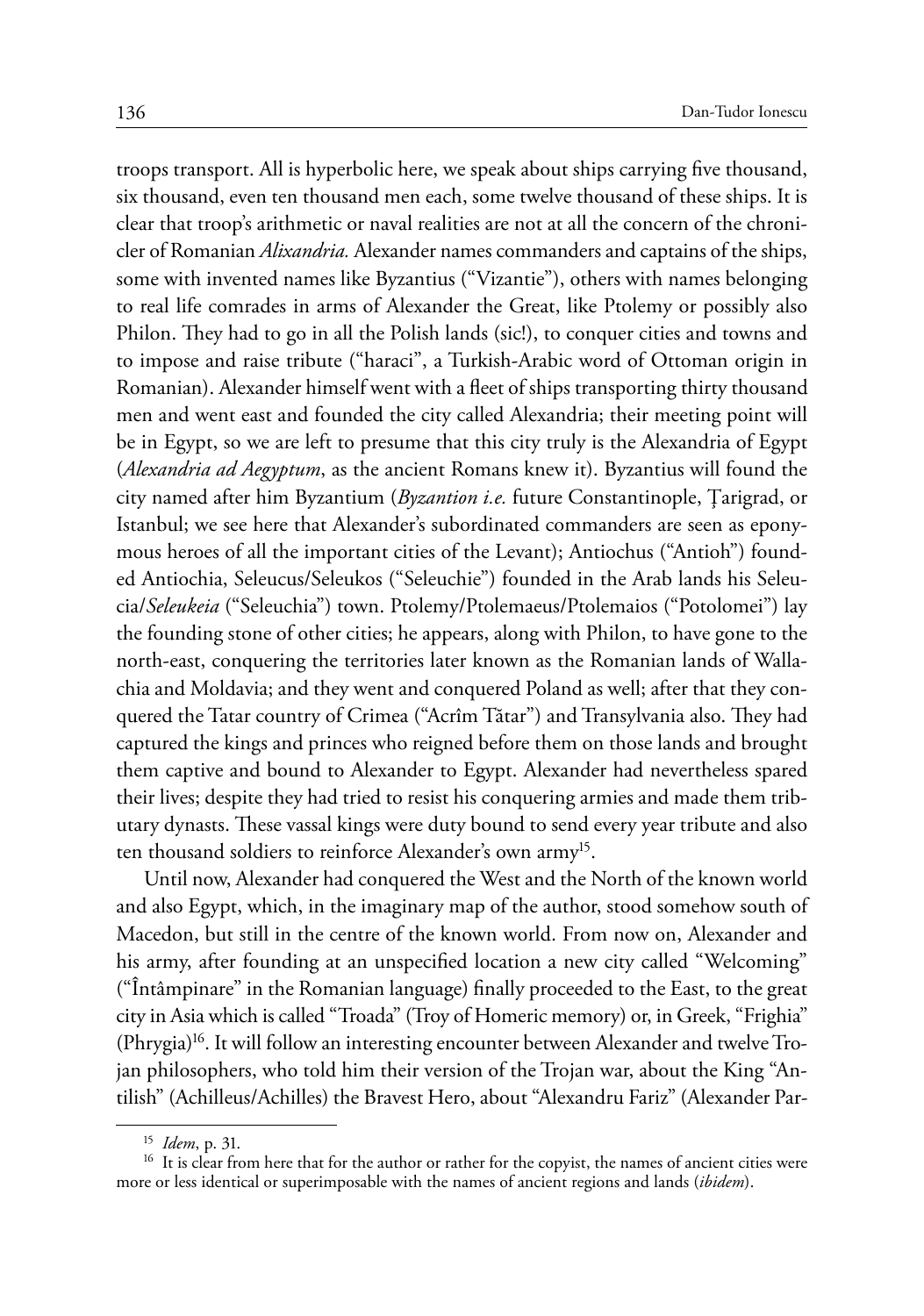troops transport. All is hyperbolic here, we speak about ships carrying five thousand, six thousand, even ten thousand men each, some twelve thousand of these ships. It is clear that troop's arithmetic or naval realities are not at all the concern of the chronicler of Romanian *Alixandria.* Alexander names commanders and captains of the ships, some with invented names like Byzantius ("Vizantie"), others with names belonging to real life comrades in arms of Alexander the Great, like Ptolemy or possibly also Philon. They had to go in all the Polish lands (sic!), to conquer cities and towns and to impose and raise tribute ("haraci", a Turkish-Arabic word of Ottoman origin in Romanian). Alexander himself went with a fleet of ships transporting thirty thousand men and went east and founded the city called Alexandria; their meeting point will be in Egypt, so we are left to presume that this city truly is the Alexandria of Egypt (*Alexandria ad Aegyptum*, as the ancient Romans knew it). Byzantius will found the city named after him Byzantium (*Byzantion i.e.* future Constantinople, Ţarigrad, or Istanbul; we see here that Alexander's subordinated commanders are seen as eponymous heroes of all the important cities of the Levant); Antiochus ("Antioh") founded Antiochia, Seleucus/Seleukos ("Seleuchie") founded in the Arab lands his Seleucia/*Seleukeia* ("Seleuchia") town. Ptolemy/Ptolemaeus/Ptolemaios ("Potolomei") lay the founding stone of other cities; he appears, along with Philon, to have gone to the north-east, conquering the territories later known as the Romanian lands of Wallachia and Moldavia; and they went and conquered Poland as well; after that they conquered the Tatar country of Crimea ("Acrîm Tătar") and Transylvania also. They had captured the kings and princes who reigned before them on those lands and brought them captive and bound to Alexander to Egypt. Alexander had nevertheless spared their lives; despite they had tried to resist his conquering armies and made them tributary dynasts. These vassal kings were duty bound to send every year tribute and also ten thousand soldiers to reinforce Alexander's own army<sup>15</sup>.

Until now, Alexander had conquered the West and the North of the known world and also Egypt, which, in the imaginary map of the author, stood somehow south of Macedon, but still in the centre of the known world. From now on, Alexander and his army, after founding at an unspecified location a new city called "Welcoming" ("Întâmpinare" in the Romanian language) finally proceeded to the East, to the great city in Asia which is called "Troada" (Troy of Homeric memory) or, in Greek, "Frighia"  $(Phrygia)^{16}$ . It will follow an interesting encounter between Alexander and twelve Trojan philosophers, who told him their version of the Trojan war, about the King "Antilish" (Achilleus/Achilles) the Bravest Hero, about "Alexandru Fariz" (Alexander Par-

<sup>&</sup>lt;sup>15</sup> *Idem*, p. 31.<br><sup>16</sup> It is clear from here that for the author or rather for the copyist, the names of ancient cities were more or less identical or superimposable with the names of ancient regions and lands (*ibidem*).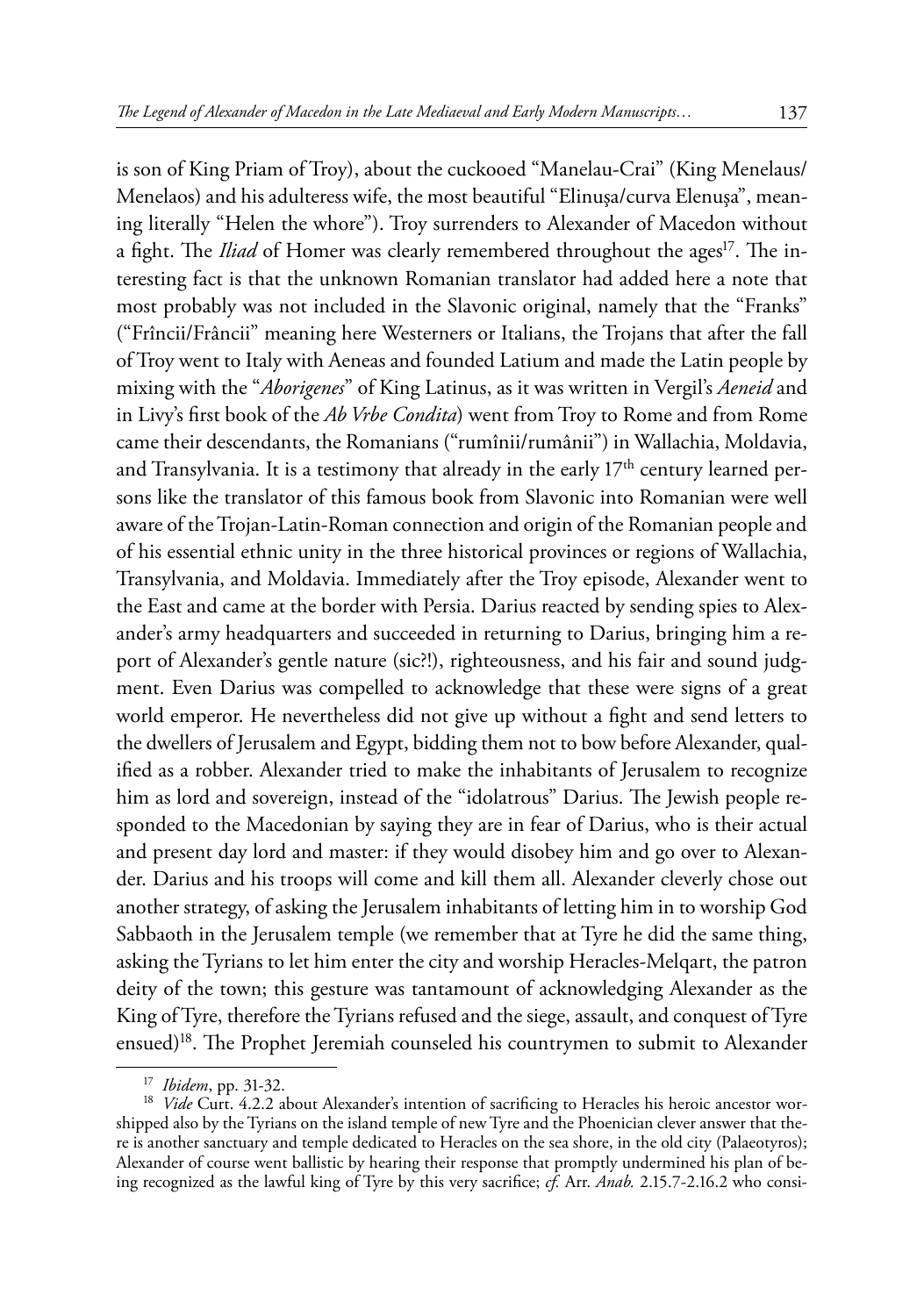is son of King Priam of Troy), about the cuckooed "Manelau-Crai" (King Menelaus/ Menelaos) and his adulteress wife, the most beautiful "Elinuşa/curva Elenuşa", meaning literally "Helen the whore"). Troy surrenders to Alexander of Macedon without a fight. The *Iliad* of Homer was clearly remembered throughout the ages<sup>17</sup>. The interesting fact is that the unknown Romanian translator had added here a note that most probably was not included in the Slavonic original, namely that the "Franks" ("Frîncii/Frâncii" meaning here Westerners or Italians, the Trojans that after the fall of Troy went to Italy with Aeneas and founded Latium and made the Latin people by mixing with the "*Aborigenes*" of King Latinus, as it was written in Vergil's *Aeneid* and in Livy's first book of the *Ab Vrbe Condita*) went from Troy to Rome and from Rome came their descendants, the Romanians ("rumînii/rumânii") in Wallachia, Moldavia, and Transylvania. It is a testimony that already in the early  $17<sup>th</sup>$  century learned persons like the translator of this famous book from Slavonic into Romanian were well aware of the Trojan-Latin-Roman connection and origin of the Romanian people and of his essential ethnic unity in the three historical provinces or regions of Wallachia, Transylvania, and Moldavia. Immediately after the Troy episode, Alexander went to the East and came at the border with Persia. Darius reacted by sending spies to Alexander's army headquarters and succeeded in returning to Darius, bringing him a report of Alexander's gentle nature (sic?!), righteousness, and his fair and sound judgment. Even Darius was compelled to acknowledge that these were signs of a great world emperor. He nevertheless did not give up without a fight and send letters to the dwellers of Jerusalem and Egypt, bidding them not to bow before Alexander, qualified as a robber. Alexander tried to make the inhabitants of Jerusalem to recognize him as lord and sovereign, instead of the "idolatrous" Darius. The Jewish people responded to the Macedonian by saying they are in fear of Darius, who is their actual and present day lord and master: if they would disobey him and go over to Alexander. Darius and his troops will come and kill them all. Alexander cleverly chose out another strategy, of asking the Jerusalem inhabitants of letting him in to worship God Sabbaoth in the Jerusalem temple (we remember that at Tyre he did the same thing, asking the Tyrians to let him enter the city and worship Heracles-Melqart, the patron deity of the town; this gesture was tantamount of acknowledging Alexander as the King of Tyre, therefore the Tyrians refused and the siege, assault, and conquest of Tyre

ensued)<sup>18</sup>. The Prophet Jeremiah counseled his countrymen to submit to Alexander

<sup>&</sup>lt;sup>17</sup> *Ibidem*, pp. 31-32.<br><sup>18</sup> *Vide* Curt. 4.2.2 about Alexander's intention of sacrificing to Heracles his heroic ancestor worshipped also by the Tyrians on the island temple of new Tyre and the Phoenician clever answer that there is another sanctuary and temple dedicated to Heracles on the sea shore, in the old city (Palaeotyros); Alexander of course went ballistic by hearing their response that promptly undermined his plan of being recognized as the lawful king of Tyre by this very sacrifice; *cf.* Arr. *Anab.* 2.15.7-2.16.2 who consi-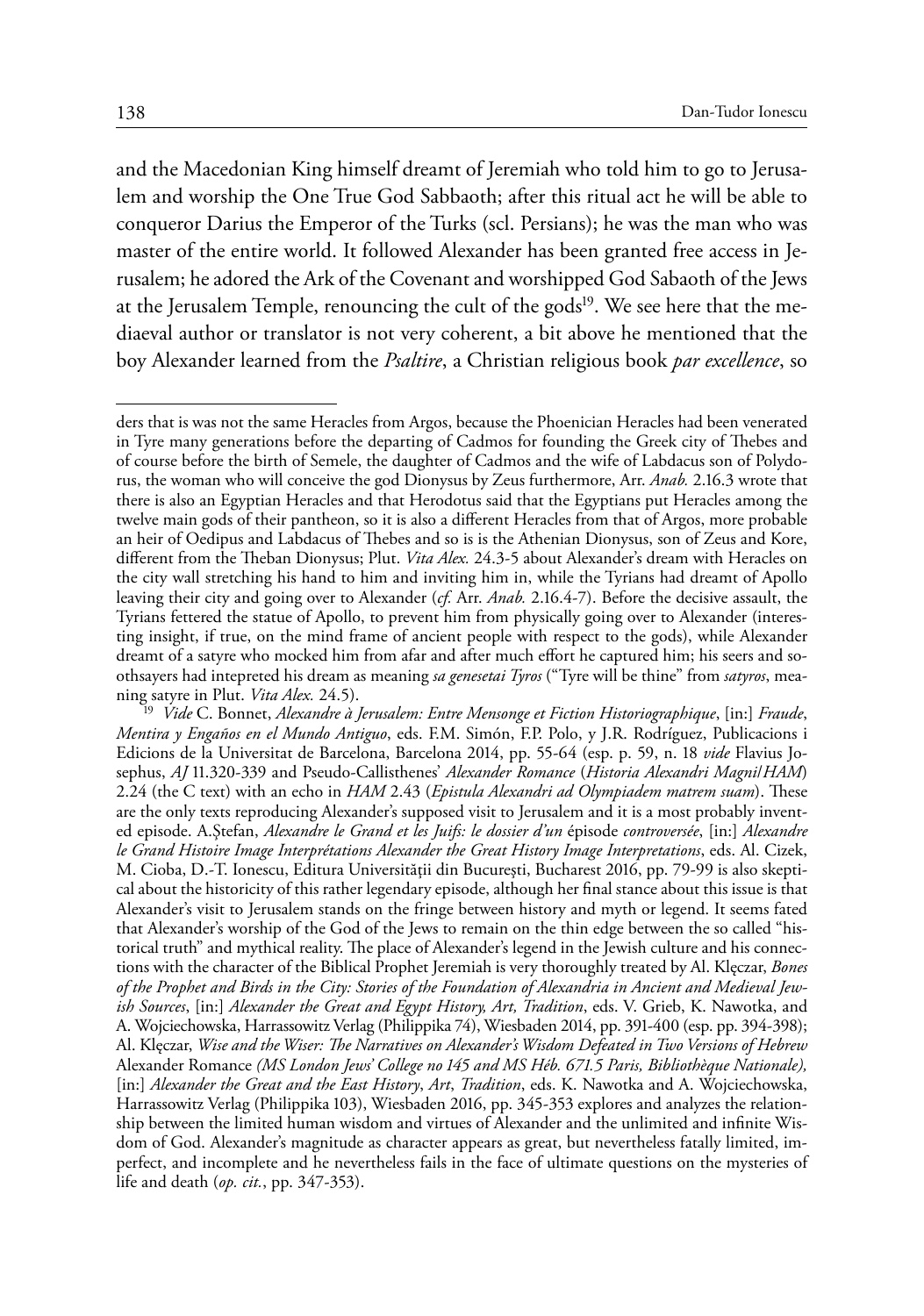and the Macedonian King himself dreamt of Jeremiah who told him to go to Jerusalem and worship the One True God Sabbaoth; after this ritual act he will be able to conqueror Darius the Emperor of the Turks (scl. Persians); he was the man who was master of the entire world. It followed Alexander has been granted free access in Jerusalem; he adored the Ark of the Covenant and worshipped God Sabaoth of the Jews at the Jerusalem Temple, renouncing the cult of the gods<sup>19</sup>. We see here that the mediaeval author or translator is not very coherent, a bit above he mentioned that the boy Alexander learned from the *Psaltire*, a Christian religious book *par excellence*, so

ders that is was not the same Heracles from Argos, because the Phoenician Heracles had been venerated in Tyre many generations before the departing of Cadmos for founding the Greek city of Thebes and of course before the birth of Semele, the daughter of Cadmos and the wife of Labdacus son of Polydorus, the woman who will conceive the god Dionysus by Zeus furthermore, Arr. *Anab.* 2.16.3 wrote that there is also an Egyptian Heracles and that Herodotus said that the Egyptians put Heracles among the twelve main gods of their pantheon, so it is also a different Heracles from that of Argos, more probable an heir of Oedipus and Labdacus of Thebes and so is is the Athenian Dionysus, son of Zeus and Kore, different from the Theban Dionysus; Plut. *Vita Alex.* 24.3-5 about Alexander's dream with Heracles on the city wall stretching his hand to him and inviting him in, while the Tyrians had dreamt of Apollo leaving their city and going over to Alexander (*cf.* Arr. *Anab.* 2.16.4-7). Before the decisive assault, the Tyrians fettered the statue of Apollo, to prevent him from physically going over to Alexander (interesting insight, if true, on the mind frame of ancient people with respect to the gods), while Alexander dreamt of a satyre who mocked him from afar and after much effort he captured him; his seers and soothsayers had intepreted his dream as meaning *sa genesetai Tyros* ("Tyre will be thine" from *satyros*, meaning satyre in Plut. *Vita Alex.* 24.5). 19 *Vide* C. Bonnet, *Alexandre à Jerusalem: Entre Mensonge et Fiction Historiographique*, [in:] *Fraude*,

*Mentira y Engaños en el Mundo Antiguo*, eds. F.M. Simón, F.P. Polo, y J.R. Rodríguez, Publicacions i Edicions de la Universitat de Barcelona, Barcelona 2014, pp. 55-64 (esp. p. 59, n. 18 *vide* Flavius Josephus, *AJ* 11.320-339 and Pseudo-Callisthenes' *Alexander Romance* (*Historia Alexandri Magni*/*HAM*) 2.24 (the C text) with an echo in *HAM* 2.43 (*Epistula Alexandri ad Olympiadem matrem suam*). These are the only texts reproducing Alexander's supposed visit to Jerusalem and it is a most probably invented episode. A.Ştefan, *Alexandre le Grand et les Juifs: le dossier d'un* épisode *controversée*, [in:] *Alexandre le Grand Histoire Image Interprétations Alexander the Great History Image Interpretations*, eds. Al. Cizek, M. Cioba, D.-T. Ionescu, Editura Universităţii din Bucureşti, Bucharest 2016, pp. 79-99 is also skeptical about the historicity of this rather legendary episode, although her final stance about this issue is that Alexander's visit to Jerusalem stands on the fringe between history and myth or legend. It seems fated that Alexander's worship of the God of the Jews to remain on the thin edge between the so called "historical truth" and mythical reality. The place of Alexander's legend in the Jewish culture and his connections with the character of the Biblical Prophet Jeremiah is very thoroughly treated by Al. Klęczar, *Bones of the Prophet and Birds in the City: Stories of the Foundation of Alexandria in Ancient and Medieval Jewish Sources*, [in:] *Alexander the Great and Egypt History, Art, Tradition*, eds. V. Grieb, K. Nawotka, and A. Wojciechowska, Harrassowitz Verlag (Philippika 74), Wiesbaden 2014, pp. 391-400 (esp. pp. 394-398); Al. Klęczar, *Wise and the Wiser: The Narratives on Alexander's Wisdom Defeated in Two Versions of Hebrew*  Alexander Romance *(MS London Jews' College no 145 and MS Héb. 671.5 Paris, Bibliothèque Nationale),*  [in:] *Alexander the Great and the East History*, *Art*, *Tradition*, eds. K. Nawotka and A. Wojciechowska, Harrassowitz Verlag (Philippika 103), Wiesbaden 2016, pp. 345-353 explores and analyzes the relationship between the limited human wisdom and virtues of Alexander and the unlimited and infinite Wisdom of God. Alexander's magnitude as character appears as great, but nevertheless fatally limited, imperfect, and incomplete and he nevertheless fails in the face of ultimate questions on the mysteries of life and death (*op. cit.*, pp. 347-353).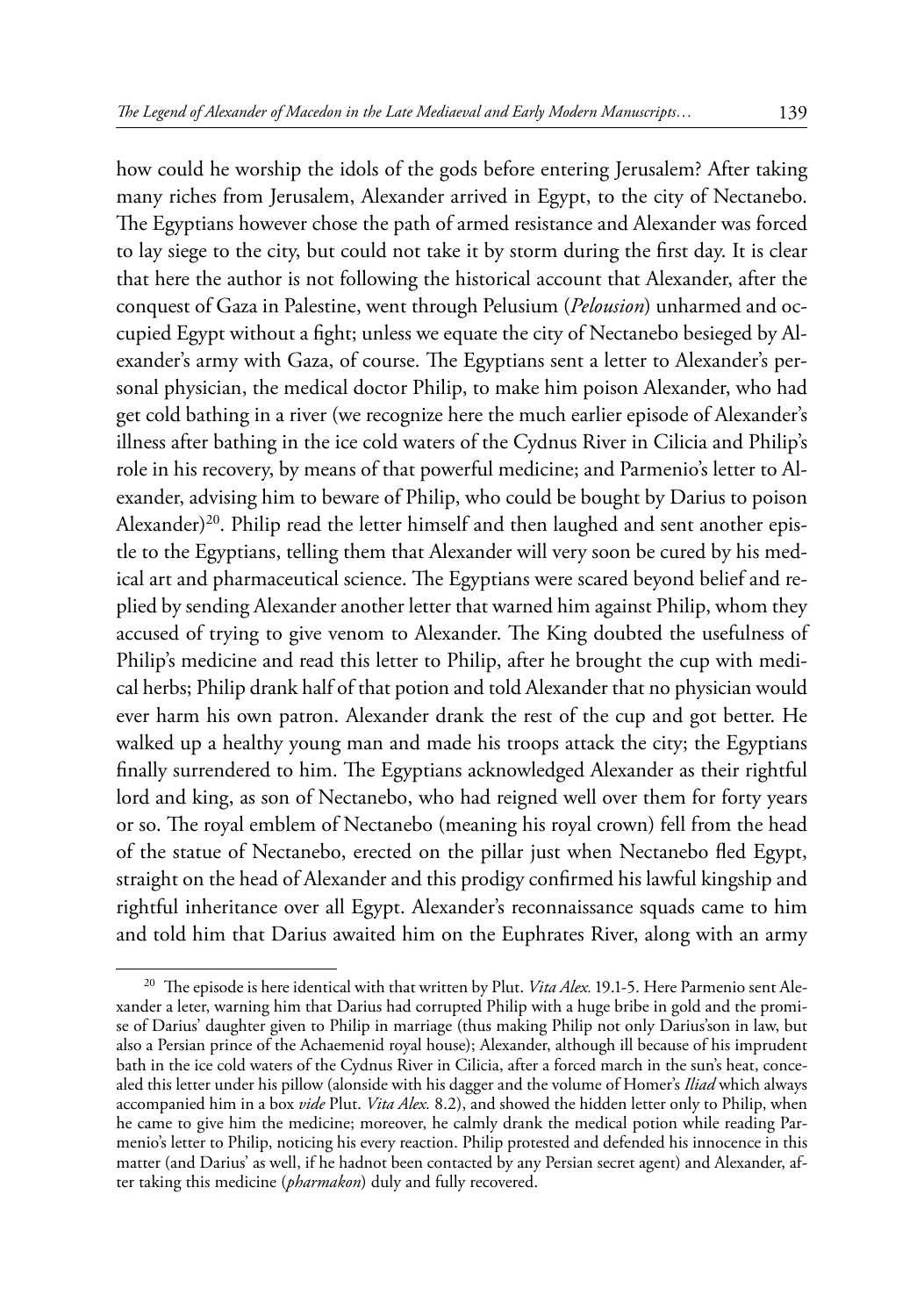how could he worship the idols of the gods before entering Jerusalem? After taking many riches from Jerusalem, Alexander arrived in Egypt, to the city of Nectanebo. The Egyptians however chose the path of armed resistance and Alexander was forced to lay siege to the city, but could not take it by storm during the first day. It is clear that here the author is not following the historical account that Alexander, after the conquest of Gaza in Palestine, went through Pelusium (*Pelousion*) unharmed and occupied Egypt without a fight; unless we equate the city of Nectanebo besieged by Alexander's army with Gaza, of course. The Egyptians sent a letter to Alexander's personal physician, the medical doctor Philip, to make him poison Alexander, who had get cold bathing in a river (we recognize here the much earlier episode of Alexander's illness after bathing in the ice cold waters of the Cydnus River in Cilicia and Philip's role in his recovery, by means of that powerful medicine; and Parmenio's letter to Alexander, advising him to beware of Philip, who could be bought by Darius to poison Alexander)<sup>20</sup>. Philip read the letter himself and then laughed and sent another epistle to the Egyptians, telling them that Alexander will very soon be cured by his medical art and pharmaceutical science. The Egyptians were scared beyond belief and replied by sending Alexander another letter that warned him against Philip, whom they accused of trying to give venom to Alexander. The King doubted the usefulness of Philip's medicine and read this letter to Philip, after he brought the cup with medical herbs; Philip drank half of that potion and told Alexander that no physician would ever harm his own patron. Alexander drank the rest of the cup and got better. He walked up a healthy young man and made his troops attack the city; the Egyptians finally surrendered to him. The Egyptians acknowledged Alexander as their rightful lord and king, as son of Nectanebo, who had reigned well over them for forty years or so. The royal emblem of Nectanebo (meaning his royal crown) fell from the head of the statue of Nectanebo, erected on the pillar just when Nectanebo fled Egypt, straight on the head of Alexander and this prodigy confirmed his lawful kingship and rightful inheritance over all Egypt. Alexander's reconnaissance squads came to him and told him that Darius awaited him on the Euphrates River, along with an army

<sup>20</sup> The episode is here identical with that written by Plut. *Vita Alex.* 19.1-5. Here Parmenio sent Alexander a leter, warning him that Darius had corrupted Philip with a huge bribe in gold and the promise of Darius' daughter given to Philip in marriage (thus making Philip not only Darius'son in law, but also a Persian prince of the Achaemenid royal house); Alexander, although ill because of his imprudent bath in the ice cold waters of the Cydnus River in Cilicia, after a forced march in the sun's heat, concealed this letter under his pillow (alonside with his dagger and the volume of Homer's *Iliad* which always accompanied him in a box *vide* Plut. *Vita Alex.* 8.2), and showed the hidden letter only to Philip, when he came to give him the medicine; moreover, he calmly drank the medical potion while reading Parmenio's letter to Philip, noticing his every reaction. Philip protested and defended his innocence in this matter (and Darius' as well, if he hadnot been contacted by any Persian secret agent) and Alexander, after taking this medicine (*pharmakon*) duly and fully recovered.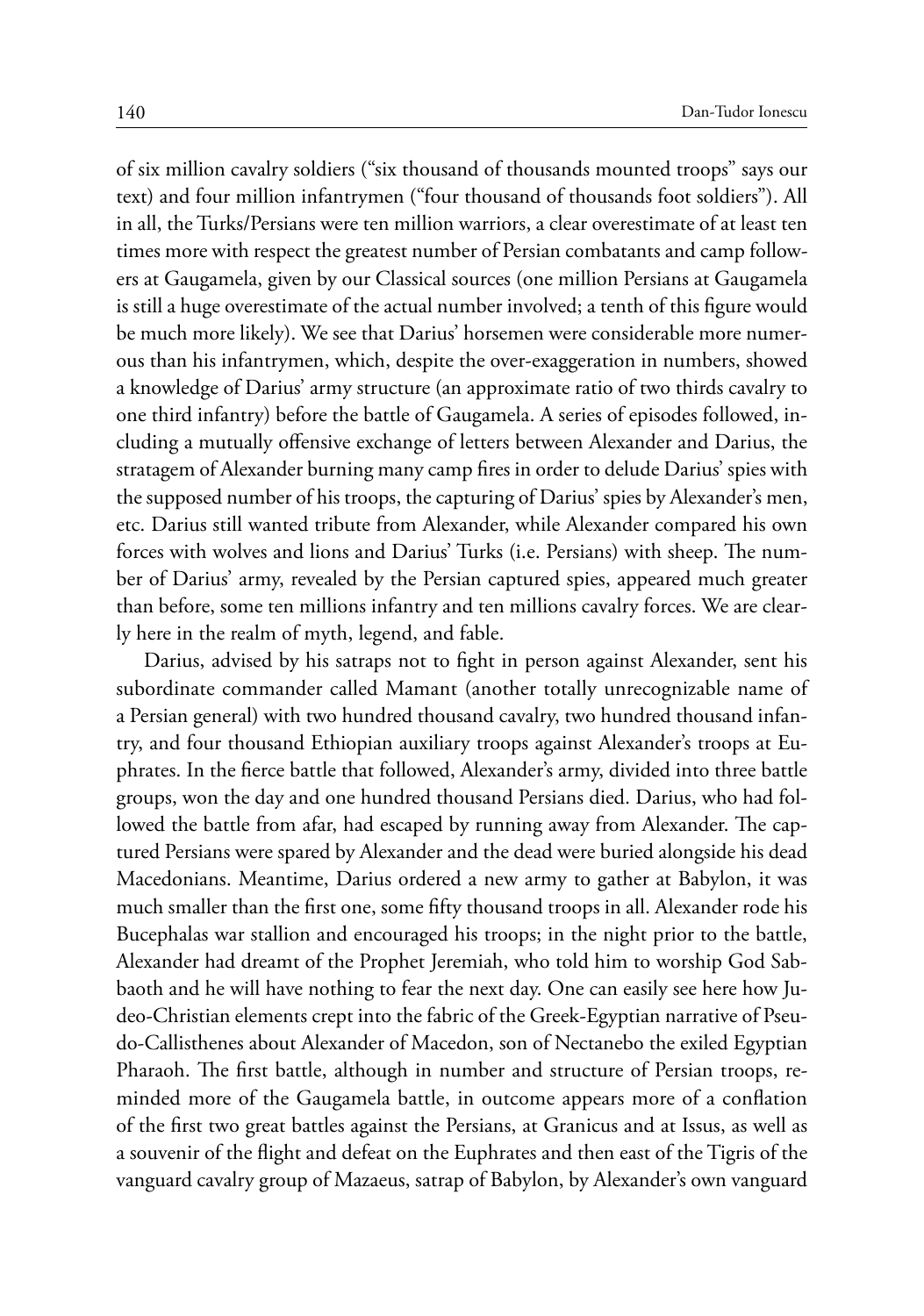of six million cavalry soldiers ("six thousand of thousands mounted troops" says our text) and four million infantrymen ("four thousand of thousands foot soldiers"). All in all, the Turks/Persians were ten million warriors, a clear overestimate of at least ten times more with respect the greatest number of Persian combatants and camp followers at Gaugamela, given by our Classical sources (one million Persians at Gaugamela is still a huge overestimate of the actual number involved; a tenth of this figure would be much more likely). We see that Darius' horsemen were considerable more numerous than his infantrymen, which, despite the over-exaggeration in numbers, showed a knowledge of Darius' army structure (an approximate ratio of two thirds cavalry to one third infantry) before the battle of Gaugamela. A series of episodes followed, including a mutually offensive exchange of letters between Alexander and Darius, the stratagem of Alexander burning many camp fires in order to delude Darius' spies with the supposed number of his troops, the capturing of Darius' spies by Alexander's men, etc. Darius still wanted tribute from Alexander, while Alexander compared his own forces with wolves and lions and Darius' Turks (i.e. Persians) with sheep. The number of Darius' army, revealed by the Persian captured spies, appeared much greater than before, some ten millions infantry and ten millions cavalry forces. We are clearly here in the realm of myth, legend, and fable.

Darius, advised by his satraps not to fight in person against Alexander, sent his subordinate commander called Mamant (another totally unrecognizable name of a Persian general) with two hundred thousand cavalry, two hundred thousand infantry, and four thousand Ethiopian auxiliary troops against Alexander's troops at Euphrates. In the fierce battle that followed, Alexander's army, divided into three battle groups, won the day and one hundred thousand Persians died. Darius, who had followed the battle from afar, had escaped by running away from Alexander. The captured Persians were spared by Alexander and the dead were buried alongside his dead Macedonians. Meantime, Darius ordered a new army to gather at Babylon, it was much smaller than the first one, some fifty thousand troops in all. Alexander rode his Bucephalas war stallion and encouraged his troops; in the night prior to the battle, Alexander had dreamt of the Prophet Jeremiah, who told him to worship God Sabbaoth and he will have nothing to fear the next day. One can easily see here how Judeo-Christian elements crept into the fabric of the Greek-Egyptian narrative of Pseudo-Callisthenes about Alexander of Macedon, son of Nectanebo the exiled Egyptian Pharaoh. The first battle, although in number and structure of Persian troops, reminded more of the Gaugamela battle, in outcome appears more of a conflation of the first two great battles against the Persians, at Granicus and at Issus, as well as a souvenir of the flight and defeat on the Euphrates and then east of the Tigris of the vanguard cavalry group of Mazaeus, satrap of Babylon, by Alexander's own vanguard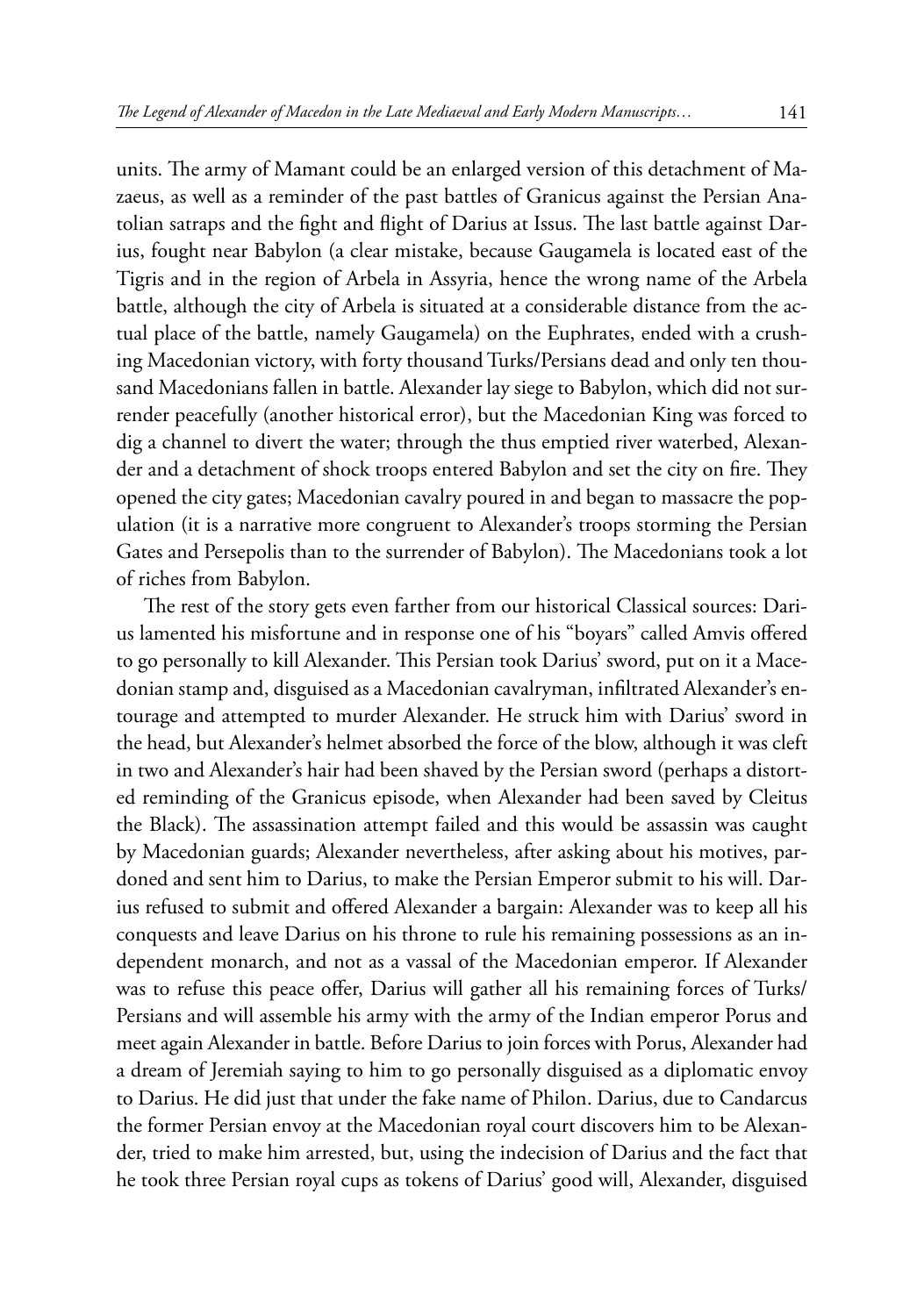units. The army of Mamant could be an enlarged version of this detachment of Mazaeus, as well as a reminder of the past battles of Granicus against the Persian Anatolian satraps and the fight and flight of Darius at Issus. The last battle against Darius, fought near Babylon (a clear mistake, because Gaugamela is located east of the Tigris and in the region of Arbela in Assyria, hence the wrong name of the Arbela battle, although the city of Arbela is situated at a considerable distance from the actual place of the battle, namely Gaugamela) on the Euphrates, ended with a crushing Macedonian victory, with forty thousand Turks/Persians dead and only ten thousand Macedonians fallen in battle. Alexander lay siege to Babylon, which did not surrender peacefully (another historical error), but the Macedonian King was forced to dig a channel to divert the water; through the thus emptied river waterbed, Alexander and a detachment of shock troops entered Babylon and set the city on fire. They opened the city gates; Macedonian cavalry poured in and began to massacre the population (it is a narrative more congruent to Alexander's troops storming the Persian Gates and Persepolis than to the surrender of Babylon). The Macedonians took a lot of riches from Babylon.

The rest of the story gets even farther from our historical Classical sources: Darius lamented his misfortune and in response one of his "boyars" called Amvis offered to go personally to kill Alexander. This Persian took Darius' sword, put on it a Macedonian stamp and, disguised as a Macedonian cavalryman, infiltrated Alexander's entourage and attempted to murder Alexander. He struck him with Darius' sword in the head, but Alexander's helmet absorbed the force of the blow, although it was cleft in two and Alexander's hair had been shaved by the Persian sword (perhaps a distorted reminding of the Granicus episode, when Alexander had been saved by Cleitus the Black). The assassination attempt failed and this would be assassin was caught by Macedonian guards; Alexander nevertheless, after asking about his motives, pardoned and sent him to Darius, to make the Persian Emperor submit to his will. Darius refused to submit and offered Alexander a bargain: Alexander was to keep all his conquests and leave Darius on his throne to rule his remaining possessions as an independent monarch, and not as a vassal of the Macedonian emperor. If Alexander was to refuse this peace offer, Darius will gather all his remaining forces of Turks/ Persians and will assemble his army with the army of the Indian emperor Porus and meet again Alexander in battle. Before Darius to join forces with Porus, Alexander had a dream of Jeremiah saying to him to go personally disguised as a diplomatic envoy to Darius. He did just that under the fake name of Philon. Darius, due to Candarcus the former Persian envoy at the Macedonian royal court discovers him to be Alexander, tried to make him arrested, but, using the indecision of Darius and the fact that he took three Persian royal cups as tokens of Darius' good will, Alexander, disguised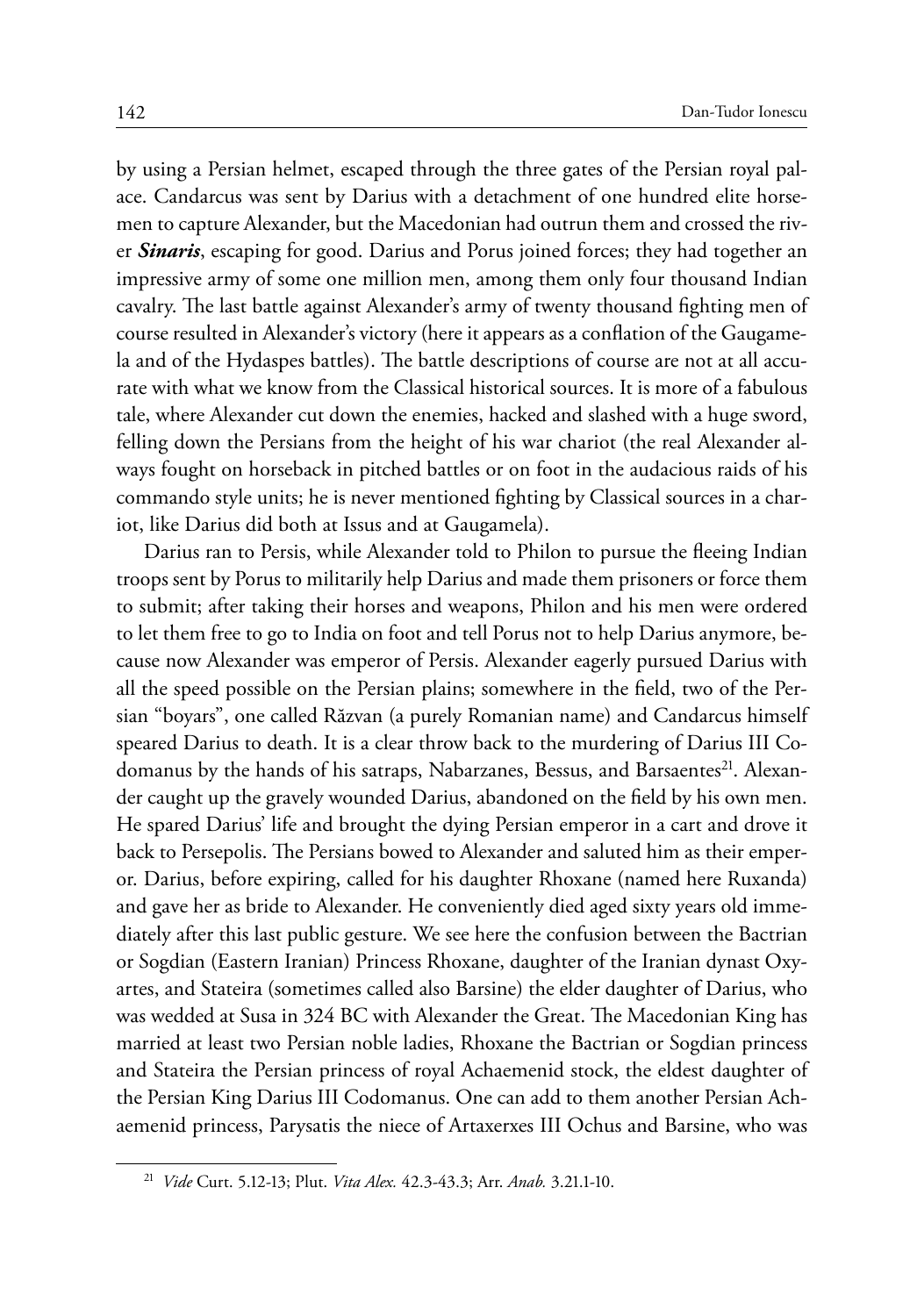by using a Persian helmet, escaped through the three gates of the Persian royal palace. Candarcus was sent by Darius with a detachment of one hundred elite horsemen to capture Alexander, but the Macedonian had outrun them and crossed the river *Sinaris*, escaping for good. Darius and Porus joined forces; they had together an impressive army of some one million men, among them only four thousand Indian cavalry. The last battle against Alexander's army of twenty thousand fighting men of course resulted in Alexander's victory (here it appears as a conflation of the Gaugamela and of the Hydaspes battles). The battle descriptions of course are not at all accurate with what we know from the Classical historical sources. It is more of a fabulous tale, where Alexander cut down the enemies, hacked and slashed with a huge sword, felling down the Persians from the height of his war chariot (the real Alexander always fought on horseback in pitched battles or on foot in the audacious raids of his commando style units; he is never mentioned fighting by Classical sources in a chariot, like Darius did both at Issus and at Gaugamela).

Darius ran to Persis, while Alexander told to Philon to pursue the fleeing Indian troops sent by Porus to militarily help Darius and made them prisoners or force them to submit; after taking their horses and weapons, Philon and his men were ordered to let them free to go to India on foot and tell Porus not to help Darius anymore, because now Alexander was emperor of Persis. Alexander eagerly pursued Darius with all the speed possible on the Persian plains; somewhere in the field, two of the Persian "boyars", one called Răzvan (a purely Romanian name) and Candarcus himself speared Darius to death. It is a clear throw back to the murdering of Darius III Codomanus by the hands of his satraps, Nabarzanes, Bessus, and Barsaentes<sup>21</sup>. Alexander caught up the gravely wounded Darius, abandoned on the field by his own men. He spared Darius' life and brought the dying Persian emperor in a cart and drove it back to Persepolis. The Persians bowed to Alexander and saluted him as their emperor. Darius, before expiring, called for his daughter Rhoxane (named here Ruxanda) and gave her as bride to Alexander. He conveniently died aged sixty years old immediately after this last public gesture. We see here the confusion between the Bactrian or Sogdian (Eastern Iranian) Princess Rhoxane, daughter of the Iranian dynast Oxyartes, and Stateira (sometimes called also Barsine) the elder daughter of Darius, who was wedded at Susa in 324 BC with Alexander the Great. The Macedonian King has married at least two Persian noble ladies, Rhoxane the Bactrian or Sogdian princess and Stateira the Persian princess of royal Achaemenid stock, the eldest daughter of the Persian King Darius III Codomanus. One can add to them another Persian Achaemenid princess, Parysatis the niece of Artaxerxes III Ochus and Barsine, who was

<sup>21</sup> *Vide* Curt. 5.12-13; Plut. *Vita Alex.* 42.3-43.3; Arr. *Anab.* 3.21.1-10.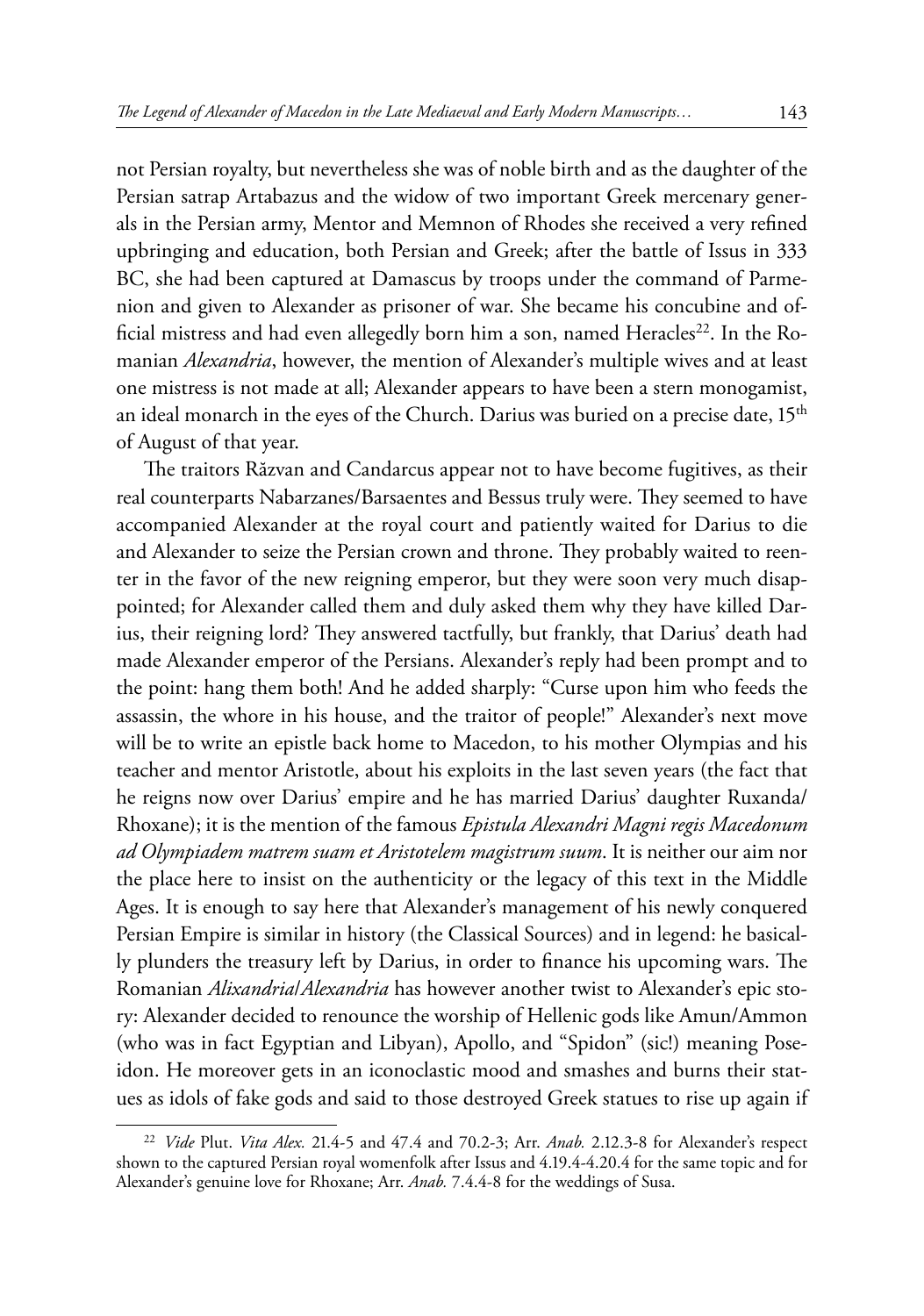not Persian royalty, but nevertheless she was of noble birth and as the daughter of the Persian satrap Artabazus and the widow of two important Greek mercenary generals in the Persian army, Mentor and Memnon of Rhodes she received a very refined upbringing and education, both Persian and Greek; after the battle of Issus in 333 BC, she had been captured at Damascus by troops under the command of Parmenion and given to Alexander as prisoner of war. She became his concubine and official mistress and had even allegedly born him a son, named Heracles<sup>22</sup>. In the Romanian *Alexandria*, however, the mention of Alexander's multiple wives and at least one mistress is not made at all; Alexander appears to have been a stern monogamist, an ideal monarch in the eyes of the Church. Darius was buried on a precise date,  $15<sup>th</sup>$ of August of that year.

The traitors Răzvan and Candarcus appear not to have become fugitives, as their real counterparts Nabarzanes/Barsaentes and Bessus truly were. They seemed to have accompanied Alexander at the royal court and patiently waited for Darius to die and Alexander to seize the Persian crown and throne. They probably waited to reenter in the favor of the new reigning emperor, but they were soon very much disappointed; for Alexander called them and duly asked them why they have killed Darius, their reigning lord? They answered tactfully, but frankly, that Darius' death had made Alexander emperor of the Persians. Alexander's reply had been prompt and to the point: hang them both! And he added sharply: "Curse upon him who feeds the assassin, the whore in his house, and the traitor of people!" Alexander's next move will be to write an epistle back home to Macedon, to his mother Olympias and his teacher and mentor Aristotle, about his exploits in the last seven years (the fact that he reigns now over Darius' empire and he has married Darius' daughter Ruxanda/ Rhoxane); it is the mention of the famous *Epistula Alexandri Magni regis Macedonum ad Olympiadem matrem suam et Aristotelem magistrum suum*. It is neither our aim nor the place here to insist on the authenticity or the legacy of this text in the Middle Ages. It is enough to say here that Alexander's management of his newly conquered Persian Empire is similar in history (the Classical Sources) and in legend: he basically plunders the treasury left by Darius, in order to finance his upcoming wars. The Romanian *Alixandria*/*Alexandria* has however another twist to Alexander's epic story: Alexander decided to renounce the worship of Hellenic gods like Amun/Ammon (who was in fact Egyptian and Libyan), Apollo, and "Spidon" (sic!) meaning Poseidon. He moreover gets in an iconoclastic mood and smashes and burns their statues as idols of fake gods and said to those destroyed Greek statues to rise up again if

<sup>22</sup> *Vide* Plut. *Vita Alex.* 21.4-5 and 47.4 and 70.2-3; Arr. *Anab.* 2.12.3-8 for Alexander's respect shown to the captured Persian royal womenfolk after Issus and 4.19.4-4.20.4 for the same topic and for Alexander's genuine love for Rhoxane; Arr. *Anab.* 7.4.4-8 for the weddings of Susa.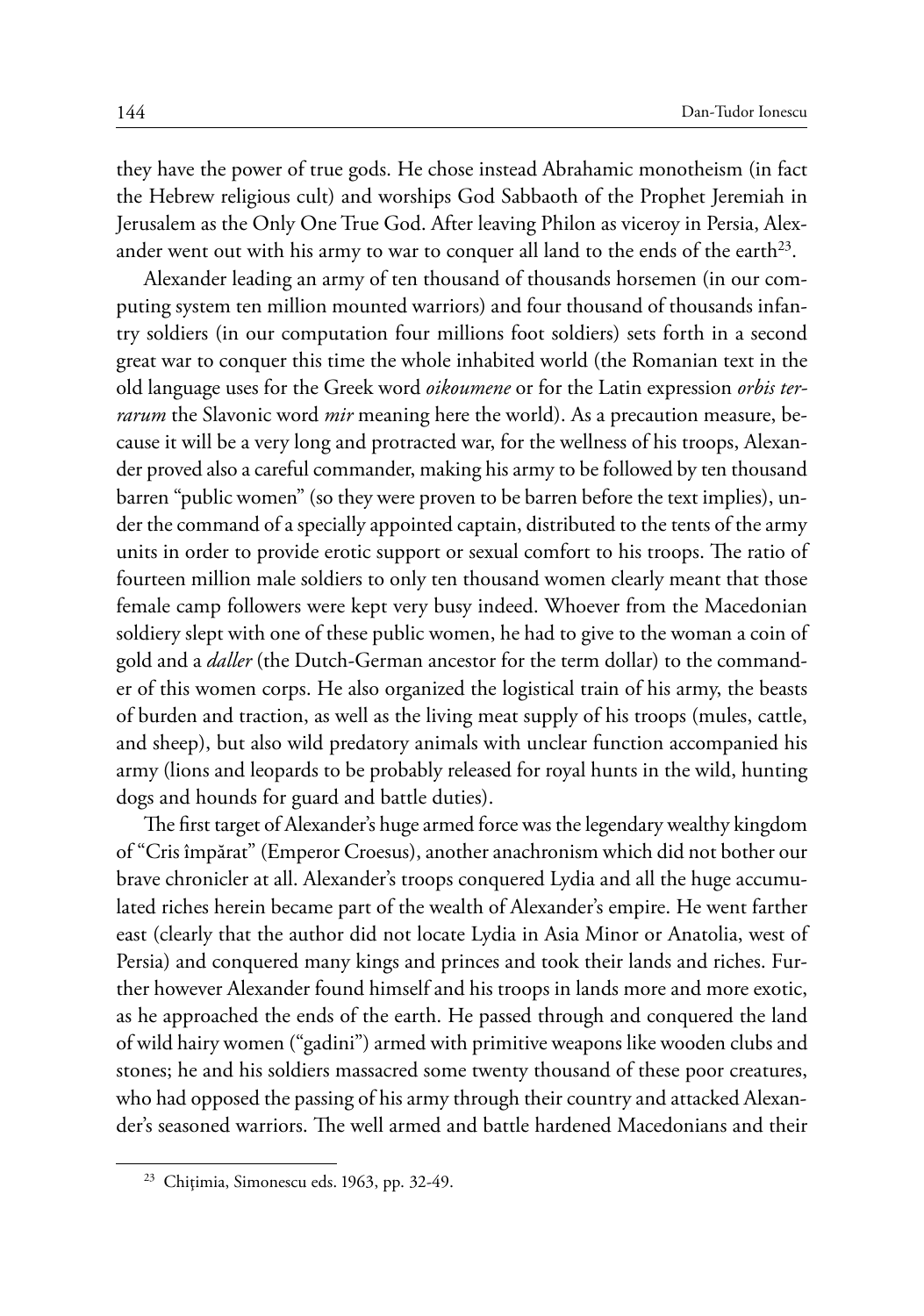they have the power of true gods. He chose instead Abrahamic monotheism (in fact the Hebrew religious cult) and worships God Sabbaoth of the Prophet Jeremiah in Jerusalem as the Only One True God. After leaving Philon as viceroy in Persia, Alexander went out with his army to war to conquer all land to the ends of the earth<sup>23</sup>.

Alexander leading an army of ten thousand of thousands horsemen (in our computing system ten million mounted warriors) and four thousand of thousands infantry soldiers (in our computation four millions foot soldiers) sets forth in a second great war to conquer this time the whole inhabited world (the Romanian text in the old language uses for the Greek word *oikoumene* or for the Latin expression *orbis terrarum* the Slavonic word *mir* meaning here the world). As a precaution measure, because it will be a very long and protracted war, for the wellness of his troops, Alexander proved also a careful commander, making his army to be followed by ten thousand barren "public women" (so they were proven to be barren before the text implies), under the command of a specially appointed captain, distributed to the tents of the army units in order to provide erotic support or sexual comfort to his troops. The ratio of fourteen million male soldiers to only ten thousand women clearly meant that those female camp followers were kept very busy indeed. Whoever from the Macedonian soldiery slept with one of these public women, he had to give to the woman a coin of gold and a *daller* (the Dutch-German ancestor for the term dollar) to the commander of this women corps. He also organized the logistical train of his army, the beasts of burden and traction, as well as the living meat supply of his troops (mules, cattle, and sheep), but also wild predatory animals with unclear function accompanied his army (lions and leopards to be probably released for royal hunts in the wild, hunting dogs and hounds for guard and battle duties).

The first target of Alexander's huge armed force was the legendary wealthy kingdom of "Cris împărat" (Emperor Croesus), another anachronism which did not bother our brave chronicler at all. Alexander's troops conquered Lydia and all the huge accumulated riches herein became part of the wealth of Alexander's empire. He went farther east (clearly that the author did not locate Lydia in Asia Minor or Anatolia, west of Persia) and conquered many kings and princes and took their lands and riches. Further however Alexander found himself and his troops in lands more and more exotic, as he approached the ends of the earth. He passed through and conquered the land of wild hairy women ("gadini") armed with primitive weapons like wooden clubs and stones; he and his soldiers massacred some twenty thousand of these poor creatures, who had opposed the passing of his army through their country and attacked Alexander's seasoned warriors. The well armed and battle hardened Macedonians and their

<sup>23</sup> Chiţimia, Simonescu eds. 1963, pp. 32-49.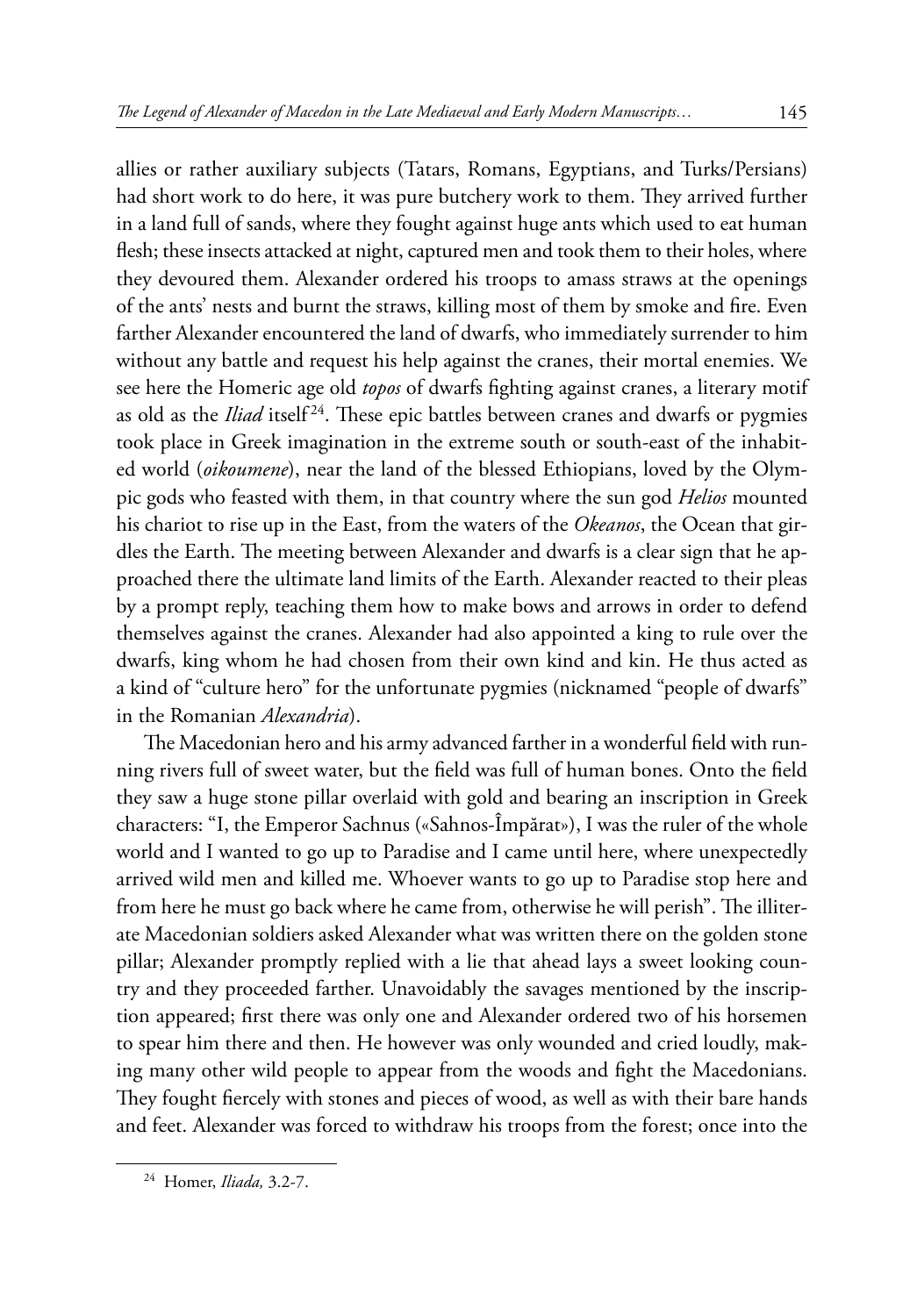allies or rather auxiliary subjects (Tatars, Romans, Egyptians, and Turks/Persians) had short work to do here, it was pure butchery work to them. They arrived further in a land full of sands, where they fought against huge ants which used to eat human flesh; these insects attacked at night, captured men and took them to their holes, where they devoured them. Alexander ordered his troops to amass straws at the openings of the ants' nests and burnt the straws, killing most of them by smoke and fire. Even farther Alexander encountered the land of dwarfs, who immediately surrender to him without any battle and request his help against the cranes, their mortal enemies. We see here the Homeric age old *topos* of dwarfs fighting against cranes, a literary motif as old as the *Iliad* itself<sup>24</sup>. These epic battles between cranes and dwarfs or pygmies took place in Greek imagination in the extreme south or south-east of the inhabited world (*oikoumene*), near the land of the blessed Ethiopians, loved by the Olympic gods who feasted with them, in that country where the sun god *Helios* mounted his chariot to rise up in the East, from the waters of the *Okeanos*, the Ocean that girdles the Earth. The meeting between Alexander and dwarfs is a clear sign that he approached there the ultimate land limits of the Earth. Alexander reacted to their pleas by a prompt reply, teaching them how to make bows and arrows in order to defend themselves against the cranes. Alexander had also appointed a king to rule over the dwarfs, king whom he had chosen from their own kind and kin. He thus acted as a kind of "culture hero" for the unfortunate pygmies (nicknamed "people of dwarfs" in the Romanian *Alexandria*).

The Macedonian hero and his army advanced farther in a wonderful field with running rivers full of sweet water, but the field was full of human bones. Onto the field they saw a huge stone pillar overlaid with gold and bearing an inscription in Greek characters: "I, the Emperor Sachnus («Sahnos-Împărat»), I was the ruler of the whole world and I wanted to go up to Paradise and I came until here, where unexpectedly arrived wild men and killed me. Whoever wants to go up to Paradise stop here and from here he must go back where he came from, otherwise he will perish". The illiterate Macedonian soldiers asked Alexander what was written there on the golden stone pillar; Alexander promptly replied with a lie that ahead lays a sweet looking country and they proceeded farther. Unavoidably the savages mentioned by the inscription appeared; first there was only one and Alexander ordered two of his horsemen to spear him there and then. He however was only wounded and cried loudly, making many other wild people to appear from the woods and fight the Macedonians. They fought fiercely with stones and pieces of wood, as well as with their bare hands and feet. Alexander was forced to withdraw his troops from the forest; once into the

<sup>24</sup> Homer, *Iliada,* 3.2-7.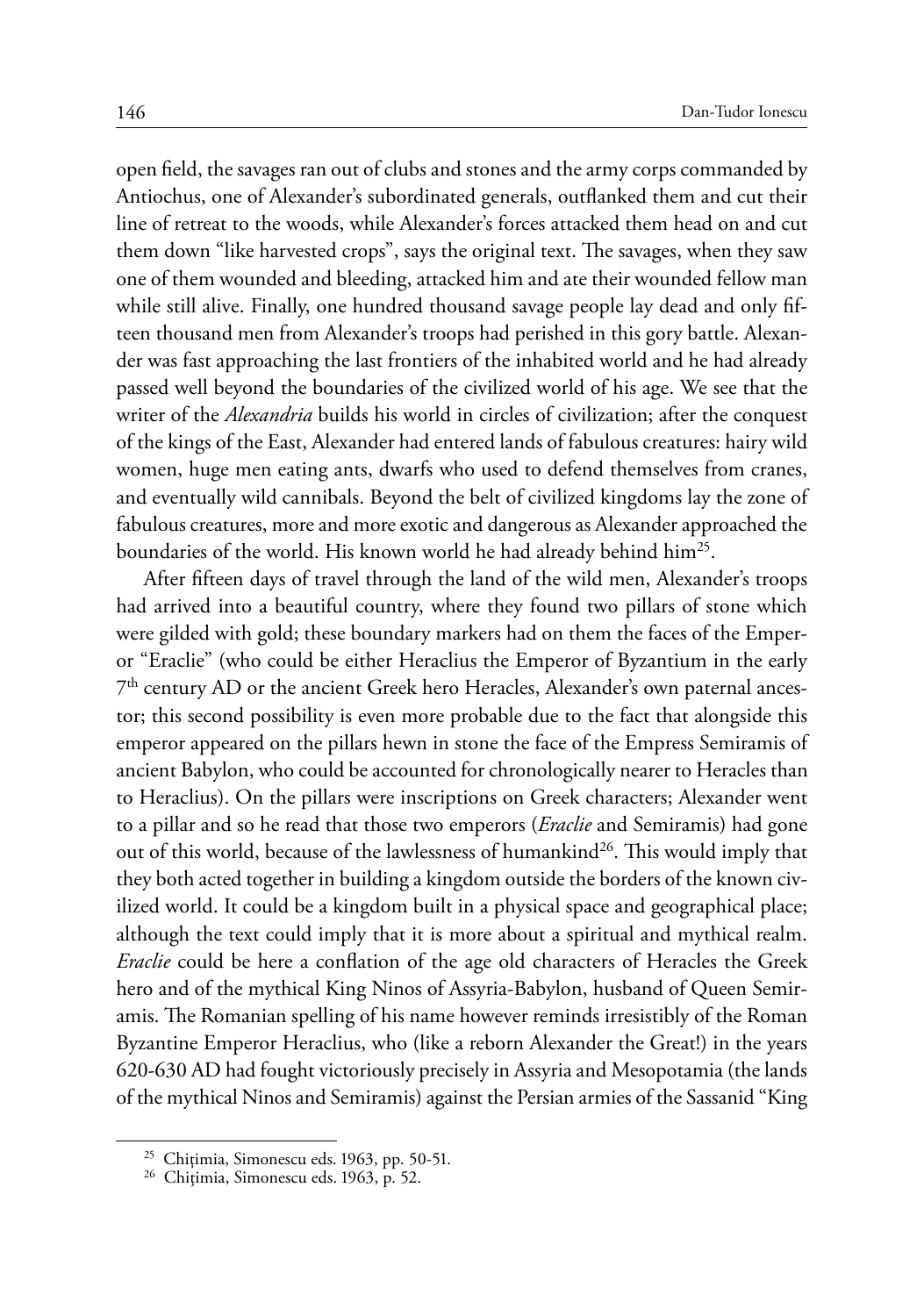open field, the savages ran out of clubs and stones and the army corps commanded by Antiochus, one of Alexander's subordinated generals, outflanked them and cut their line of retreat to the woods, while Alexander's forces attacked them head on and cut them down "like harvested crops", says the original text. The savages, when they saw one of them wounded and bleeding, attacked him and ate their wounded fellow man while still alive. Finally, one hundred thousand savage people lay dead and only fifteen thousand men from Alexander's troops had perished in this gory battle. Alexander was fast approaching the last frontiers of the inhabited world and he had already passed well beyond the boundaries of the civilized world of his age. We see that the writer of the *Alexandria* builds his world in circles of civilization; after the conquest of the kings of the East, Alexander had entered lands of fabulous creatures: hairy wild women, huge men eating ants, dwarfs who used to defend themselves from cranes, and eventually wild cannibals. Beyond the belt of civilized kingdoms lay the zone of fabulous creatures, more and more exotic and dangerous as Alexander approached the boundaries of the world. His known world he had already behind him<sup>25</sup>.

After fifteen days of travel through the land of the wild men, Alexander's troops had arrived into a beautiful country, where they found two pillars of stone which were gilded with gold; these boundary markers had on them the faces of the Emperor "Eraclie" (who could be either Heraclius the Emperor of Byzantium in the early 7th century AD or the ancient Greek hero Heracles, Alexander's own paternal ancestor; this second possibility is even more probable due to the fact that alongside this emperor appeared on the pillars hewn in stone the face of the Empress Semiramis of ancient Babylon, who could be accounted for chronologically nearer to Heracles than to Heraclius). On the pillars were inscriptions on Greek characters; Alexander went to a pillar and so he read that those two emperors (*Eraclie* and Semiramis) had gone out of this world, because of the lawlessness of humankind<sup>26</sup>. This would imply that they both acted together in building a kingdom outside the borders of the known civilized world. It could be a kingdom built in a physical space and geographical place; although the text could imply that it is more about a spiritual and mythical realm. *Eraclie* could be here a conflation of the age old characters of Heracles the Greek hero and of the mythical King Ninos of Assyria-Babylon, husband of Queen Semiramis. The Romanian spelling of his name however reminds irresistibly of the Roman Byzantine Emperor Heraclius, who (like a reborn Alexander the Great!) in the years 620-630 AD had fought victoriously precisely in Assyria and Mesopotamia (the lands of the mythical Ninos and Semiramis) against the Persian armies of the Sassanid "King

<sup>&</sup>lt;sup>25</sup> Chițimia, Simonescu eds. 1963, pp. 50-51.<br><sup>26</sup> Chițimia, Simonescu eds. 1963, p. 52.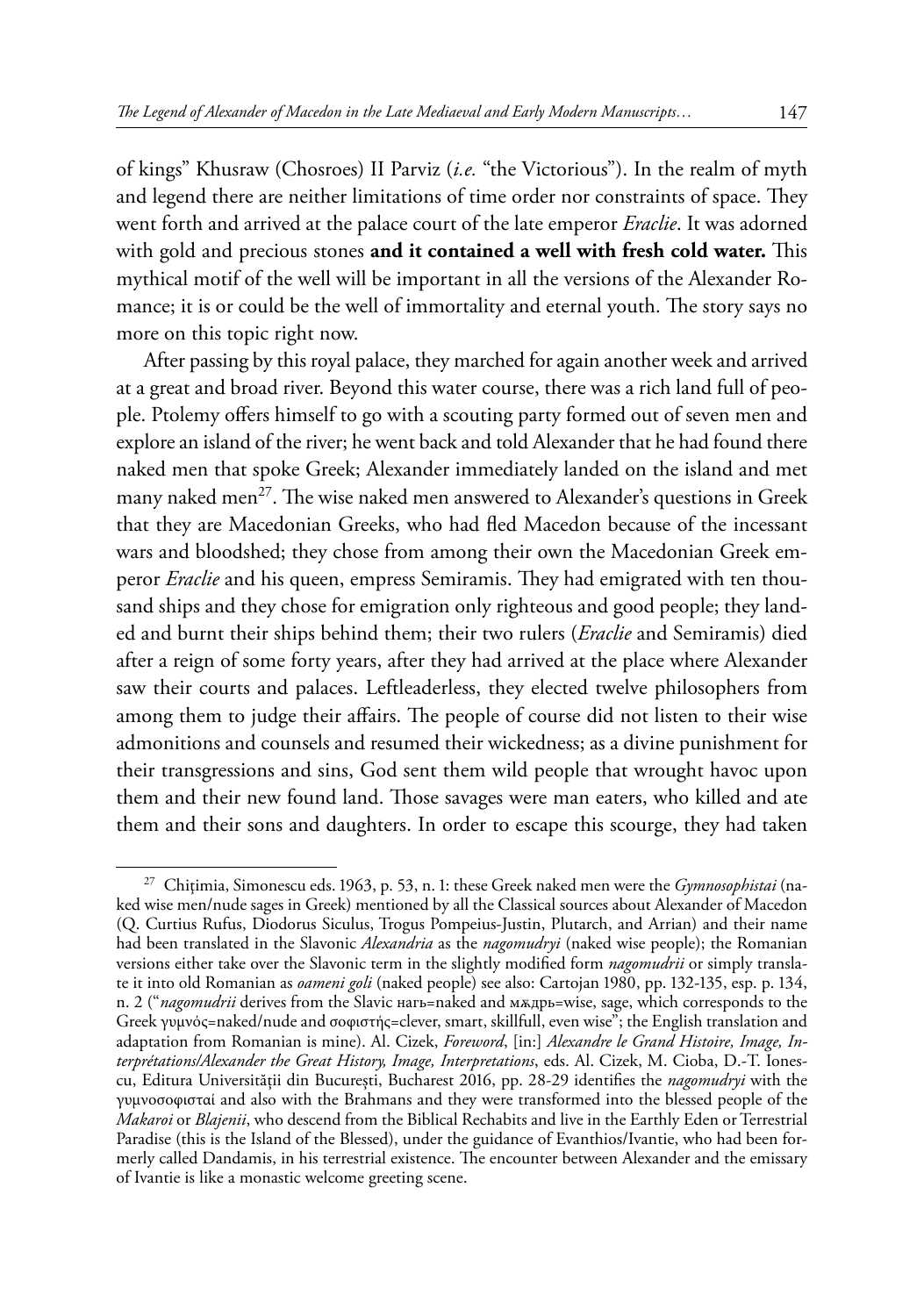of kings" Khusraw (Chosroes) II Parviz (*i.e.* "the Victorious"). In the realm of myth and legend there are neither limitations of time order nor constraints of space. They went forth and arrived at the palace court of the late emperor *Eraclie*. It was adorned with gold and precious stones **and it contained a well with fresh cold water.** This mythical motif of the well will be important in all the versions of the Alexander Romance; it is or could be the well of immortality and eternal youth. The story says no more on this topic right now.

After passing by this royal palace, they marched for again another week and arrived at a great and broad river. Beyond this water course, there was a rich land full of people. Ptolemy offers himself to go with a scouting party formed out of seven men and explore an island of the river; he went back and told Alexander that he had found there naked men that spoke Greek; Alexander immediately landed on the island and met many naked men<sup>27</sup>. The wise naked men answered to Alexander's questions in Greek that they are Macedonian Greeks, who had fled Macedon because of the incessant wars and bloodshed; they chose from among their own the Macedonian Greek emperor *Eraclie* and his queen, empress Semiramis. They had emigrated with ten thousand ships and they chose for emigration only righteous and good people; they landed and burnt their ships behind them; their two rulers (*Eraclie* and Semiramis) died after a reign of some forty years, after they had arrived at the place where Alexander saw their courts and palaces. Leftleaderless, they elected twelve philosophers from among them to judge their affairs. The people of course did not listen to their wise admonitions and counsels and resumed their wickedness; as a divine punishment for their transgressions and sins, God sent them wild people that wrought havoc upon them and their new found land. Those savages were man eaters, who killed and ate them and their sons and daughters. In order to escape this scourge, they had taken

<sup>27</sup> Chiţimia, Simonescu eds. 1963, p. 53, n. 1: these Greek naked men were the *Gymnosophistai* (naked wise men/nude sages in Greek) mentioned by all the Classical sources about Alexander of Macedon (Q. Curtius Rufus, Diodorus Siculus, Trogus Pompeius-Justin, Plutarch, and Arrian) and their name had been translated in the Slavonic *Alexandria* as the *nagomudryi* (naked wise people); the Romanian versions either take over the Slavonic term in the slightly modified form *nagomudrii* or simply translate it into old Romanian as *oameni goli* (naked people) see also: Cartojan 1980, pp. 132-135, esp. p. 134, n. 2 ("*nagomudrii* derives from the Slavic нагь=naked and мѫдрь=wise, sage, which corresponds to the Greek γυμνός=naked/nude and σοφιστής=clever, smart, skillfull, even wise"; the English translation and adaptation from Romanian is mine). Al. Cizek, *Foreword*, [in:] *Alexandre le Grand Histoire, Image, Interprétations/Alexander the Great History, Image, Interpretations*, eds. Al. Cizek, M. Cioba, D.-T. Ionescu, Editura Universității din Bucureşti, Bucharest 2016, pp. 28-29 identifies the *nagomudryi* with the γυμνοσοφισταί and also with the Brahmans and they were transformed into the blessed people of the *Makaroi* or *Blajenii*, who descend from the Biblical Rechabits and live in the Earthly Eden or Terrestrial Paradise (this is the Island of the Blessed), under the guidance of Evanthios/Ivantie, who had been formerly called Dandamis, in his terrestrial existence. The encounter between Alexander and the emissary of Ivantie is like a monastic welcome greeting scene.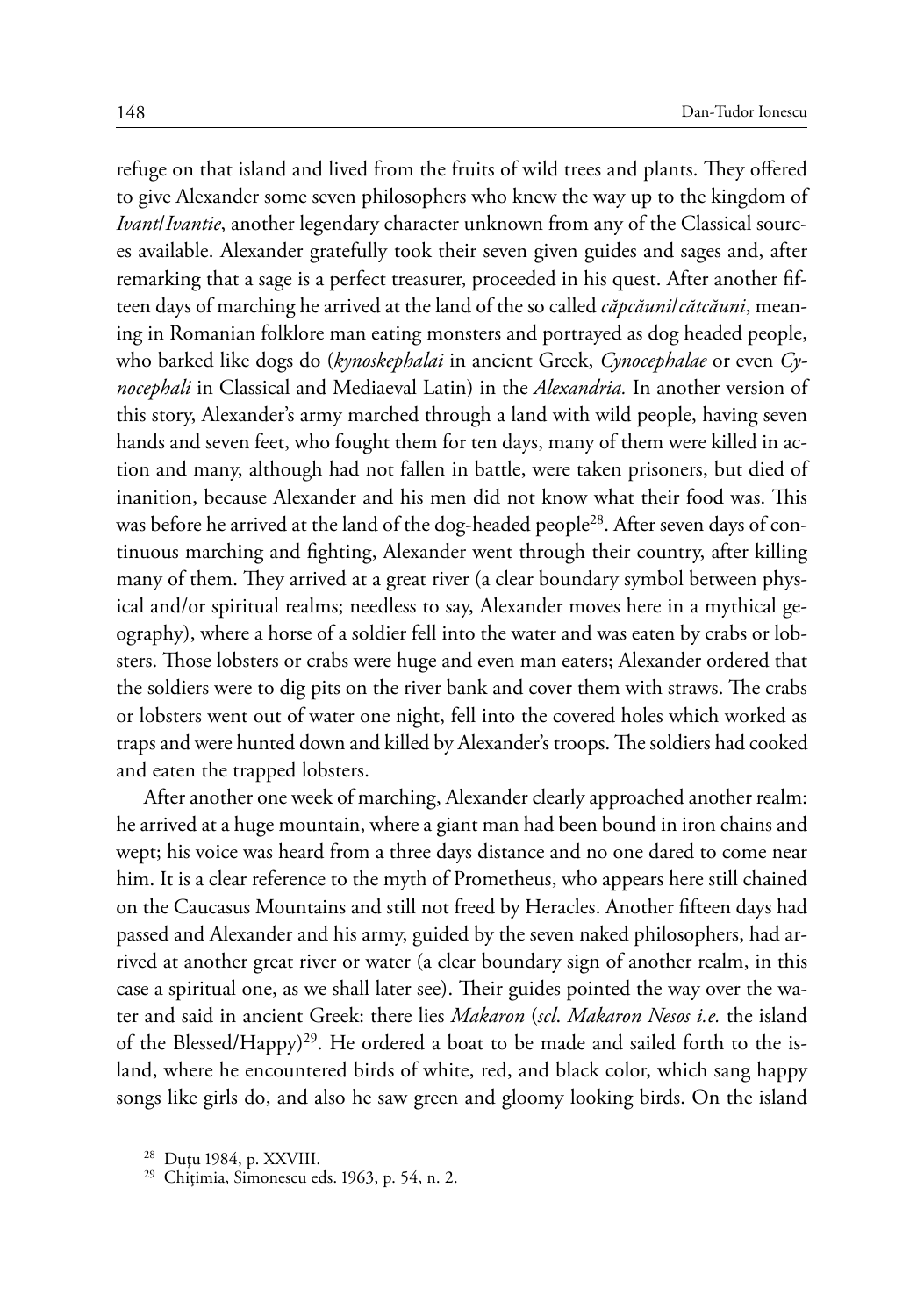refuge on that island and lived from the fruits of wild trees and plants. They offered to give Alexander some seven philosophers who knew the way up to the kingdom of *Ivant*/*Ivantie*, another legendary character unknown from any of the Classical sources available. Alexander gratefully took their seven given guides and sages and, after remarking that a sage is a perfect treasurer, proceeded in his quest. After another fifteen days of marching he arrived at the land of the so called *căpcăuni*/*cătcăuni*, meaning in Romanian folklore man eating monsters and portrayed as dog headed people, who barked like dogs do (*kynoskephalai* in ancient Greek, *Cynocephalae* or even *Cynocephali* in Classical and Mediaeval Latin) in the *Alexandria.* In another version of this story, Alexander's army marched through a land with wild people, having seven hands and seven feet, who fought them for ten days, many of them were killed in action and many, although had not fallen in battle, were taken prisoners, but died of inanition, because Alexander and his men did not know what their food was. This was before he arrived at the land of the dog-headed people<sup>28</sup>. After seven days of continuous marching and fighting, Alexander went through their country, after killing many of them. They arrived at a great river (a clear boundary symbol between physical and/or spiritual realms; needless to say, Alexander moves here in a mythical geography), where a horse of a soldier fell into the water and was eaten by crabs or lobsters. Those lobsters or crabs were huge and even man eaters; Alexander ordered that the soldiers were to dig pits on the river bank and cover them with straws. The crabs or lobsters went out of water one night, fell into the covered holes which worked as traps and were hunted down and killed by Alexander's troops. The soldiers had cooked and eaten the trapped lobsters.

After another one week of marching, Alexander clearly approached another realm: he arrived at a huge mountain, where a giant man had been bound in iron chains and wept; his voice was heard from a three days distance and no one dared to come near him. It is a clear reference to the myth of Prometheus, who appears here still chained on the Caucasus Mountains and still not freed by Heracles. Another fifteen days had passed and Alexander and his army, guided by the seven naked philosophers, had arrived at another great river or water (a clear boundary sign of another realm, in this case a spiritual one, as we shall later see). Their guides pointed the way over the water and said in ancient Greek: there lies *Makaron* (*scl*. *Makaron Nesos i.e.* the island of the Blessed/Happy)<sup>29</sup>. He ordered a boat to be made and sailed forth to the island, where he encountered birds of white, red, and black color, which sang happy songs like girls do, and also he saw green and gloomy looking birds. On the island

<sup>28</sup> Duţu 1984, p. XXVIII. <sup>29</sup> Chiţimia, Simonescu eds. 1963, p. 54, n. 2.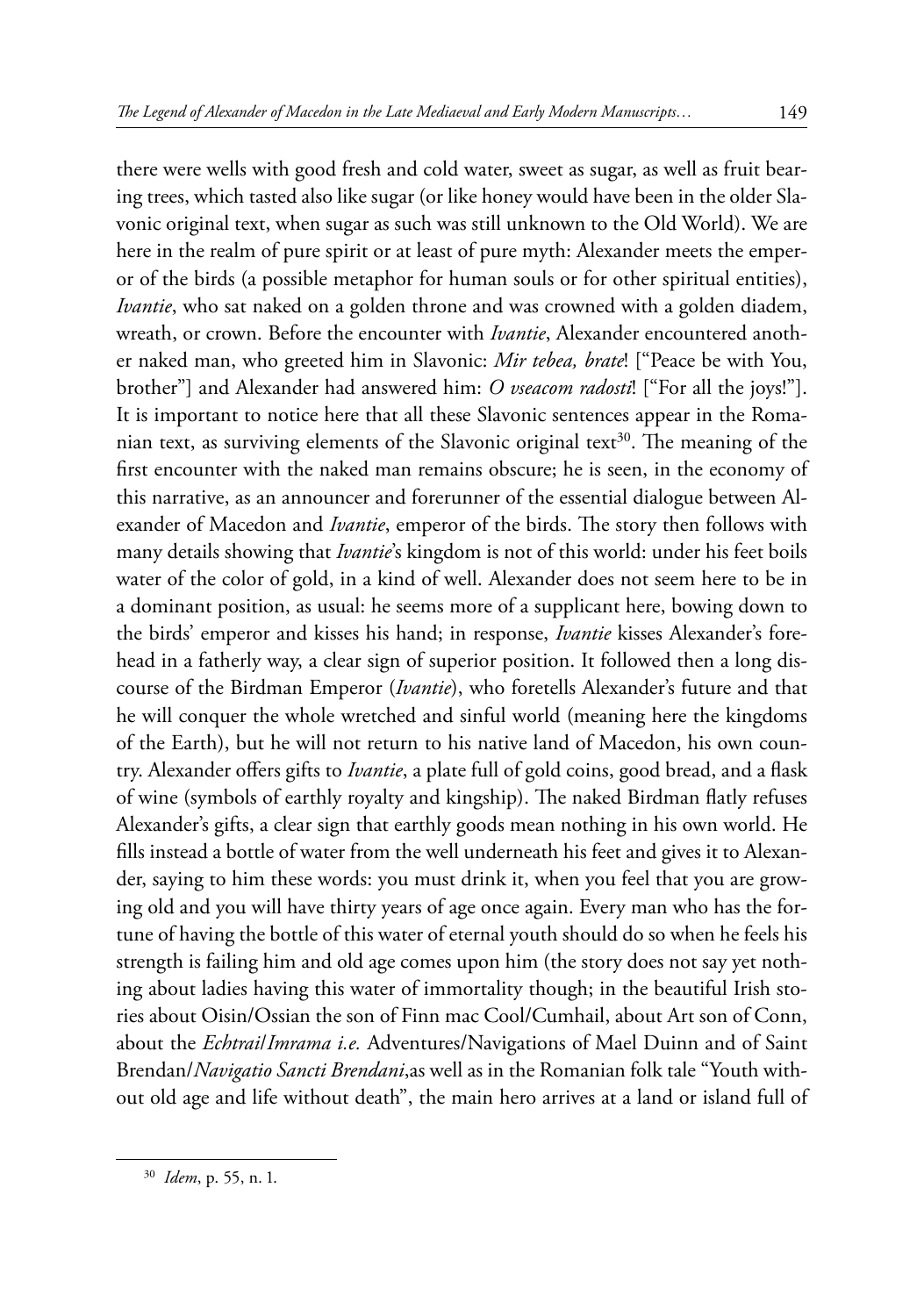there were wells with good fresh and cold water, sweet as sugar, as well as fruit bearing trees, which tasted also like sugar (or like honey would have been in the older Slavonic original text, when sugar as such was still unknown to the Old World). We are here in the realm of pure spirit or at least of pure myth: Alexander meets the emperor of the birds (a possible metaphor for human souls or for other spiritual entities), *Ivantie*, who sat naked on a golden throne and was crowned with a golden diadem, wreath, or crown. Before the encounter with *Ivantie*, Alexander encountered another naked man, who greeted him in Slavonic: *Mir tebea, brate*! ["Peace be with You, brother"] and Alexander had answered him: *O vseacom radosti*! ["For all the joys!"]. It is important to notice here that all these Slavonic sentences appear in the Romanian text, as surviving elements of the Slavonic original text<sup>30</sup>. The meaning of the first encounter with the naked man remains obscure; he is seen, in the economy of this narrative, as an announcer and forerunner of the essential dialogue between Alexander of Macedon and *Ivantie*, emperor of the birds. The story then follows with many details showing that *Ivantie*'s kingdom is not of this world: under his feet boils water of the color of gold, in a kind of well. Alexander does not seem here to be in a dominant position, as usual: he seems more of a supplicant here, bowing down to the birds' emperor and kisses his hand; in response, *Ivantie* kisses Alexander's forehead in a fatherly way, a clear sign of superior position. It followed then a long discourse of the Birdman Emperor (*Ivantie*), who foretells Alexander's future and that he will conquer the whole wretched and sinful world (meaning here the kingdoms of the Earth), but he will not return to his native land of Macedon, his own country. Alexander offers gifts to *Ivantie*, a plate full of gold coins, good bread, and a flask of wine (symbols of earthly royalty and kingship). The naked Birdman flatly refuses Alexander's gifts, a clear sign that earthly goods mean nothing in his own world. He fills instead a bottle of water from the well underneath his feet and gives it to Alexander, saying to him these words: you must drink it, when you feel that you are growing old and you will have thirty years of age once again. Every man who has the fortune of having the bottle of this water of eternal youth should do so when he feels his strength is failing him and old age comes upon him (the story does not say yet nothing about ladies having this water of immortality though; in the beautiful Irish stories about Oisin/Ossian the son of Finn mac Cool/Cumhail, about Art son of Conn, about the *Echtrai*/*Imrama i.e.* Adventures/Navigations of Mael Duinn and of Saint Brendan/*Navigatio Sancti Brendani*,as well as in the Romanian folk tale "Youth without old age and life without death", the main hero arrives at a land or island full of

<sup>30</sup> *Idem*, p. 55, n. 1.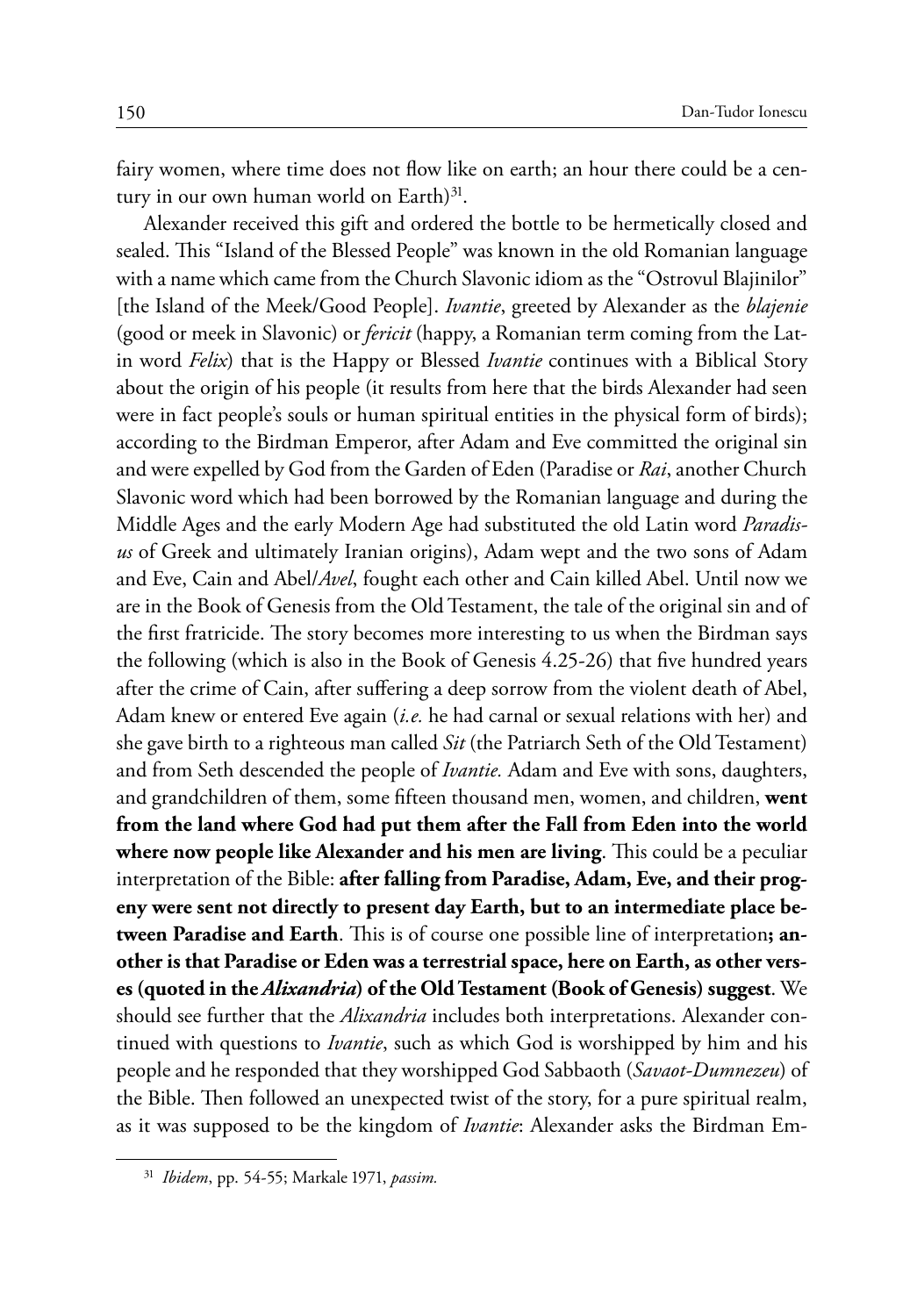fairy women, where time does not flow like on earth; an hour there could be a century in our own human world on Earth $)^{31}$ .

Alexander received this gift and ordered the bottle to be hermetically closed and sealed. This "Island of the Blessed People" was known in the old Romanian language with a name which came from the Church Slavonic idiom as the "Ostrovul Blajinilor" [the Island of the Meek/Good People]. *Ivantie*, greeted by Alexander as the *blajenie*  (good or meek in Slavonic) or *fericit* (happy, a Romanian term coming from the Latin word *Felix*) that is the Happy or Blessed *Ivantie* continues with a Biblical Story about the origin of his people (it results from here that the birds Alexander had seen were in fact people's souls or human spiritual entities in the physical form of birds); according to the Birdman Emperor, after Adam and Eve committed the original sin and were expelled by God from the Garden of Eden (Paradise or *Rai*, another Church Slavonic word which had been borrowed by the Romanian language and during the Middle Ages and the early Modern Age had substituted the old Latin word *Paradisus* of Greek and ultimately Iranian origins), Adam wept and the two sons of Adam and Eve, Cain and Abel/*Avel*, fought each other and Cain killed Abel. Until now we are in the Book of Genesis from the Old Testament, the tale of the original sin and of the first fratricide. The story becomes more interesting to us when the Birdman says the following (which is also in the Book of Genesis 4.25-26) that five hundred years after the crime of Cain, after suffering a deep sorrow from the violent death of Abel, Adam knew or entered Eve again (*i.e.* he had carnal or sexual relations with her) and she gave birth to a righteous man called *Sit* (the Patriarch Seth of the Old Testament) and from Seth descended the people of *Ivantie.* Adam and Eve with sons, daughters, and grandchildren of them, some fifteen thousand men, women, and children, **went from the land where God had put them after the Fall from Eden into the world where now people like Alexander and his men are living**. This could be a peculiar interpretation of the Bible: **after falling from Paradise, Adam, Eve, and their progeny were sent not directly to present day Earth, but to an intermediate place between Paradise and Earth**. This is of course one possible line of interpretation**; another is that Paradise or Eden was a terrestrial space, here on Earth, as other verses (quoted in the** *Alixandria***) of the Old Testament (Book of Genesis) suggest**. We should see further that the *Alixandria* includes both interpretations. Alexander continued with questions to *Ivantie*, such as which God is worshipped by him and his people and he responded that they worshipped God Sabbaoth (*Savaot-Dumnezeu*) of the Bible. Then followed an unexpected twist of the story, for a pure spiritual realm, as it was supposed to be the kingdom of *Ivantie*: Alexander asks the Birdman Em-

<sup>31</sup> *Ibidem*, pp. 54-55; Markale 1971, *passim.*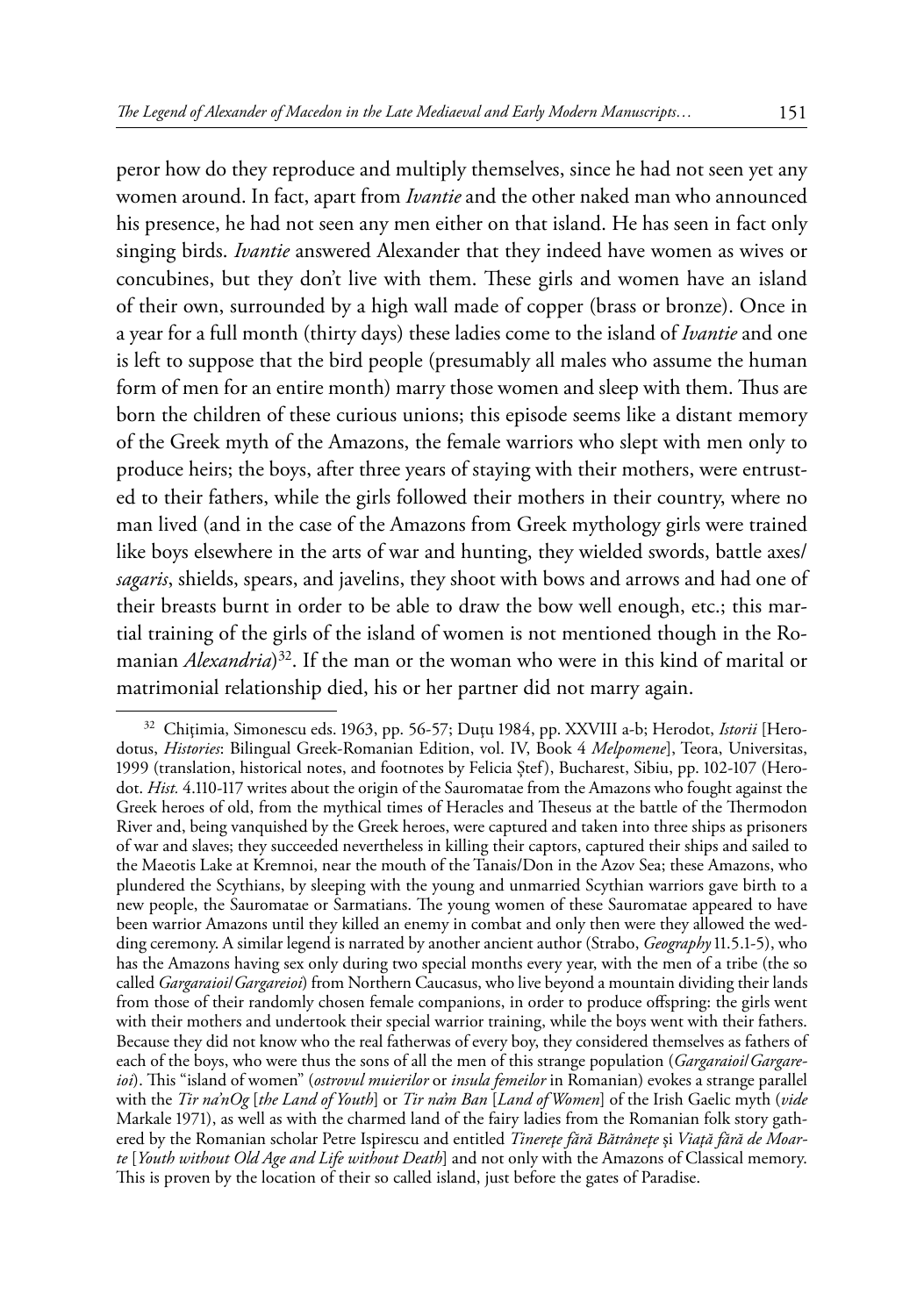peror how do they reproduce and multiply themselves, since he had not seen yet any women around. In fact, apart from *Ivantie* and the other naked man who announced his presence, he had not seen any men either on that island. He has seen in fact only singing birds. *Ivantie* answered Alexander that they indeed have women as wives or concubines, but they don't live with them. These girls and women have an island of their own, surrounded by a high wall made of copper (brass or bronze). Once in a year for a full month (thirty days) these ladies come to the island of *Ivantie* and one is left to suppose that the bird people (presumably all males who assume the human form of men for an entire month) marry those women and sleep with them. Thus are born the children of these curious unions; this episode seems like a distant memory of the Greek myth of the Amazons, the female warriors who slept with men only to produce heirs; the boys, after three years of staying with their mothers, were entrusted to their fathers, while the girls followed their mothers in their country, where no man lived (and in the case of the Amazons from Greek mythology girls were trained like boys elsewhere in the arts of war and hunting, they wielded swords, battle axes/ *sagaris*, shields, spears, and javelins, they shoot with bows and arrows and had one of their breasts burnt in order to be able to draw the bow well enough, etc.; this martial training of the girls of the island of women is not mentioned though in the Romanian *Alexandria*) 32. If the man or the woman who were in this kind of marital or matrimonial relationship died, his or her partner did not marry again.

<sup>32</sup> Chiţimia, Simonescu eds. 1963, pp. 56-57; Duţu 1984, pp. XXVIII a-b; Herodot, *Istorii* [Herodotus, *Histories*: Bilingual Greek-Romanian Edition, vol. IV, Book 4 *Melpomene*], Teora, Universitas, 1999 (translation, historical notes, and footnotes by Felicia Ştef), Bucharest, Sibiu, pp. 102-107 (Herodot. *Hist.* 4.110-117 writes about the origin of the Sauromatae from the Amazons who fought against the Greek heroes of old, from the mythical times of Heracles and Theseus at the battle of the Thermodon River and, being vanquished by the Greek heroes, were captured and taken into three ships as prisoners of war and slaves; they succeeded nevertheless in killing their captors, captured their ships and sailed to the Maeotis Lake at Kremnoi, near the mouth of the Tanais/Don in the Azov Sea; these Amazons, who plundered the Scythians, by sleeping with the young and unmarried Scythian warriors gave birth to a new people, the Sauromatae or Sarmatians. The young women of these Sauromatae appeared to have been warrior Amazons until they killed an enemy in combat and only then were they allowed the wedding ceremony. A similar legend is narrated by another ancient author (Strabo, *Geography* 11.5.1-5), who has the Amazons having sex only during two special months every year, with the men of a tribe (the so called *Gargaraioi*/*Gargareioi*) from Northern Caucasus, who live beyond a mountain dividing their lands from those of their randomly chosen female companions, in order to produce offspring: the girls went with their mothers and undertook their special warrior training, while the boys went with their fathers. Because they did not know who the real fatherwas of every boy, they considered themselves as fathers of each of the boys, who were thus the sons of all the men of this strange population (*Gargaraioi*/*Gargareioi*). This "island of women" (*ostrovul muierilor* or *insula femeilor* in Romanian) evokes a strange parallel with the *Tir na'nOg* [*the Land of Youth*] or *Tir na'm Ban* [*Land of Women*] of the Irish Gaelic myth (*vide*  Markale 1971), as well as with the charmed land of the fairy ladies from the Romanian folk story gathered by the Romanian scholar Petre Ispirescu and entitled *Tinereţe fără Bătrâneţe* şi *Viaţă fără de Moarte* [*Youth without Old Age and Life without Death*] and not only with the Amazons of Classical memory. This is proven by the location of their so called island, just before the gates of Paradise.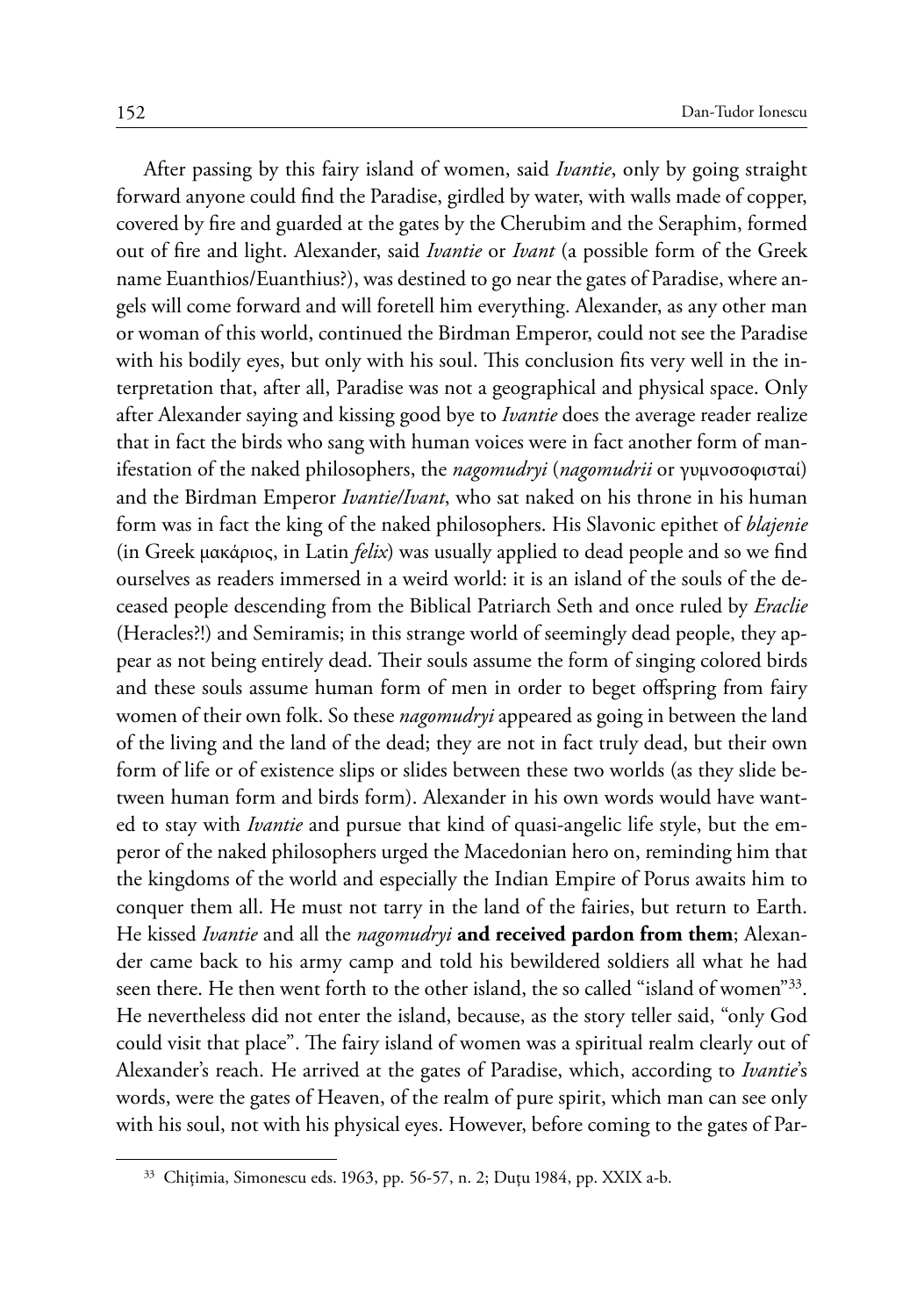After passing by this fairy island of women, said *Ivantie*, only by going straight forward anyone could find the Paradise, girdled by water, with walls made of copper, covered by fire and guarded at the gates by the Cherubim and the Seraphim, formed out of fire and light. Alexander, said *Ivantie* or *Ivant* (a possible form of the Greek name Euanthios/Euanthius?), was destined to go near the gates of Paradise, where angels will come forward and will foretell him everything. Alexander, as any other man or woman of this world, continued the Birdman Emperor, could not see the Paradise with his bodily eyes, but only with his soul. This conclusion fits very well in the interpretation that, after all, Paradise was not a geographical and physical space. Only after Alexander saying and kissing good bye to *Ivantie* does the average reader realize that in fact the birds who sang with human voices were in fact another form of manifestation of the naked philosophers, the *nagomudryi* (*nagomudrii* or γυμνοσοφισταί) and the Birdman Emperor *Ivantie/Ivant*, who sat naked on his throne in his human form was in fact the king of the naked philosophers. His Slavonic epithet of *blajenie*  (in Greek μακάριος, in Latin *felix*) was usually applied to dead people and so we find ourselves as readers immersed in a weird world: it is an island of the souls of the deceased people descending from the Biblical Patriarch Seth and once ruled by *Eraclie*  (Heracles?!) and Semiramis; in this strange world of seemingly dead people, they appear as not being entirely dead. Their souls assume the form of singing colored birds and these souls assume human form of men in order to beget offspring from fairy women of their own folk. So these *nagomudryi* appeared as going in between the land of the living and the land of the dead; they are not in fact truly dead, but their own form of life or of existence slips or slides between these two worlds (as they slide between human form and birds form). Alexander in his own words would have wanted to stay with *Ivantie* and pursue that kind of quasi-angelic life style, but the emperor of the naked philosophers urged the Macedonian hero on, reminding him that the kingdoms of the world and especially the Indian Empire of Porus awaits him to conquer them all. He must not tarry in the land of the fairies, but return to Earth. He kissed *Ivantie* and all the *nagomudryi* **and received pardon from them**; Alexander came back to his army camp and told his bewildered soldiers all what he had seen there. He then went forth to the other island, the so called "island of women"33. He nevertheless did not enter the island, because, as the story teller said, "only God could visit that place". The fairy island of women was a spiritual realm clearly out of Alexander's reach. He arrived at the gates of Paradise, which, according to *Ivantie*'s words, were the gates of Heaven, of the realm of pure spirit, which man can see only with his soul, not with his physical eyes. However, before coming to the gates of Par-

<sup>33</sup> Chiţimia, Simonescu eds. 1963, pp. 56-57, n. 2; Duţu 1984, pp. XXIX a-b.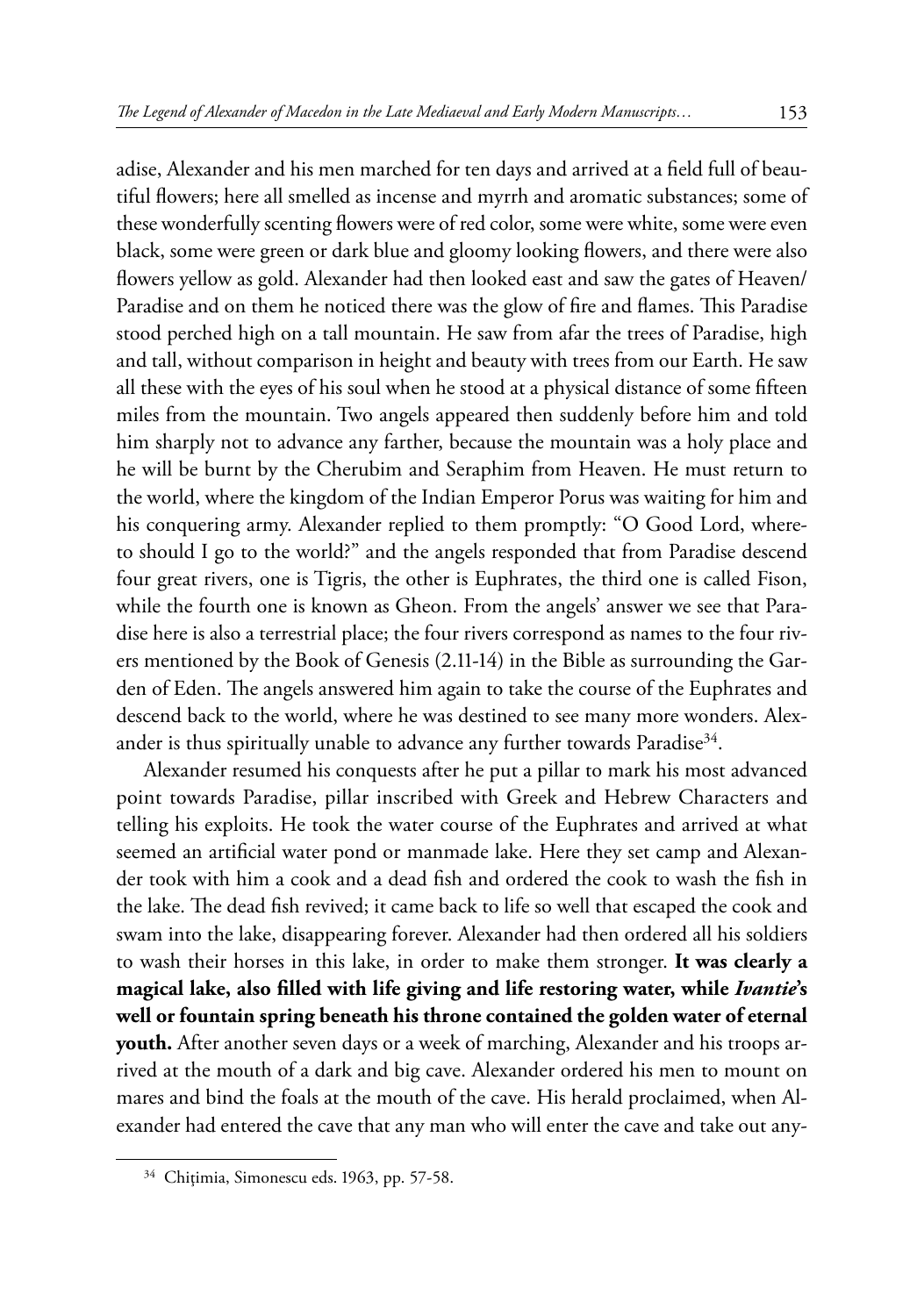adise, Alexander and his men marched for ten days and arrived at a field full of beautiful flowers; here all smelled as incense and myrrh and aromatic substances; some of these wonderfully scenting flowers were of red color, some were white, some were even black, some were green or dark blue and gloomy looking flowers, and there were also flowers yellow as gold. Alexander had then looked east and saw the gates of Heaven/ Paradise and on them he noticed there was the glow of fire and flames. This Paradise stood perched high on a tall mountain. He saw from afar the trees of Paradise, high and tall, without comparison in height and beauty with trees from our Earth. He saw all these with the eyes of his soul when he stood at a physical distance of some fifteen miles from the mountain. Two angels appeared then suddenly before him and told him sharply not to advance any farther, because the mountain was a holy place and he will be burnt by the Cherubim and Seraphim from Heaven. He must return to the world, where the kingdom of the Indian Emperor Porus was waiting for him and his conquering army. Alexander replied to them promptly: "O Good Lord, whereto should I go to the world?" and the angels responded that from Paradise descend four great rivers, one is Tigris, the other is Euphrates, the third one is called Fison, while the fourth one is known as Gheon. From the angels' answer we see that Paradise here is also a terrestrial place; the four rivers correspond as names to the four rivers mentioned by the Book of Genesis (2.11-14) in the Bible as surrounding the Garden of Eden. The angels answered him again to take the course of the Euphrates and descend back to the world, where he was destined to see many more wonders. Alexander is thus spiritually unable to advance any further towards Paradise<sup>34</sup>.

Alexander resumed his conquests after he put a pillar to mark his most advanced point towards Paradise, pillar inscribed with Greek and Hebrew Characters and telling his exploits. He took the water course of the Euphrates and arrived at what seemed an artificial water pond or manmade lake. Here they set camp and Alexander took with him a cook and a dead fish and ordered the cook to wash the fish in the lake. The dead fish revived; it came back to life so well that escaped the cook and swam into the lake, disappearing forever. Alexander had then ordered all his soldiers to wash their horses in this lake, in order to make them stronger. **It was clearly a magical lake, also filled with life giving and life restoring water, while** *Ivantie***'s well or fountain spring beneath his throne contained the golden water of eternal youth.** After another seven days or a week of marching, Alexander and his troops arrived at the mouth of a dark and big cave. Alexander ordered his men to mount on mares and bind the foals at the mouth of the cave. His herald proclaimed, when Alexander had entered the cave that any man who will enter the cave and take out any-

<sup>&</sup>lt;sup>34</sup> Chițimia, Simonescu eds. 1963, pp. 57-58.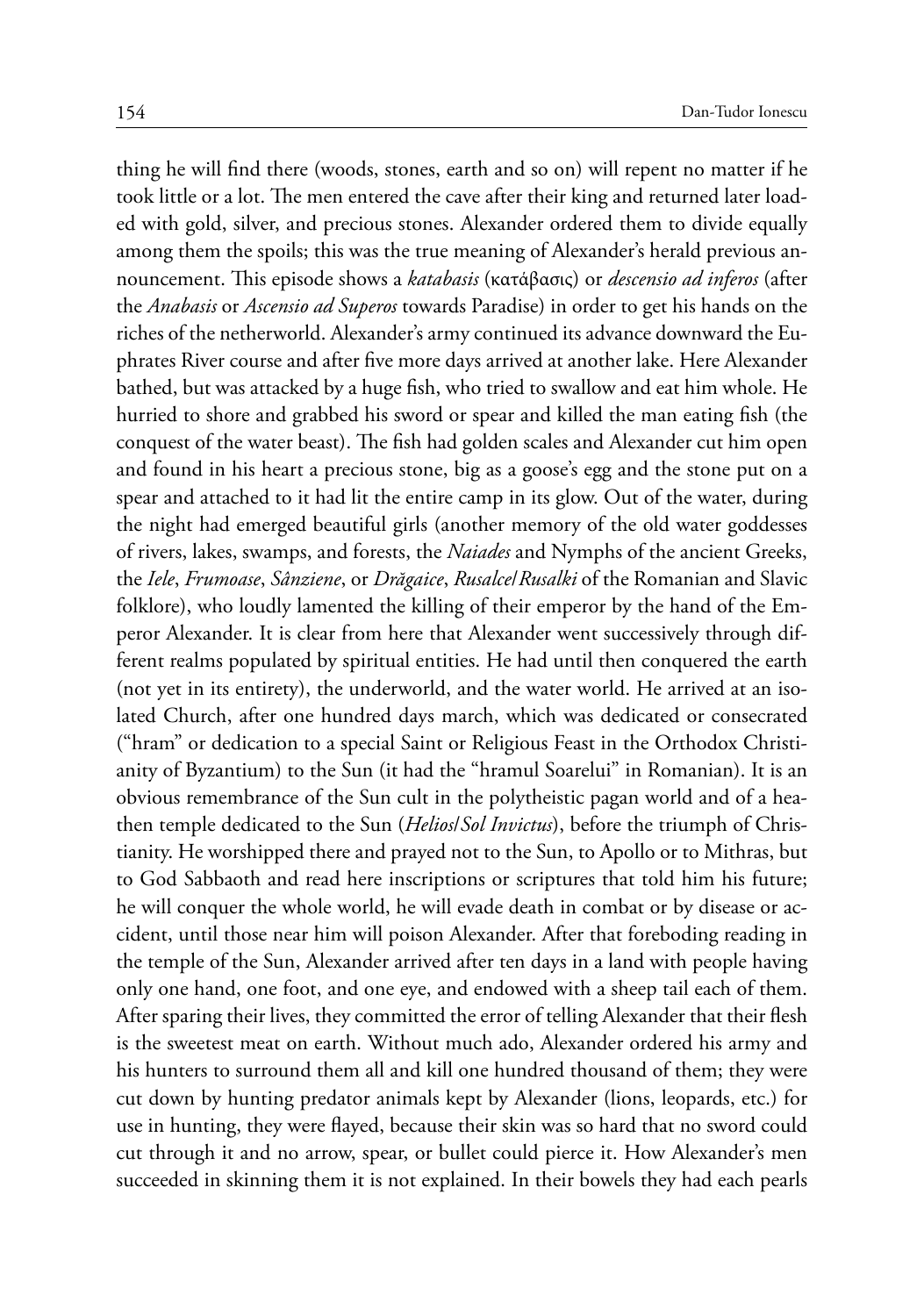thing he will find there (woods, stones, earth and so on) will repent no matter if he took little or a lot. The men entered the cave after their king and returned later loaded with gold, silver, and precious stones. Alexander ordered them to divide equally among them the spoils; this was the true meaning of Alexander's herald previous announcement. This episode shows a *katabasis* (κατάβασις) or *descensio ad inferos* (after the *Anabasis* or *Ascensio ad Superos* towards Paradise) in order to get his hands on the riches of the netherworld. Alexander's army continued its advance downward the Euphrates River course and after five more days arrived at another lake. Here Alexander bathed, but was attacked by a huge fish, who tried to swallow and eat him whole. He hurried to shore and grabbed his sword or spear and killed the man eating fish (the conquest of the water beast). The fish had golden scales and Alexander cut him open and found in his heart a precious stone, big as a goose's egg and the stone put on a spear and attached to it had lit the entire camp in its glow. Out of the water, during the night had emerged beautiful girls (another memory of the old water goddesses of rivers, lakes, swamps, and forests, the *Naiades* and Nymphs of the ancient Greeks, the *Iele*, *Frumoase*, *Sânziene*, or *Drăgaice*, *Rusalce*/*Rusalki* of the Romanian and Slavic folklore), who loudly lamented the killing of their emperor by the hand of the Emperor Alexander. It is clear from here that Alexander went successively through different realms populated by spiritual entities. He had until then conquered the earth (not yet in its entirety), the underworld, and the water world. He arrived at an isolated Church, after one hundred days march, which was dedicated or consecrated ("hram" or dedication to a special Saint or Religious Feast in the Orthodox Christianity of Byzantium) to the Sun (it had the "hramul Soarelui" in Romanian). It is an obvious remembrance of the Sun cult in the polytheistic pagan world and of a heathen temple dedicated to the Sun (*Helios*/*Sol Invictus*), before the triumph of Christianity. He worshipped there and prayed not to the Sun, to Apollo or to Mithras, but to God Sabbaoth and read here inscriptions or scriptures that told him his future; he will conquer the whole world, he will evade death in combat or by disease or accident, until those near him will poison Alexander. After that foreboding reading in the temple of the Sun, Alexander arrived after ten days in a land with people having only one hand, one foot, and one eye, and endowed with a sheep tail each of them. After sparing their lives, they committed the error of telling Alexander that their flesh is the sweetest meat on earth. Without much ado, Alexander ordered his army and his hunters to surround them all and kill one hundred thousand of them; they were cut down by hunting predator animals kept by Alexander (lions, leopards, etc.) for use in hunting, they were flayed, because their skin was so hard that no sword could cut through it and no arrow, spear, or bullet could pierce it. How Alexander's men succeeded in skinning them it is not explained. In their bowels they had each pearls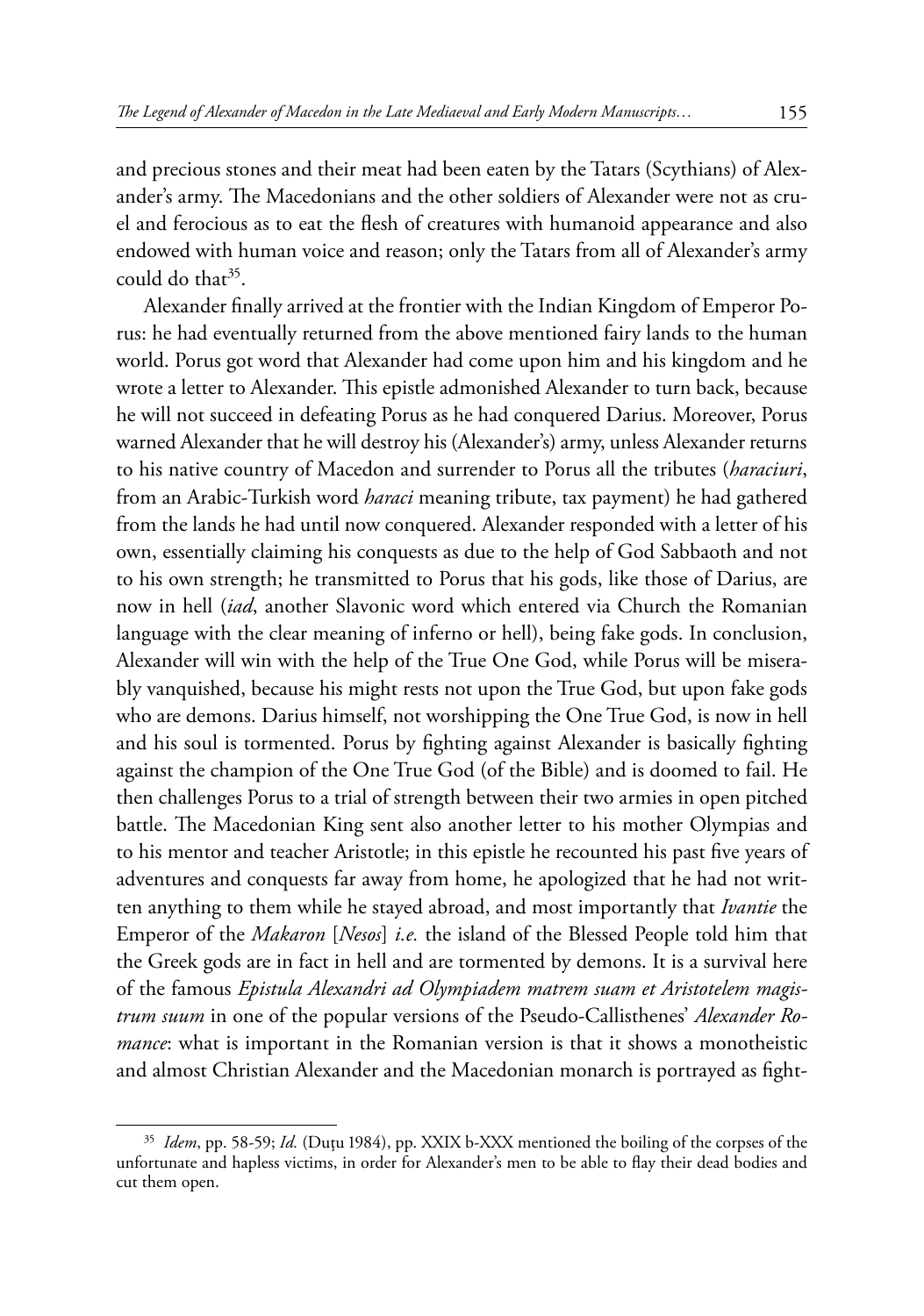and precious stones and their meat had been eaten by the Tatars (Scythians) of Alexander's army. The Macedonians and the other soldiers of Alexander were not as cruel and ferocious as to eat the flesh of creatures with humanoid appearance and also endowed with human voice and reason; only the Tatars from all of Alexander's army could do that  $35$ .

Alexander finally arrived at the frontier with the Indian Kingdom of Emperor Porus: he had eventually returned from the above mentioned fairy lands to the human world. Porus got word that Alexander had come upon him and his kingdom and he wrote a letter to Alexander. This epistle admonished Alexander to turn back, because he will not succeed in defeating Porus as he had conquered Darius. Moreover, Porus warned Alexander that he will destroy his (Alexander's) army, unless Alexander returns to his native country of Macedon and surrender to Porus all the tributes (*haraciuri*, from an Arabic-Turkish word *haraci* meaning tribute, tax payment) he had gathered from the lands he had until now conquered. Alexander responded with a letter of his own, essentially claiming his conquests as due to the help of God Sabbaoth and not to his own strength; he transmitted to Porus that his gods, like those of Darius, are now in hell (*iad*, another Slavonic word which entered via Church the Romanian language with the clear meaning of inferno or hell), being fake gods. In conclusion, Alexander will win with the help of the True One God, while Porus will be miserably vanquished, because his might rests not upon the True God, but upon fake gods who are demons. Darius himself, not worshipping the One True God, is now in hell and his soul is tormented. Porus by fighting against Alexander is basically fighting against the champion of the One True God (of the Bible) and is doomed to fail. He then challenges Porus to a trial of strength between their two armies in open pitched battle. The Macedonian King sent also another letter to his mother Olympias and to his mentor and teacher Aristotle; in this epistle he recounted his past five years of adventures and conquests far away from home, he apologized that he had not written anything to them while he stayed abroad, and most importantly that *Ivantie* the Emperor of the *Makaron* [*Nesos*] *i.e.* the island of the Blessed People told him that the Greek gods are in fact in hell and are tormented by demons. It is a survival here of the famous *Epistula Alexandri ad Olympiadem matrem suam et Aristotelem magistrum suum* in one of the popular versions of the Pseudo-Callisthenes' *Alexander Romance*: what is important in the Romanian version is that it shows a monotheistic and almost Christian Alexander and the Macedonian monarch is portrayed as fight-

<sup>35</sup> *Idem*, pp. 58-59; *Id.* (Duţu 1984), pp. XXIX b-XXX mentioned the boiling of the corpses of the unfortunate and hapless victims, in order for Alexander's men to be able to flay their dead bodies and cut them open.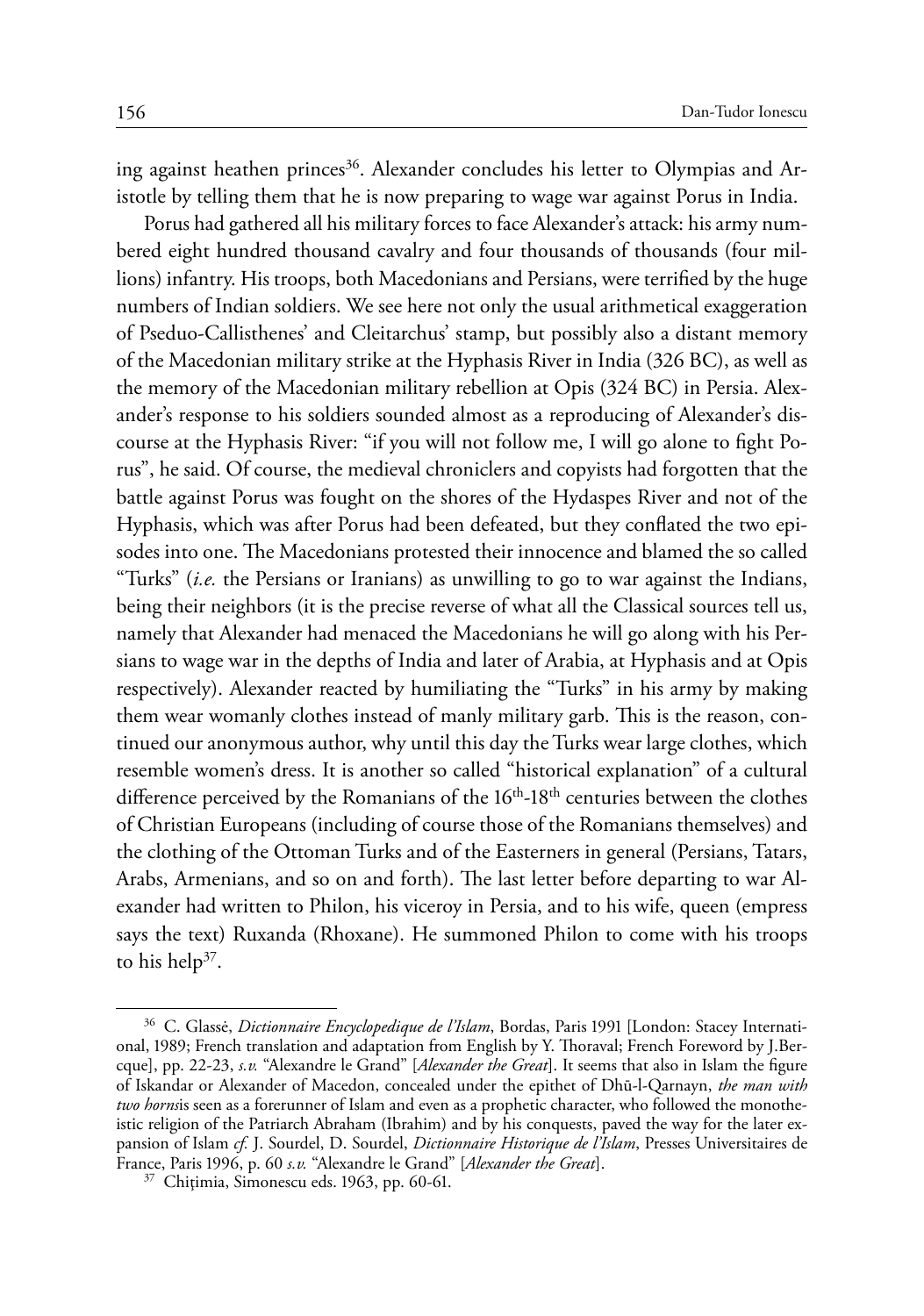ing against heathen princes<sup>36</sup>. Alexander concludes his letter to Olympias and Aristotle by telling them that he is now preparing to wage war against Porus in India.

Porus had gathered all his military forces to face Alexander's attack: his army numbered eight hundred thousand cavalry and four thousands of thousands (four millions) infantry. His troops, both Macedonians and Persians, were terrified by the huge numbers of Indian soldiers. We see here not only the usual arithmetical exaggeration of Pseduo-Callisthenes' and Cleitarchus' stamp, but possibly also a distant memory of the Macedonian military strike at the Hyphasis River in India (326 BC), as well as the memory of the Macedonian military rebellion at Opis (324 BC) in Persia. Alexander's response to his soldiers sounded almost as a reproducing of Alexander's discourse at the Hyphasis River: "if you will not follow me, I will go alone to fight Porus", he said. Of course, the medieval chroniclers and copyists had forgotten that the battle against Porus was fought on the shores of the Hydaspes River and not of the Hyphasis, which was after Porus had been defeated, but they conflated the two episodes into one. The Macedonians protested their innocence and blamed the so called "Turks" (*i.e.* the Persians or Iranians) as unwilling to go to war against the Indians, being their neighbors (it is the precise reverse of what all the Classical sources tell us, namely that Alexander had menaced the Macedonians he will go along with his Persians to wage war in the depths of India and later of Arabia, at Hyphasis and at Opis respectively). Alexander reacted by humiliating the "Turks" in his army by making them wear womanly clothes instead of manly military garb. This is the reason, continued our anonymous author, why until this day the Turks wear large clothes, which resemble women's dress. It is another so called "historical explanation" of a cultural difference perceived by the Romanians of the 16<sup>th</sup>-18<sup>th</sup> centuries between the clothes of Christian Europeans (including of course those of the Romanians themselves) and the clothing of the Ottoman Turks and of the Easterners in general (Persians, Tatars, Arabs, Armenians, and so on and forth). The last letter before departing to war Alexander had written to Philon, his viceroy in Persia, and to his wife, queen (empress says the text) Ruxanda (Rhoxane). He summoned Philon to come with his troops to his help<sup>37</sup>.

<sup>36</sup> C. Glassė, *Dictionnaire Encyclopedique de l'Islam*, Bordas, Paris 1991 [London: Stacey International, 1989; French translation and adaptation from English by Y. Thoraval; French Foreword by J.Bercque], pp. 22-23, *s.v.* "Alexandre le Grand" [*Alexander the Great*]. It seems that also in Islam the figure of Iskandar or Alexander of Macedon, concealed under the epithet of Dhū-l-Qarnayn, *the man with two horns*is seen as a forerunner of Islam and even as a prophetic character, who followed the monotheistic religion of the Patriarch Abraham (Ibrahim) and by his conquests, paved the way for the later expansion of Islam *cf.* J. Sourdel, D. Sourdel, *Dictionnaire Historique de l'Islam*, Presses Universitaires de France, Paris 1996, p. 60 *s.v.* "Alexandre le Grand" [*Alexander the Great*]. <sup>37</sup> Chiţimia, Simonescu eds. 1963, pp. 60-61.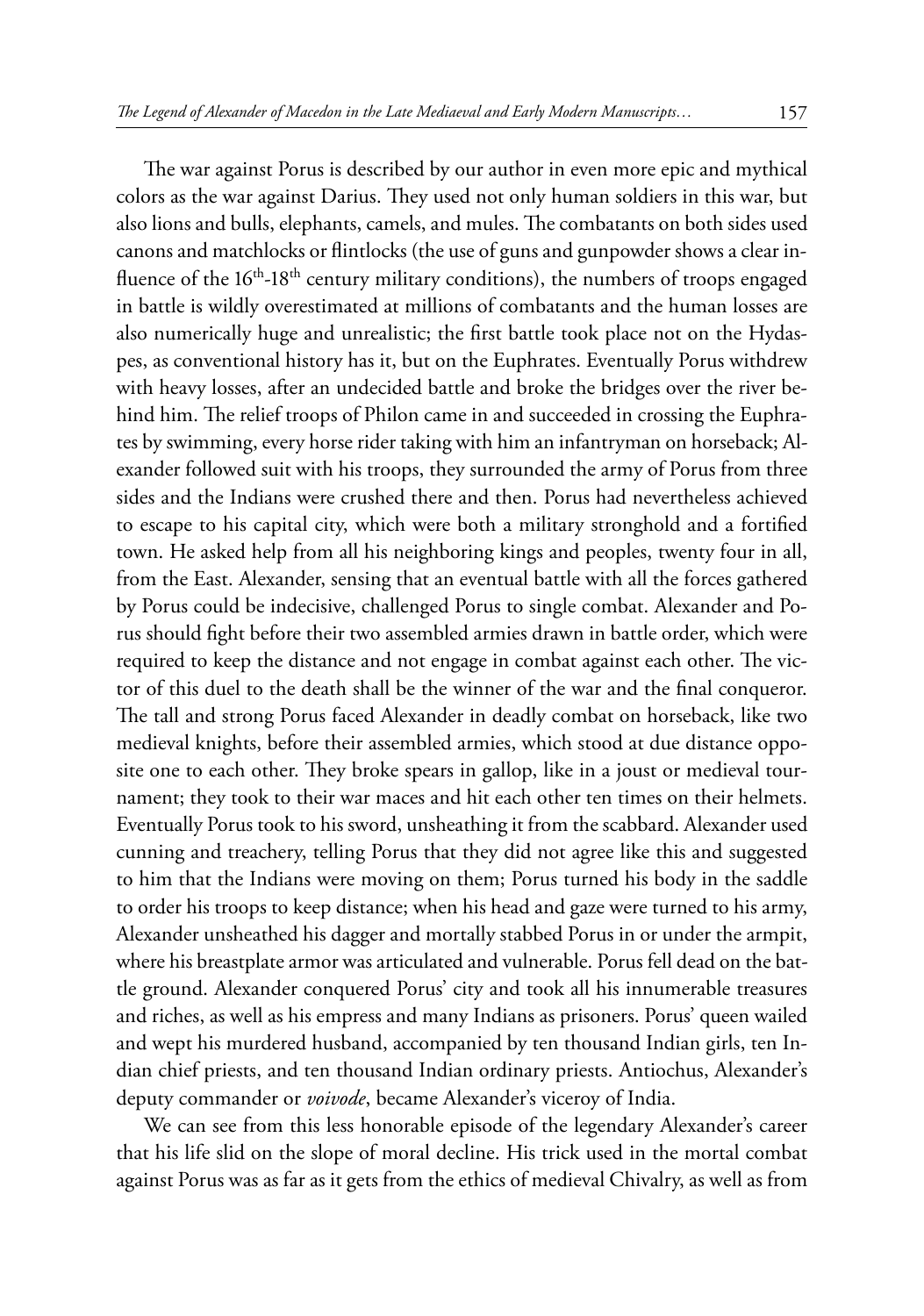The war against Porus is described by our author in even more epic and mythical colors as the war against Darius. They used not only human soldiers in this war, but also lions and bulls, elephants, camels, and mules. The combatants on both sides used canons and matchlocks or flintlocks (the use of guns and gunpowder shows a clear influence of the  $16<sup>th</sup> - 18<sup>th</sup>$  century military conditions), the numbers of troops engaged in battle is wildly overestimated at millions of combatants and the human losses are also numerically huge and unrealistic; the first battle took place not on the Hydaspes, as conventional history has it, but on the Euphrates. Eventually Porus withdrew with heavy losses, after an undecided battle and broke the bridges over the river behind him. The relief troops of Philon came in and succeeded in crossing the Euphrates by swimming, every horse rider taking with him an infantryman on horseback; Alexander followed suit with his troops, they surrounded the army of Porus from three sides and the Indians were crushed there and then. Porus had nevertheless achieved to escape to his capital city, which were both a military stronghold and a fortified town. He asked help from all his neighboring kings and peoples, twenty four in all, from the East. Alexander, sensing that an eventual battle with all the forces gathered by Porus could be indecisive, challenged Porus to single combat. Alexander and Porus should fight before their two assembled armies drawn in battle order, which were required to keep the distance and not engage in combat against each other. The victor of this duel to the death shall be the winner of the war and the final conqueror. The tall and strong Porus faced Alexander in deadly combat on horseback, like two medieval knights, before their assembled armies, which stood at due distance opposite one to each other. They broke spears in gallop, like in a joust or medieval tournament; they took to their war maces and hit each other ten times on their helmets. Eventually Porus took to his sword, unsheathing it from the scabbard. Alexander used cunning and treachery, telling Porus that they did not agree like this and suggested to him that the Indians were moving on them; Porus turned his body in the saddle to order his troops to keep distance; when his head and gaze were turned to his army, Alexander unsheathed his dagger and mortally stabbed Porus in or under the armpit, where his breastplate armor was articulated and vulnerable. Porus fell dead on the battle ground. Alexander conquered Porus' city and took all his innumerable treasures and riches, as well as his empress and many Indians as prisoners. Porus' queen wailed and wept his murdered husband, accompanied by ten thousand Indian girls, ten Indian chief priests, and ten thousand Indian ordinary priests. Antiochus, Alexander's deputy commander or *voivode*, became Alexander's viceroy of India.

We can see from this less honorable episode of the legendary Alexander's career that his life slid on the slope of moral decline. His trick used in the mortal combat against Porus was as far as it gets from the ethics of medieval Chivalry, as well as from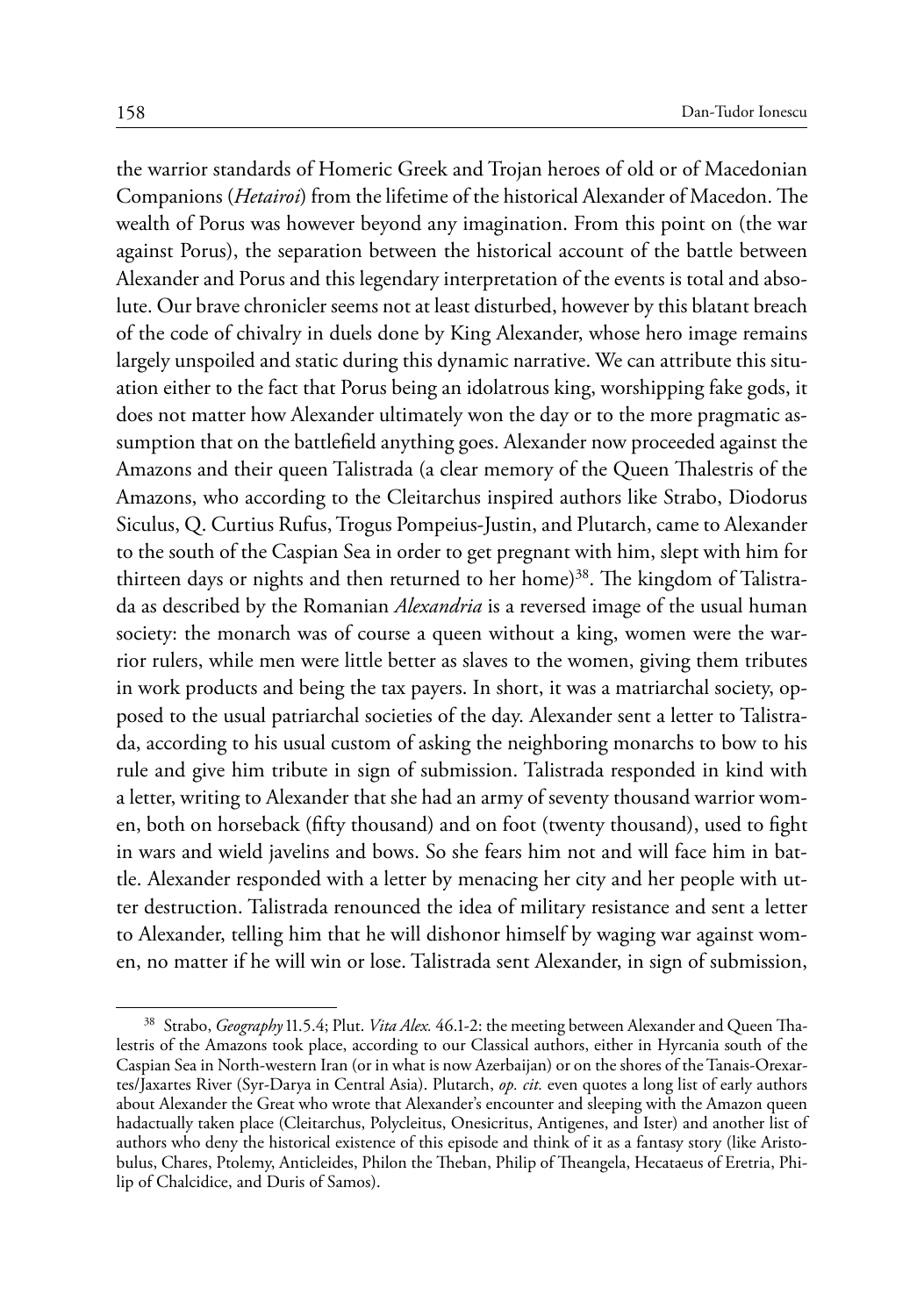the warrior standards of Homeric Greek and Trojan heroes of old or of Macedonian Companions (*Hetairoi*) from the lifetime of the historical Alexander of Macedon. The wealth of Porus was however beyond any imagination. From this point on (the war against Porus), the separation between the historical account of the battle between Alexander and Porus and this legendary interpretation of the events is total and absolute. Our brave chronicler seems not at least disturbed, however by this blatant breach of the code of chivalry in duels done by King Alexander, whose hero image remains largely unspoiled and static during this dynamic narrative. We can attribute this situation either to the fact that Porus being an idolatrous king, worshipping fake gods, it does not matter how Alexander ultimately won the day or to the more pragmatic assumption that on the battlefield anything goes. Alexander now proceeded against the Amazons and their queen Talistrada (a clear memory of the Queen Thalestris of the Amazons, who according to the Cleitarchus inspired authors like Strabo, Diodorus Siculus, Q. Curtius Rufus, Trogus Pompeius-Justin, and Plutarch, came to Alexander to the south of the Caspian Sea in order to get pregnant with him, slept with him for thirteen days or nights and then returned to her home)<sup>38</sup>. The kingdom of Talistrada as described by the Romanian *Alexandria* is a reversed image of the usual human society: the monarch was of course a queen without a king, women were the warrior rulers, while men were little better as slaves to the women, giving them tributes in work products and being the tax payers. In short, it was a matriarchal society, opposed to the usual patriarchal societies of the day. Alexander sent a letter to Talistrada, according to his usual custom of asking the neighboring monarchs to bow to his rule and give him tribute in sign of submission. Talistrada responded in kind with a letter, writing to Alexander that she had an army of seventy thousand warrior women, both on horseback (fifty thousand) and on foot (twenty thousand), used to fight in wars and wield javelins and bows. So she fears him not and will face him in battle. Alexander responded with a letter by menacing her city and her people with utter destruction. Talistrada renounced the idea of military resistance and sent a letter to Alexander, telling him that he will dishonor himself by waging war against women, no matter if he will win or lose. Talistrada sent Alexander, in sign of submission,

<sup>38</sup> Strabo, *Geography* 11.5.4; Plut. *Vita Alex.* 46.1-2: the meeting between Alexander and Queen Thalestris of the Amazons took place, according to our Classical authors, either in Hyrcania south of the Caspian Sea in North-western Iran (or in what is now Azerbaijan) or on the shores of the Tanais-Orexartes/Jaxartes River (Syr-Darya in Central Asia). Plutarch, *op. cit.* even quotes a long list of early authors about Alexander the Great who wrote that Alexander's encounter and sleeping with the Amazon queen hadactually taken place (Cleitarchus, Polycleitus, Onesicritus, Antigenes, and Ister) and another list of authors who deny the historical existence of this episode and think of it as a fantasy story (like Aristobulus, Chares, Ptolemy, Anticleides, Philon the Theban, Philip of Theangela, Hecataeus of Eretria, Philip of Chalcidice, and Duris of Samos).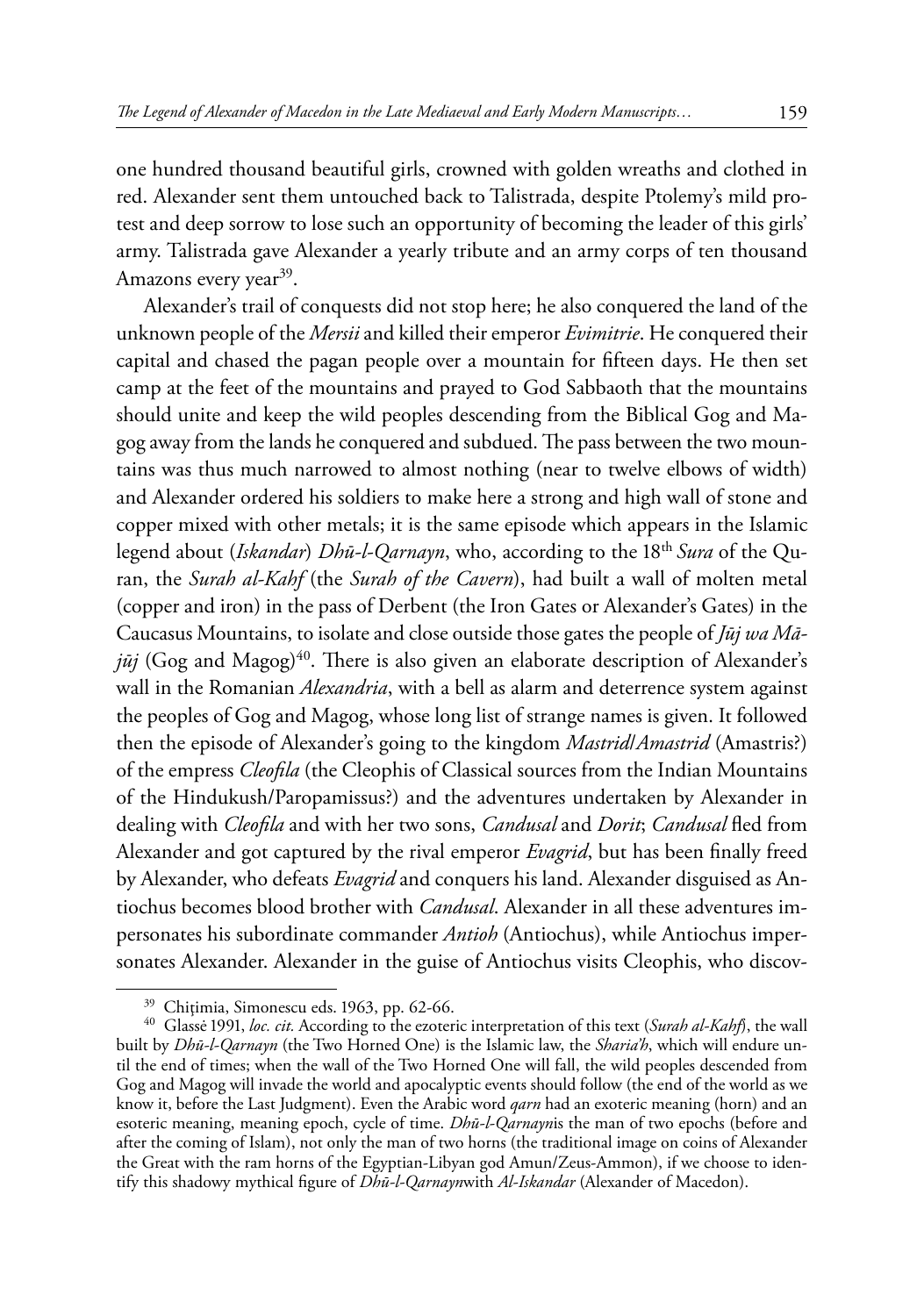one hundred thousand beautiful girls, crowned with golden wreaths and clothed in red. Alexander sent them untouched back to Talistrada, despite Ptolemy's mild protest and deep sorrow to lose such an opportunity of becoming the leader of this girls' army. Talistrada gave Alexander a yearly tribute and an army corps of ten thousand Amazons every year<sup>39</sup>.

Alexander's trail of conquests did not stop here; he also conquered the land of the unknown people of the *Mersii* and killed their emperor *Evimitrie*. He conquered their capital and chased the pagan people over a mountain for fifteen days. He then set camp at the feet of the mountains and prayed to God Sabbaoth that the mountains should unite and keep the wild peoples descending from the Biblical Gog and Magog away from the lands he conquered and subdued. The pass between the two mountains was thus much narrowed to almost nothing (near to twelve elbows of width) and Alexander ordered his soldiers to make here a strong and high wall of stone and copper mixed with other metals; it is the same episode which appears in the Islamic legend about (*Iskandar*) *Dhū-l-Qarnayn*, who, according to the 18th *Sura* of the Quran, the *Surah al-Kahf* (the *Surah of the Cavern*), had built a wall of molten metal (copper and iron) in the pass of Derbent (the Iron Gates or Alexander's Gates) in the Caucasus Mountains, to isolate and close outside those gates the people of *Jūj wa Mā* $j\bar{u}j$  (Gog and Magog)<sup>40</sup>. There is also given an elaborate description of Alexander's wall in the Romanian *Alexandria*, with a bell as alarm and deterrence system against the peoples of Gog and Magog, whose long list of strange names is given. It followed then the episode of Alexander's going to the kingdom *Mastrid*/*Amastrid* (Amastris?) of the empress *Cleofila* (the Cleophis of Classical sources from the Indian Mountains of the Hindukush/Paropamissus?) and the adventures undertaken by Alexander in dealing with *Cleofila* and with her two sons, *Candusal* and *Dorit*; *Candusal* fled from Alexander and got captured by the rival emperor *Evagrid*, but has been finally freed by Alexander, who defeats *Evagrid* and conquers his land. Alexander disguised as Antiochus becomes blood brother with *Candusal*. Alexander in all these adventures impersonates his subordinate commander *Antioh* (Antiochus), while Antiochus impersonates Alexander. Alexander in the guise of Antiochus visits Cleophis, who discov-

<sup>39</sup> Chiţimia, Simonescu eds. 1963, pp. 62-66. <sup>40</sup> Glassė 1991, *loc. cit.* According to the ezoteric interpretation of this text (*Surah al-Kahf*), the wall built by *Dhū-l-Qarnayn* (the Two Horned One) is the Islamic law, the *Sharia'h*, which will endure until the end of times; when the wall of the Two Horned One will fall, the wild peoples descended from Gog and Magog will invade the world and apocalyptic events should follow (the end of the world as we know it, before the Last Judgment). Even the Arabic word *qarn* had an exoteric meaning (horn) and an esoteric meaning, meaning epoch, cycle of time. *Dhū-l-Qarnayn*is the man of two epochs (before and after the coming of Islam), not only the man of two horns (the traditional image on coins of Alexander the Great with the ram horns of the Egyptian-Libyan god Amun/Zeus-Ammon), if we choose to identify this shadowy mythical figure of *Dhū-l-Qarnayn*with *Al-Iskandar* (Alexander of Macedon).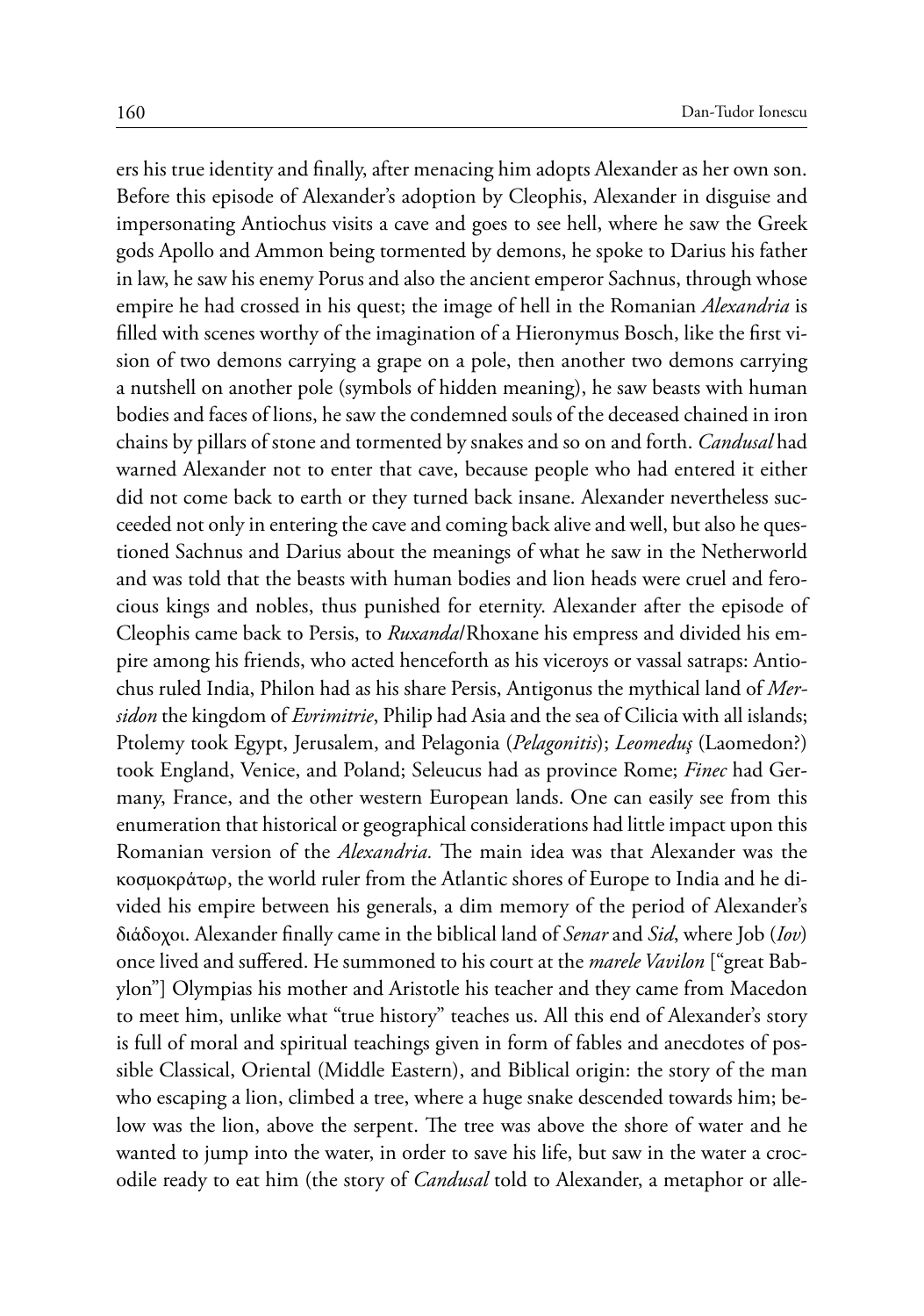ers his true identity and finally, after menacing him adopts Alexander as her own son. Before this episode of Alexander's adoption by Cleophis, Alexander in disguise and impersonating Antiochus visits a cave and goes to see hell, where he saw the Greek gods Apollo and Ammon being tormented by demons, he spoke to Darius his father in law, he saw his enemy Porus and also the ancient emperor Sachnus, through whose empire he had crossed in his quest; the image of hell in the Romanian *Alexandria* is filled with scenes worthy of the imagination of a Hieronymus Bosch, like the first vision of two demons carrying a grape on a pole, then another two demons carrying a nutshell on another pole (symbols of hidden meaning), he saw beasts with human bodies and faces of lions, he saw the condemned souls of the deceased chained in iron chains by pillars of stone and tormented by snakes and so on and forth. *Candusal* had warned Alexander not to enter that cave, because people who had entered it either did not come back to earth or they turned back insane. Alexander nevertheless succeeded not only in entering the cave and coming back alive and well, but also he questioned Sachnus and Darius about the meanings of what he saw in the Netherworld and was told that the beasts with human bodies and lion heads were cruel and ferocious kings and nobles, thus punished for eternity. Alexander after the episode of Cleophis came back to Persis, to *Ruxanda*/Rhoxane his empress and divided his empire among his friends, who acted henceforth as his viceroys or vassal satraps: Antiochus ruled India, Philon had as his share Persis, Antigonus the mythical land of *Mersidon* the kingdom of *Evrimitrie*, Philip had Asia and the sea of Cilicia with all islands; Ptolemy took Egypt, Jerusalem, and Pelagonia (*Pelagonitis*); *Leomeduş* (Laomedon?) took England, Venice, and Poland; Seleucus had as province Rome; *Finec* had Germany, France, and the other western European lands. One can easily see from this enumeration that historical or geographical considerations had little impact upon this Romanian version of the *Alexandria.* The main idea was that Alexander was the κοσμοκράτωρ, the world ruler from the Atlantic shores of Europe to India and he divided his empire between his generals, a dim memory of the period of Alexander's διάδοχοι. Alexander finally came in the biblical land of *Senar* and *Sid*, where Job (*Iov*) once lived and suffered. He summoned to his court at the *marele Vavilon* ["great Babylon"] Olympias his mother and Aristotle his teacher and they came from Macedon to meet him, unlike what "true history" teaches us. All this end of Alexander's story is full of moral and spiritual teachings given in form of fables and anecdotes of possible Classical, Oriental (Middle Eastern), and Biblical origin: the story of the man who escaping a lion, climbed a tree, where a huge snake descended towards him; below was the lion, above the serpent. The tree was above the shore of water and he wanted to jump into the water, in order to save his life, but saw in the water a crocodile ready to eat him (the story of *Candusal* told to Alexander, a metaphor or alle-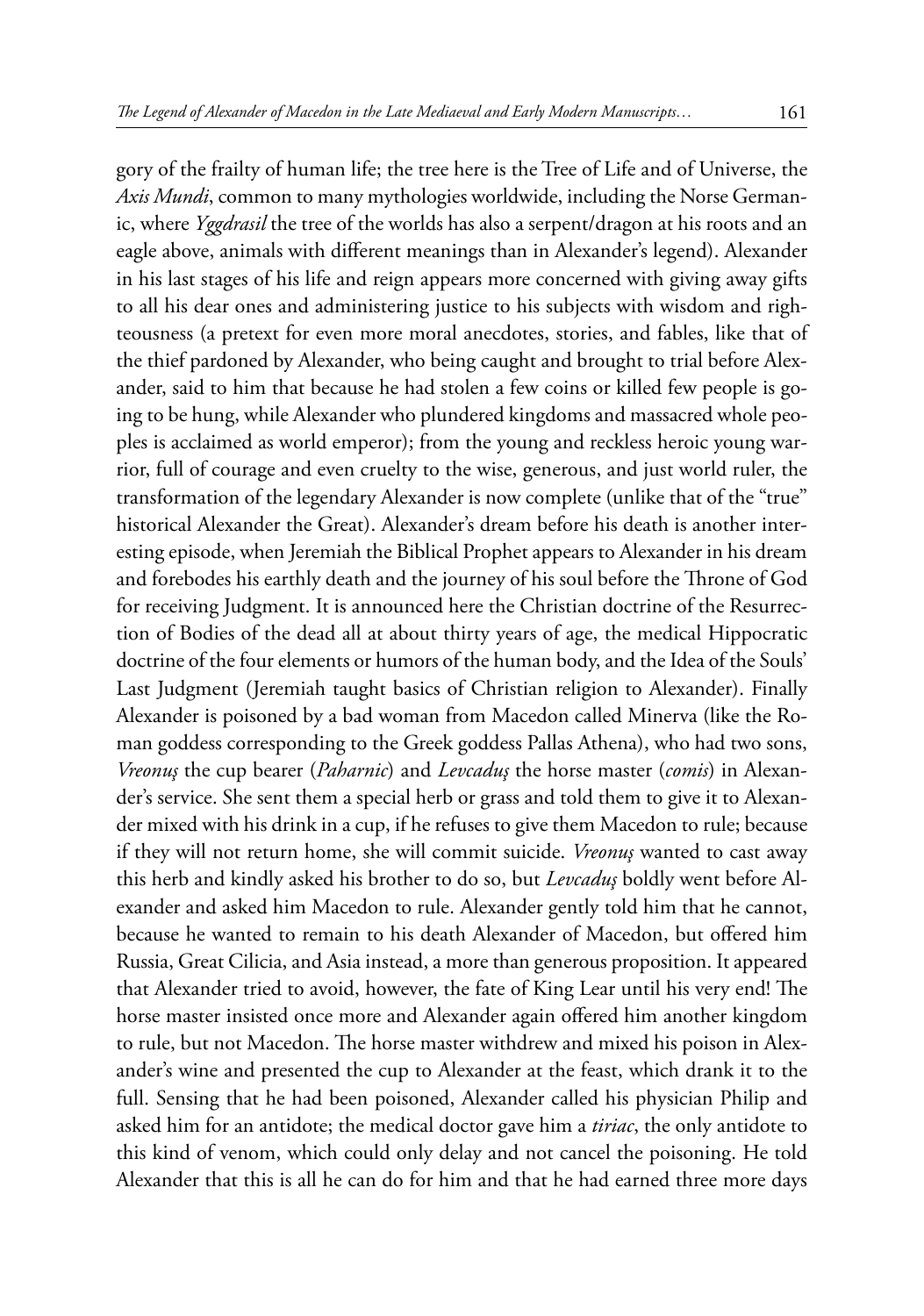gory of the frailty of human life; the tree here is the Tree of Life and of Universe, the *Axis Mundi*, common to many mythologies worldwide, including the Norse Germanic, where *Yggdrasil* the tree of the worlds has also a serpent/dragon at his roots and an eagle above, animals with different meanings than in Alexander's legend). Alexander in his last stages of his life and reign appears more concerned with giving away gifts to all his dear ones and administering justice to his subjects with wisdom and righteousness (a pretext for even more moral anecdotes, stories, and fables, like that of the thief pardoned by Alexander, who being caught and brought to trial before Alexander, said to him that because he had stolen a few coins or killed few people is going to be hung, while Alexander who plundered kingdoms and massacred whole peoples is acclaimed as world emperor); from the young and reckless heroic young warrior, full of courage and even cruelty to the wise, generous, and just world ruler, the transformation of the legendary Alexander is now complete (unlike that of the "true" historical Alexander the Great). Alexander's dream before his death is another interesting episode, when Jeremiah the Biblical Prophet appears to Alexander in his dream and forebodes his earthly death and the journey of his soul before the Throne of God for receiving Judgment. It is announced here the Christian doctrine of the Resurrection of Bodies of the dead all at about thirty years of age, the medical Hippocratic doctrine of the four elements or humors of the human body, and the Idea of the Souls' Last Judgment (Jeremiah taught basics of Christian religion to Alexander). Finally Alexander is poisoned by a bad woman from Macedon called Minerva (like the Roman goddess corresponding to the Greek goddess Pallas Athena), who had two sons, *Vreonuş* the cup bearer (*Paharnic*) and *Levcaduş* the horse master (*comis*) in Alexander's service. She sent them a special herb or grass and told them to give it to Alexander mixed with his drink in a cup, if he refuses to give them Macedon to rule; because if they will not return home, she will commit suicide. *Vreonuş* wanted to cast away this herb and kindly asked his brother to do so, but *Levcaduş* boldly went before Alexander and asked him Macedon to rule. Alexander gently told him that he cannot, because he wanted to remain to his death Alexander of Macedon, but offered him Russia, Great Cilicia, and Asia instead, a more than generous proposition. It appeared that Alexander tried to avoid, however, the fate of King Lear until his very end! The horse master insisted once more and Alexander again offered him another kingdom to rule, but not Macedon. The horse master withdrew and mixed his poison in Alexander's wine and presented the cup to Alexander at the feast, which drank it to the full. Sensing that he had been poisoned, Alexander called his physician Philip and asked him for an antidote; the medical doctor gave him a *tiriac*, the only antidote to this kind of venom, which could only delay and not cancel the poisoning. He told Alexander that this is all he can do for him and that he had earned three more days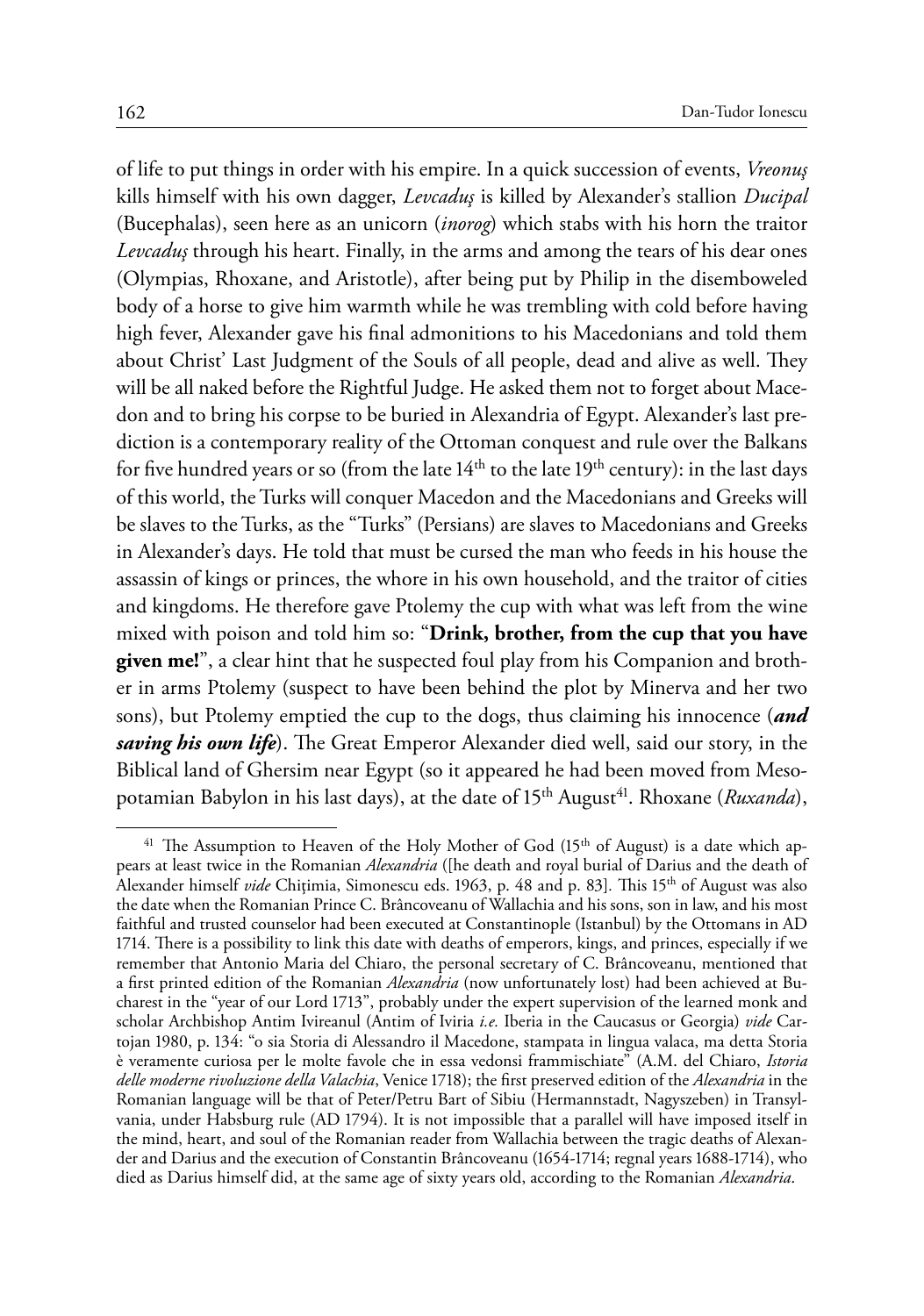of life to put things in order with his empire. In a quick succession of events, *Vreonuş*  kills himself with his own dagger, *Levcaduş* is killed by Alexander's stallion *Ducipal*  (Bucephalas), seen here as an unicorn (*inorog*) which stabs with his horn the traitor *Levcaduş* through his heart. Finally, in the arms and among the tears of his dear ones (Olympias, Rhoxane, and Aristotle), after being put by Philip in the disemboweled body of a horse to give him warmth while he was trembling with cold before having high fever, Alexander gave his final admonitions to his Macedonians and told them about Christ' Last Judgment of the Souls of all people, dead and alive as well. They will be all naked before the Rightful Judge. He asked them not to forget about Macedon and to bring his corpse to be buried in Alexandria of Egypt. Alexander's last prediction is a contemporary reality of the Ottoman conquest and rule over the Balkans for five hundred years or so (from the late  $14<sup>th</sup>$  to the late  $19<sup>th</sup>$  century): in the last days of this world, the Turks will conquer Macedon and the Macedonians and Greeks will be slaves to the Turks, as the "Turks" (Persians) are slaves to Macedonians and Greeks in Alexander's days. He told that must be cursed the man who feeds in his house the assassin of kings or princes, the whore in his own household, and the traitor of cities and kingdoms. He therefore gave Ptolemy the cup with what was left from the wine mixed with poison and told him so: "**Drink, brother, from the cup that you have given me!**", a clear hint that he suspected foul play from his Companion and brother in arms Ptolemy (suspect to have been behind the plot by Minerva and her two sons), but Ptolemy emptied the cup to the dogs, thus claiming his innocence (*and saving his own life*). The Great Emperor Alexander died well, said our story, in the Biblical land of Ghersim near Egypt (so it appeared he had been moved from Mesopotamian Babylon in his last days), at the date of 15<sup>th</sup> August<sup>41</sup>. Rhoxane (*Ruxanda*),

<sup>&</sup>lt;sup>41</sup> The Assumption to Heaven of the Holy Mother of God  $(15<sup>th</sup>$  of August) is a date which appears at least twice in the Romanian *Alexandria* ([he death and royal burial of Darius and the death of Alexander himself *vide* Chiţimia, Simonescu eds. 1963, p. 48 and p. 83]*.* This 15th of August was also the date when the Romanian Prince C. Brâncoveanu of Wallachia and his sons, son in law, and his most faithful and trusted counselor had been executed at Constantinople (Istanbul) by the Ottomans in AD 1714. There is a possibility to link this date with deaths of emperors, kings, and princes, especially if we remember that Antonio Maria del Chiaro, the personal secretary of C. Brâncoveanu, mentioned that a first printed edition of the Romanian *Alexandria* (now unfortunately lost) had been achieved at Bucharest in the "year of our Lord 1713", probably under the expert supervision of the learned monk and scholar Archbishop Antim Ivireanul (Antim of Iviria *i.e.* Iberia in the Caucasus or Georgia) *vide* Cartojan 1980, p. 134: "o sia Storia di Alessandro il Macedone, stampata in lingua valaca, ma detta Storia è veramente curiosa per le molte favole che in essa vedonsi frammischiate" (A.M. del Chiaro, *Istoria delle moderne rivoluzione della Valachia*, Venice 1718); the first preserved edition of the *Alexandria* in the Romanian language will be that of Peter/Petru Bart of Sibiu (Hermannstadt, Nagyszeben) in Transylvania, under Habsburg rule (AD 1794). It is not impossible that a parallel will have imposed itself in the mind, heart, and soul of the Romanian reader from Wallachia between the tragic deaths of Alexander and Darius and the execution of Constantin Brâncoveanu (1654-1714; regnal years 1688-1714), who died as Darius himself did, at the same age of sixty years old, according to the Romanian *Alexandria*.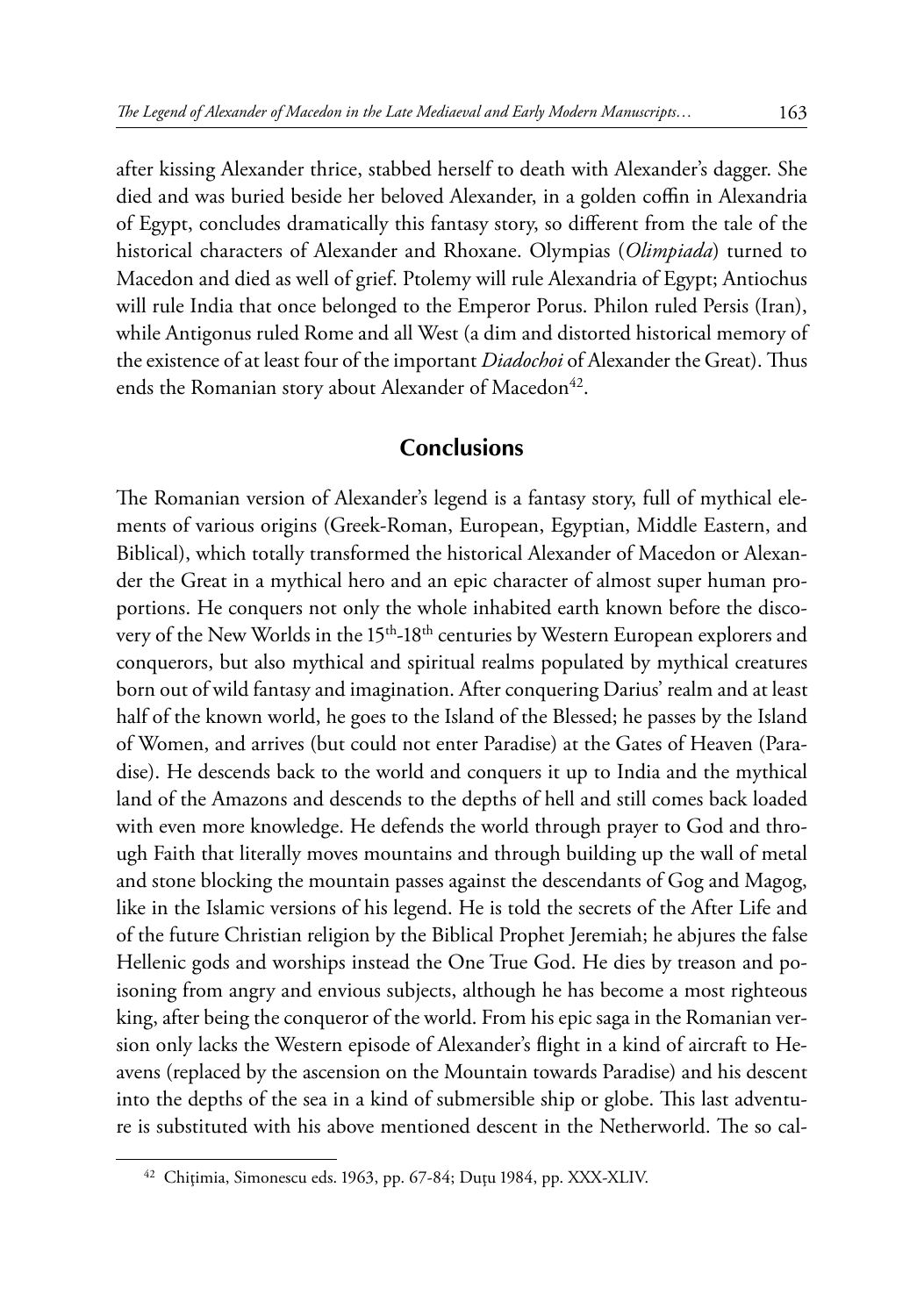after kissing Alexander thrice, stabbed herself to death with Alexander's dagger. She died and was buried beside her beloved Alexander, in a golden coffin in Alexandria of Egypt, concludes dramatically this fantasy story, so different from the tale of the historical characters of Alexander and Rhoxane. Olympias (*Olimpiada*) turned to Macedon and died as well of grief. Ptolemy will rule Alexandria of Egypt; Antiochus will rule India that once belonged to the Emperor Porus. Philon ruled Persis (Iran), while Antigonus ruled Rome and all West (a dim and distorted historical memory of the existence of at least four of the important *Diadochoi* of Alexander the Great). Thus ends the Romanian story about Alexander of Macedon<sup>42</sup>.

### **Conclusions**

The Romanian version of Alexander's legend is a fantasy story, full of mythical elements of various origins (Greek-Roman, European, Egyptian, Middle Eastern, and Biblical), which totally transformed the historical Alexander of Macedon or Alexander the Great in a mythical hero and an epic character of almost super human proportions. He conquers not only the whole inhabited earth known before the discovery of the New Worlds in the 15<sup>th</sup>-18<sup>th</sup> centuries by Western European explorers and conquerors, but also mythical and spiritual realms populated by mythical creatures born out of wild fantasy and imagination. After conquering Darius' realm and at least half of the known world, he goes to the Island of the Blessed; he passes by the Island of Women, and arrives (but could not enter Paradise) at the Gates of Heaven (Paradise). He descends back to the world and conquers it up to India and the mythical land of the Amazons and descends to the depths of hell and still comes back loaded with even more knowledge. He defends the world through prayer to God and through Faith that literally moves mountains and through building up the wall of metal and stone blocking the mountain passes against the descendants of Gog and Magog, like in the Islamic versions of his legend. He is told the secrets of the After Life and of the future Christian religion by the Biblical Prophet Jeremiah; he abjures the false Hellenic gods and worships instead the One True God. He dies by treason and poisoning from angry and envious subjects, although he has become a most righteous king, after being the conqueror of the world. From his epic saga in the Romanian version only lacks the Western episode of Alexander's flight in a kind of aircraft to Heavens (replaced by the ascension on the Mountain towards Paradise) and his descent into the depths of the sea in a kind of submersible ship or globe. This last adventure is substituted with his above mentioned descent in the Netherworld. The so cal-

<sup>42</sup> Chiţimia, Simonescu eds. 1963, pp. 67-84; Duţu 1984, pp. XXX-XLIV.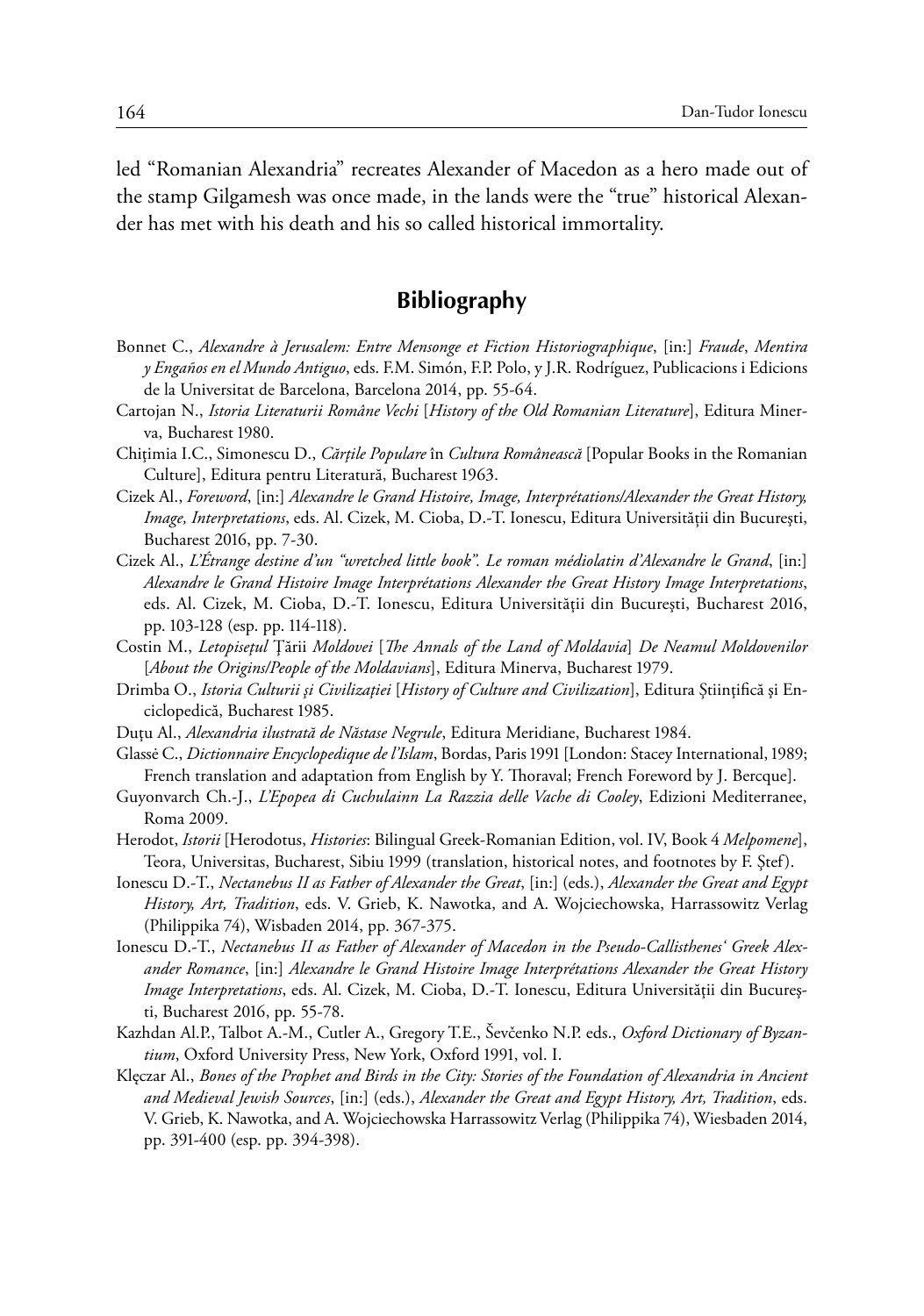led "Romanian Alexandria" recreates Alexander of Macedon as a hero made out of the stamp Gilgamesh was once made, in the lands were the "true" historical Alexander has met with his death and his so called historical immortality.

## **Bibliography**

- Bonnet C., *Alexandre à Jerusalem: Entre Mensonge et Fiction Historiographique*, [in:] *Fraude*, *Mentira y Engaños en el Mundo Antiguo*, eds. F.M. Simón, F.P. Polo, y J.R. Rodríguez, Publicacions i Edicions de la Universitat de Barcelona, Barcelona 2014, pp. 55-64.
- Cartojan N., *Istoria Literaturii Române Vechi* [*History of the Old Romanian Literature*], Editura Minerva, Bucharest 1980.
- Chiţimia I.C., Simonescu D., *Cărţile Populare* în *Cultura Românească* [Popular Books in the Romanian Culture], Editura pentru Literatură, Bucharest 1963.
- Cizek Al., *Foreword*, [in:] *Alexandre le Grand Histoire, Image, Interprétations/Alexander the Great History, Image, Interpretations*, eds. Al. Cizek, M. Cioba, D.-T. Ionescu, Editura Universității din Bucureşti, Bucharest 2016, pp. 7-30.
- Cizek Al., *L'Étrange destine d'un "wretched little book". Le roman médiolatin d'Alexandre le Grand*, [in:] *Alexandre le Grand Histoire Image Interprétations Alexander the Great History Image Interpretations*, eds. Al. Cizek, M. Cioba, D.-T. Ionescu, Editura Universităţii din Bucureşti, Bucharest 2016, pp. 103-128 (esp. pp. 114-118).
- Costin M., *Letopiseţul* Ţării *Moldovei* [*The Annals of the Land of Moldavia*] *De Neamul Moldovenilor*  [*About the Origins/People of the Moldavians*], Editura Minerva, Bucharest 1979.
- Drimba O., *Istoria Culturii şi Civilizaţiei* [*History of Culture and Civilization*], Editura Ştiinţifică şi Enciclopedică, Bucharest 1985.
- Duţu Al., *Alexandria ilustrată de Năstase Negrule*, Editura Meridiane, Bucharest 1984.
- Glassė C., *Dictionnaire Encyclopedique de l'Islam*, Bordas, Paris 1991 [London: Stacey International, 1989; French translation and adaptation from English by Y. Thoraval; French Foreword by J. Bercque].
- Guyonvarch Ch.-J., *L'Epopea di Cuchulainn La Razzia delle Vache di Cooley*, Edizioni Mediterranee, Roma 2009.
- Herodot, *Istorii* [Herodotus, *Histories*: Bilingual Greek-Romanian Edition, vol. IV, Book 4 *Melpomene*], Teora, Universitas, Bucharest, Sibiu 1999 (translation, historical notes, and footnotes by F. Ştef).
- Ionescu D.-T., *Nectanebus II as Father of Alexander the Great*, [in:] (eds.), *Alexander the Great and Egypt History, Art, Tradition*, eds. V. Grieb, K. Nawotka, and A. Wojciechowska, Harrassowitz Verlag (Philippika 74), Wisbaden 2014, pp. 367-375.
- Ionescu D.-T., *Nectanebus II as Father of Alexander of Macedon in the Pseudo-Callisthenes' Greek Alexander Romance*, [in:] *Alexandre le Grand Histoire Image Interprétations Alexander the Great History Image Interpretations*, eds. Al. Cizek, M. Cioba, D.-T. Ionescu, Editura Universităţii din Bucureşti, Bucharest 2016, pp. 55-78.
- Kazhdan Al.P., Talbot A.-M., Cutler A., Gregory T.E., Ševčenko N.P. eds., *Oxford Dictionary of Byzantium*, Oxford University Press, New York, Oxford 1991, vol. I.
- Klęczar Al., *Bones of the Prophet and Birds in the City: Stories of the Foundation of Alexandria in Ancient and Medieval Jewish Sources*, [in:] (eds.), *Alexander the Great and Egypt History, Art, Tradition*, eds. V. Grieb, K. Nawotka, and A. Wojciechowska Harrassowitz Verlag (Philippika 74), Wiesbaden 2014, pp. 391-400 (esp. pp. 394-398).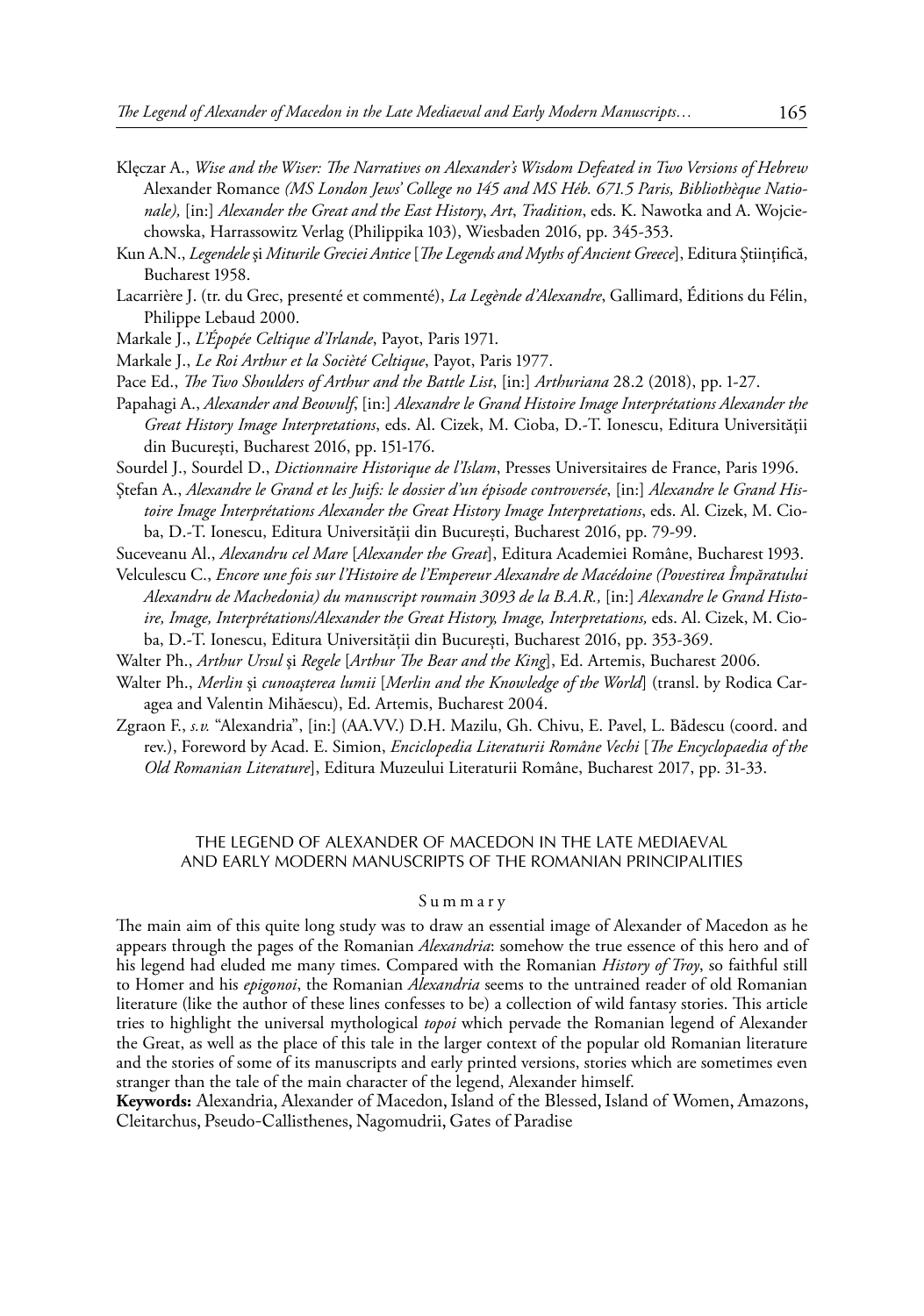- Klęczar A., *Wise and the Wiser: The Narratives on Alexander's Wisdom Defeated in Two Versions of Hebrew*  Alexander Romance *(MS London Jews' College no 145 and MS Héb. 671.5 Paris, Bibliothèque Nationale),* [in:] *Alexander the Great and the East History*, *Art*, *Tradition*, eds. K. Nawotka and A. Wojciechowska, Harrassowitz Verlag (Philippika 103), Wiesbaden 2016, pp. 345-353.
- Kun A.N., *Legendele* şi *Miturile Greciei Antice* [*The Legends and Myths of Ancient Greece*], Editura Ştiinţifică, Bucharest 1958.
- Lacarrière J. (tr. du Grec, presenté et commenté), *La Legènde d'Alexandre*, Gallimard, Éditions du Félin, Philippe Lebaud 2000.

Markale J., *L'Épopée Celtique d'Irlande*, Payot, Paris 1971.

Markale J., *Le Roi Arthur et la Socièté Celtique*, Payot, Paris 1977.

- Pace Ed., *The Two Shoulders of Arthur and the Battle List*, [in:] *Arthuriana* 28.2 (2018), pp. 1-27.
- Papahagi A., *Alexander and Beowulf*, [in:] *Alexandre le Grand Histoire Image Interprétations Alexander the Great History Image Interpretations*, eds. Al. Cizek, M. Cioba, D.-T. Ionescu, Editura Universităţii din Bucureşti, Bucharest 2016, pp. 151-176.

Sourdel J., Sourdel D., *Dictionnaire Historique de l'Islam*, Presses Universitaires de France, Paris 1996.

Ştefan A., *Alexandre le Grand et les Juifs: le dossier d'un épisode controversée*, [in:] *Alexandre le Grand Histoire Image Interprétations Alexander the Great History Image Interpretations*, eds. Al. Cizek, M. Cioba, D.-T. Ionescu, Editura Universităţii din Bucureşti, Bucharest 2016, pp. 79-99.

- Suceveanu Al., *Alexandru cel Mare* [*Alexander the Great*], Editura Academiei Române, Bucharest 1993.
- Velculescu C., *Encore une fois sur l'Histoire de l'Empereur Alexandre de Macédoine (Povestirea Împăratului Alexandru de Machedonia) du manuscript roumain 3093 de la B.A.R.,* [in:] *Alexandre le Grand Histoire, Image, Interprétations/Alexander the Great History, Image, Interpretations,* eds. Al. Cizek, M. Cioba, D.-T. Ionescu, Editura Universității din Bucureşti, Bucharest 2016, pp. 353-369.
- Walter Ph., *Arthur Ursul* şi *Regele* [*Arthur The Bear and the King*], Ed. Artemis, Bucharest 2006.
- Walter Ph., *Merlin* şi *cunoaşterea lumii* [*Merlin and the Knowledge of the World*] (transl. by Rodica Caragea and Valentin Mihăescu), Ed. Artemis, Bucharest 2004.
- Zgraon F., *s.v.* "Alexandria", [in:] (AA.VV.) D.H. Mazilu, Gh. Chivu, E. Pavel, L. Bădescu (coord. and rev.), Foreword by Acad. E. Simion, *Enciclopedia Literaturii Române Vechi* [*The Encyclopaedia of the Old Romanian Literature*], Editura Muzeului Literaturii Române, Bucharest 2017, pp. 31-33.

#### THE LEGEND OF ALEXANDER OF MACEDON IN THE LATE MEDIAEVAL AND EARLY MODERN MANUSCRIPTS OF THE ROMANIAN PRINCIPALITIES

#### Summary

The main aim of this quite long study was to draw an essential image of Alexander of Macedon as he appears through the pages of the Romanian *Alexandria*: somehow the true essence of this hero and of his legend had eluded me many times. Compared with the Romanian *History of Troy*, so faithful still to Homer and his *epigonoi*, the Romanian *Alexandria* seems to the untrained reader of old Romanian literature (like the author of these lines confesses to be) a collection of wild fantasy stories. This article tries to highlight the universal mythological *topoi* which pervade the Romanian legend of Alexander the Great, as well as the place of this tale in the larger context of the popular old Romanian literature and the stories of some of its manuscripts and early printed versions, stories which are sometimes even stranger than the tale of the main character of the legend, Alexander himself.

**Keywords:** Alexandria, Alexander of Macedon, Island of the Blessed, Island of Women, Amazons, Cleitarchus, Pseudo-Callisthenes, Nagomudrii, Gates of Paradise